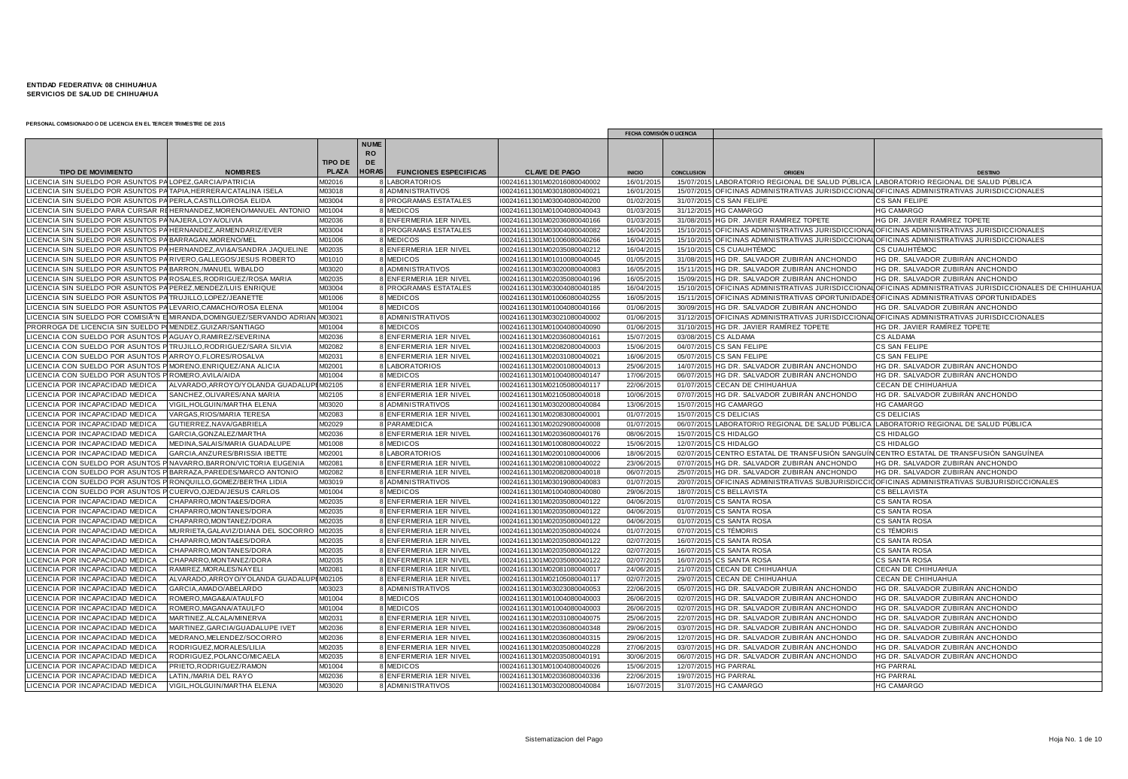|                                                                |                                           |                |                                |                              |                             | FECHA COMISIÓN O LICENCIA |                   |                                                                                        |                                                                                              |
|----------------------------------------------------------------|-------------------------------------------|----------------|--------------------------------|------------------------------|-----------------------------|---------------------------|-------------------|----------------------------------------------------------------------------------------|----------------------------------------------------------------------------------------------|
|                                                                |                                           | <b>TIPO DE</b> | <b>NUME</b><br><b>RO</b><br>DE |                              |                             |                           |                   |                                                                                        |                                                                                              |
| <b>TIPO DE MOVIMIENTO</b>                                      | <b>NOMBRES</b>                            | <b>PLAZA</b>   | <b>HORAS</b>                   | <b>FUNCIONES ESPECIFICAS</b> | <b>CLAVE DE PAGO</b>        | <b>INICIO</b>             | <b>CONCLUSION</b> |                                                                                        | <b>DESTING</b>                                                                               |
| ICENCIA SIN SUELDO POR ASUNTOS PA LOPEZ, GARCIA/PATRICIA       |                                           | M02016         |                                | LABORATORIOS                 | I00241611301M02016080040002 | 16/01/2015                |                   | 15/07/2015 LABORATORIO REGIONAL DE SALUD PÚBLICA LABORATORIO REGIONAL DE SALUD PÚBLICA |                                                                                              |
| ICENCIA SIN SUELDO POR ASUNTOS PA TAPIA,HERRERA/CATALINA ISELA |                                           | M03018         |                                | <b>ADMINISTRATIVOS</b>       | I00241611301M03018080040021 | 16/01/201                 |                   |                                                                                        | 15/07/2015 OFICINAS ADMINISTRATIVAS JURISDICCIONAL OFICINAS ADMINISTRATIVAS JURISDICCIONALES |
| ICENCIA SIN SUELDO POR ASUNTOS PA PERLA.CASTILLO/ROSA ELIDA    |                                           | M03004         |                                | PROGRAMAS ESTATALES          | 00241611301M03004080040200  | 01/02/201                 |                   | 31/07/2015 CS SAN FELIPE                                                               | CS SAN FELIPE                                                                                |
| ICENCIA SIN SUELDO PARA CURSAR I                               | HERNANDEZ, MORENO/MANUEL ANTONIO          | M01004         |                                | <b>MEDICOS</b>               | I00241611301M01004080040043 | 01/03/201                 |                   | 31/12/2015 HG CAMARGO                                                                  | <b>HG CAMARGO</b>                                                                            |
| <b>CENCIA SIN SUELDO POR ASUNTOS</b>                           | NAJERA, LOY A/OLIVIA                      | M02036         |                                | ENFERMERIA 1ER NIVEL         | 00241611301M02036080040166  | 01/03/201                 |                   | 31/08/2015 HG DR. JAVIER RAMÍREZ TOPETE                                                | HG DR. JAVIER RAMÍREZ TOPETE                                                                 |
| <b>CENCIA SIN SUELDO POR ASUNTOS PA</b>                        | HERNANDEZ, ARMENDARIZ/EVER                | M03004         |                                | PROGRAMAS ESTATALES          | I00241611301M03004080040082 | 16/04/201                 |                   |                                                                                        | 15/10/2015 OFICINAS ADMINISTRATIVAS JURISDICCIONAL OFICINAS ADMINISTRATIVAS JURISDICCIONALES |
| ICENCIA SIN SUELDO POR ASUNTOS P.                              | BARRAGAN, MORENO/MEI                      | M01006         |                                | 8 MEDICOS                    | I00241611301M01006080040266 | 16/04/201                 |                   |                                                                                        | 15/10/2015 OFICINAS ADMINISTRATIVAS JURISDICCIONAL OFICINAS ADMINISTRATIVAS JURISDICCIONALES |
| CENCIA SIN SUELDO POR ASUNTOS PA                               | HERNANDEZ.AVI&A/SANDRA JAQUELINE          | M02035         |                                | 8 ENFERMERIA 1ER NIVEL       | 00241611301M02035080040212  | 16/04/201                 |                   | 15/10/2015 CS CUAUHTÉMOC                                                               | CS CUAUHTÉMOC                                                                                |
| ICENCIA SIN SUELDO POR ASUNTOS P                               | RIVERO, GALLEGOS/JESUS ROBERTO            | M01010         |                                | <b>MEDICOS</b>               | I00241611301M01010080040045 | 01/05/201                 |                   | 31/08/2015 HG DR. SALVADOR ZUBIRÁN ANCHONDO                                            | HG DR. SALVADOR ZUBIRÁN ANCHONDO                                                             |
| <b>CENCIA SIN SUELDO POR ASUNTOS PA</b>                        | BARRON,/MANUEL WBALDO                     | M03020         |                                | ADMINISTRATIVOS              | 00241611301M03020080040083  | 16/05/201                 |                   | 15/11/2015 HG DR. SALVADOR ZUBIRÁN ANCHONDO                                            | HG DR. SALVADOR ZUBIRÁN ANCHONDO                                                             |
| <b>CENCIA SIN SUELDO POR ASUNTOS F</b>                         | ROSALES, RODRIGUEZ/ROSA MARIA             | M02035         |                                | ENFERMERIA 1ER NIVEL         | 00241611301M02035080040196  | 16/05/201                 |                   | 15/09/2015 HG DR. SALVADOR ZUBIRÁN ANCHONDO                                            | HG DR. SALVADOR ZUBIRÁN ANCHONDO                                                             |
| ICENCIA SIN SUELDO POR ASUNTOS P.                              | PEREZ, MENDEZ/LUIS ENRIQUE                | M03004         |                                | 8 PROGRAMAS ESTATALES        | I00241611301M03004080040185 | 16/04/201                 |                   | 15/10/2015 OFICINAS ADMINISTRATIVAS JURISDICCION.                                      | OFICINAS ADMINISTRATIVAS JURISDICCIONALES DE CHIHUAHUA                                       |
| CENCIA SIN SUELDO POR ASUNTOS PA TRUJILLO, LOPEZ/JEANETTE      |                                           | M01006         |                                | <b>MEDICOS</b>               | I00241611301M01006080040255 | 16/05/201                 |                   | 15/11/2015 OFICINAS ADMINISTRATIVAS OPORTUNIDAD                                        | OFICINAS ADMINISTRATIVAS OPORTUNIDADES                                                       |
| ICENCIA SIN SUELDO POR ASUNTOS P                               | LEVARIO, CAMACHO/ROSA ELENA               | M01004         |                                | 8 MEDICOS                    | I00241611301M01004080040166 | 01/06/201                 |                   | 30/09/2015 HG DR. SALVADOR ZUBIRÁN ANCHONDO                                            | HG DR. SALVADOR ZUBIRÁN ANCHONDO                                                             |
| ICENCIA SIN SUELDO POR COMISIÓN                                | MIRANDA, DOMINGUEZ/SERVANDO ADRIAN        | M03021         |                                | <b>ADMINISTRATIVOS</b>       | 00241611301M03021080040002  | 01/06/201                 |                   |                                                                                        | 31/12/2015 OFICINAS ADMINISTRATIVAS JURISDICCIONAL OFICINAS ADMINISTRATIVAS JURISDICCIONALES |
| RORROGA DE LICENCIA SIN SUELDO                                 | MENDEZ, GUIZAR/SANTIAGO                   | M01004         |                                | <b>MEDICOS</b>               | 00241611301M01004080040090  | 01/06/201                 |                   | 31/10/2015 HG DR. JAVIER RAMÍREZ TOPETE                                                | HG DR. JAVIER RAMÍREZ TOPETE                                                                 |
| ICENCIA CON SUELDO POR ASUNTOS                                 | AGUAYO, RAMIREZ/SEVERINA                  | M02036         |                                | 8 ENFERMERIA 1ER NIVEL       | I00241611301M02036080040161 | 15/07/201                 |                   | 03/08/2015 CS ALDAMA                                                                   | CS ALDAMA                                                                                    |
| <b>CENCIA CON SUELDO POR ASUNTOS</b>                           | TRUJILLO.RODRIGUEZ/SARA SILVIA            | M02082         |                                | ENFERMERIA 1ER NIVEL         | 00241611301M02082080040003  | 15/06/201                 |                   | 04/07/2015 CS SAN FELIPE                                                               | CS SAN FELIPE                                                                                |
| ICENCIA CON SUELDO POR ASUNTOS                                 | ARROYO, FLORES/ROSALVA                    | M02031         |                                | 8 ENFERMERIA 1ER NIVEL       | I00241611301M02031080040021 | 16/06/201                 |                   | 05/07/2015 CS SAN FELIPE                                                               | CS SAN FELIPE                                                                                |
| CENCIA CON SUELDO POR ASUNTOS                                  | MORENO.ENRIQUEZ/ANA ALICIA                | M02001         |                                | 8 LABORATORIOS               | 00241611301M02001080040013  | 25/06/201                 |                   | 14/07/2015 HG DR. SALVADOR ZUBIRÁN ANCHONDO                                            | HG DR. SALVADOR ZUBIRÁN ANCHONDO                                                             |
| CENCIA CON SUELDO POR ASUNTOS                                  | ROMERO, AVILA/AIDA                        | M01004         |                                | <b>MEDICOS</b>               | 00241611301M01004080040147  | 17/06/201                 |                   | 06/07/2015 HG DR. SALVADOR ZUBIRÁN ANCHONDO                                            | HG DR. SALVADOR ZUBIRÁN ANCHONDO                                                             |
| ICENCIA POR INCAPACIDAD MEDICA                                 | ALVARADO, ARROYO/YOLANDA GUADALUP         | M02105         |                                | ENFERMERIA 1ER NIVEL         | I00241611301M02105080040117 | 22/06/201                 |                   | 01/07/2015 CECAN DE CHIHUAHUA                                                          | CECAN DE CHIHUAHUA                                                                           |
| <b>ICENCIA POR INCAPACIDAD MEDICA</b>                          | SANCHEZ.OLIVARES/ANA MARIA                | M02105         |                                | 8 ENFERMERIA 1ER NIVEL       | 00241611301M02105080040018  | 10/06/201                 |                   | 07/07/2015 HG DR. SALVADOR ZUBIRÁN ANCHONDO                                            | HG DR. SALVADOR ZUBIRÁN ANCHONDO                                                             |
| ICENCIA POR INCAPACIDAD MEDICA                                 | VIGIL, HOLGUIN/MARTHA ELENA               | M03020         |                                | 8 ADMINISTRATIVOS            | I00241611301M03020080040084 | 13/06/201                 |                   | 15/07/2015 HG CAMARGO                                                                  | <b>HG CAMARGO</b>                                                                            |
| ICENCIA POR INCAPACIDAD MEDICA                                 | VARGAS, RIOS/MARIA TERESA                 | M02083         |                                | 8 ENFERMERIA 1ER NIVEL       | 00241611301M02083080040001  | 01/07/201                 |                   | 15/07/2015 CS DELICIAS                                                                 | <b>CS DELICIAS</b>                                                                           |
| <b>CENCIA POR INCAPACIDAD MEDICA</b>                           | GUTIERREZ, NAVA/GABRIELA                  | M02029         |                                | 8 PARAMEDICA                 | I00241611301M02029080040008 | 01/07/201                 |                   | 06/07/2015 LABORATORIO REGIONAL DE SALUD PÚBLICA                                       | LABORATORIO REGIONAL DE SALUD PÚBLICA                                                        |
| ICENCIA POR INCAPACIDAD MEDICA                                 | GARCIA, GONZALEZ/MARTHA                   | M02036         |                                | ENFERMERIA 1ER NIVEL         | I00241611301M02036080040176 | 08/06/201                 |                   | 15/07/2015 CS HIDALGO                                                                  | CS HIDALGO                                                                                   |
| ICENCIA POR INCAPACIDAD MEDICA                                 | MEDINA, SALAIS/MARIA GUADALUPE            | M01008         |                                | <b>MEDICOS</b>               | I00241611301M01008080040022 | 15/06/201                 |                   | 12/07/2015 CS HIDALGO                                                                  | CS HIDALGO                                                                                   |
| <b>ICENCIA POR INCAPACIDAD MEDICA</b>                          | GARCIA, ANZURES/BRISSIA IBETTE            | M02001         |                                | 8 LABORATORIOS               | I00241611301M02001080040006 | 18/06/201                 |                   | 02/07/2015 CENTRO ESTATAL DE TRANSFUSIÓN SANGU                                         | N CENTRO ESTATAL DE TRANSFUSIÓN SANGUÍNEA                                                    |
| <b>CENCIA CON SUELDO POR ASUNTOS</b>                           | NAVARRO.BARRON/VICTORIA EUGENIA           | M02081         |                                | 8 ENFERMERIA 1ER NIVEL       | 00241611301M02081080040022  | 23/06/201                 |                   | 07/07/2015 HG DR. SALVADOR ZUBIRÁN ANCHONDO                                            | HG DR. SALVADOR ZUBIRÁN ANCHONDO                                                             |
| ICENCIA CON SUELDO POR ASUNTOS                                 | BARRAZA, PAREDES/MARCO ANTONIO            | M02082         |                                | 8 ENFERMERIA 1ER NIVEL       | I00241611301M02082080040018 | 06/07/201                 |                   | 25/07/2015 HG DR. SALVADOR ZUBIRÁN ANCHONDO                                            | HG DR. SALVADOR ZUBIRÁN ANCHONDO                                                             |
| <b>CENCIA CON SUELDO POR ASUNTOS</b>                           | <b>(ONQUILLO, GOMEZ/BERTHA LIDIA)</b>     | M03019         |                                | <b>ADMINISTRATIVOS</b>       | I00241611301M03019080040083 | 01/07/201                 |                   | 20/07/2015 OFICINAS ADMINISTRATIVAS SUBJURISDIC                                        | OFICINAS ADMINISTRATIVAS SUBJURISDICCIONALES                                                 |
| <b>CENCIA CON SUELDO POR ASUNTOS</b>                           | CUERVO, OJEDA/JESUS CARLOS                | M01004         |                                | <b>MEDICOS</b>               | 00241611301M01004080040080  | 29/06/201                 |                   | 18/07/2015 CS BELLAVISTA                                                               | CS BELLAVISTA                                                                                |
| ICENCIA POR INCAPACIDAD MEDICA                                 | CHAPARRO, MONTA&ES/DORA                   | M02035         |                                | 8 ENFERMERIA 1ER NIVEL       | I00241611301M02035080040122 | 04/06/201                 |                   | 01/07/2015 CS SANTA ROSA                                                               | CS SANTA ROSA                                                                                |
| <b>CENCIA POR INCAPACIDAD MEDICA</b>                           | CHAPARRO.MONTANES/DORA                    | M02035         |                                | 8 ENFERMERIA 1ER NIVEL       | 00241611301M02035080040122  | 04/06/201                 |                   | 01/07/2015 CS SANTA ROSA                                                               | CS SANTA ROSA                                                                                |
| ICENCIA POR INCAPACIDAD MEDICA                                 | CHAPARRO, MONTANEZ/DORA                   | M02035         |                                | 8 ENFERMERIA 1ER NIVEL       | I00241611301M02035080040122 | 04/06/201                 |                   | 01/07/2015 CS SANTA ROSA                                                               | CS SANTA ROSA                                                                                |
| ICENCIA POR INCAPACIDAD MEDICA                                 | MURRIETA, GALAVIZ/DIANA DEL SOCORRO       | M02035         |                                | ENFERMERIA 1ER NIVEL         | 00241611301M02035080040024  | 01/07/201                 |                   | 07/07/2015 CS TÉMORIS                                                                  | CS TÉMORIS                                                                                   |
| <b>CENCIA POR INCAPACIDAD MEDICA</b>                           | CHAPARRO, MONTA&ES/DORA                   | A02035         |                                | ENFERMERIA 1ER NIVEL         | 00241611301M02035080040122  | 02/07/201                 |                   | 16/07/2015 CS SANTA ROSA                                                               | CS SANTA ROSA                                                                                |
| ICENCIA POR INCAPACIDAD MEDICA                                 | CHAPARRO, MONTANES/DORA                   | M02035         |                                | 8 ENFERMERIA 1ER NIVEL       | I00241611301M02035080040122 | 02/07/201                 |                   | 16/07/2015 CS SANTA ROSA                                                               | CS SANTA ROSA                                                                                |
| ICENCIA POR INCAPACIDAD MEDICA                                 | CHAPARRO, MONTANEZ/DORA                   | M02035         |                                | 8 ENFERMERIA 1ER NIVEL       | I00241611301M02035080040122 | 02/07/201                 |                   | 16/07/2015 CS SANTA ROSA                                                               | CS SANTA ROSA                                                                                |
| ICENCIA POR INCAPACIDAD MEDICA                                 | RAMIREZ, MORALES/NAYELI                   | M02081         |                                | 8 ENFERMERIA 1ER NIVEL       | I00241611301M02081080040017 | 24/06/201                 |                   | 21/07/2015 CECAN DE CHIHUAHUA                                                          | CECAN DE CHIHUAHUA                                                                           |
| <b>CENCIA POR INCAPACIDAD MEDICA</b>                           | ALVARADO, ARROYO/YOLANDA GUADALUPI M02105 |                |                                | ENFERMERIA 1ER NIVEL         | I00241611301M02105080040117 | 02/07/201                 |                   | 29/07/2015 CECAN DE CHIHUAHUA                                                          | CECAN DE CHIHUAHUA                                                                           |
| <b>CENCIA POR INCAPACIDAD MEDICA</b>                           | GARCIA, AMADO/ABELARDC                    | M03023         |                                | <b>ADMINISTRATIVOS</b>       | 00241611301M03023080040053  | 22/06/201                 | 05/07/201         | HG DR. SALVADOR ZUBIRÁN ANCHONDO                                                       | HG DR. SALVADOR ZUBIRÁN ANCHONDO                                                             |
| ICENCIA POR INCAPACIDAD MEDICA                                 | ROMERO, MAGA&A/ATAULFO                    | M01004         |                                | <b>MEDICOS</b>               | I00241611301M01004080040003 | 26/06/201                 |                   | 02/07/2015 HG DR. SALVADOR ZUBIRÁN ANCHONDO                                            | HG DR. SALVADOR ZUBIRÁN ANCHONDO                                                             |
| <b>CENCIA POR INCAPACIDAD MEDICA</b>                           | ROMERO, MAGANA/ATAULFO                    | M01004         |                                | <b>MEDICOS</b>               | 00241611301M01004080040003  | 26/06/201                 |                   | 02/07/2015 HG DR. SALVADOR ZUBIRÁN ANCHONDO                                            | HG DR. SALVADOR ZUBIRÁN ANCHONDO                                                             |
| ICENCIA POR INCAPACIDAD MEDICA                                 | MARTINEZ, ALCALA/MINERVA                  | M02031         |                                | 8 ENFERMERIA 1ER NIVEL       | I00241611301M02031080040075 | 25/06/201                 |                   | 22/07/2015 HG DR. SALVADOR ZUBIRÁN ANCHONDO                                            | HG DR. SALVADOR ZUBIRÁN ANCHONDO                                                             |
| ICENCIA POR INCAPACIDAD MEDICA                                 | MARTINEZ, GARCIA/GUADALUPE IVET           | M02036         |                                | 8 ENFERMERIA 1ER NIVEL       | 00241611301M02036080040348  | 29/06/201                 |                   | 03/07/2015 HG DR. SALVADOR ZUBIRÁN ANCHONDO                                            | HG DR. SALVADOR ZUBIRÁN ANCHONDO                                                             |
| CENCIA POR INCAPACIDAD MEDICA                                  | MEDRANO, MELENDEZ/SOCORRO                 | M02036         |                                | 8 ENFERMERIA 1ER NIVEL       | I00241611301M02036080040315 | 29/06/201                 |                   | 12/07/2015 HG DR. SALVADOR ZUBIRÁN ANCHONDO                                            | HG DR. SALVADOR ZUBIRÁN ANCHONDO                                                             |
| ICENCIA POR INCAPACIDAD MEDICA                                 | RODRIGUEZ, MORALES/LILIA                  | M02035         |                                | 8 ENFERMERIA 1ER NIVEL       | I00241611301M02035080040228 | 27/06/201                 |                   | 03/07/2015 HG DR. SALVADOR ZUBIRÁN ANCHONDO                                            | HG DR. SALVADOR ZUBIRÁN ANCHONDO                                                             |
| <b>ICENCIA POR INCAPACIDAD MEDICA</b>                          | RODRIGUEZ.POLANCO/MICAELA                 | M02035         |                                | 8 ENFERMERIA 1ER NIVEL       | I00241611301M02035080040191 | 30/06/201                 |                   | 06/07/2015 HG DR. SALVADOR ZUBIRÁN ANCHONDO                                            | HG DR. SALVADOR ZUBIRÁN ANCHONDO                                                             |
| <b>ICENCIA POR INCAPACIDAD MEDICA</b>                          | PRIETO.RODRIGUEZ/RAMON                    | M01004         |                                | <b>MEDICOS</b>               | I00241611301M01004080040026 | 15/06/201                 |                   | 12/07/2015 HG PARRAL                                                                   | <b>HG PARRAL</b>                                                                             |
| <b>CENCIA POR INCAPACIDAD MEDICA</b>                           | LATIN./MARIA DEL RAYO                     | M02036         |                                | ENFERMERIA 1ER NIVEL         | 00241611301M02036080040336  | 22/06/201                 |                   | 19/07/2015 HG PARRAL                                                                   | <b>HG PARRAL</b>                                                                             |
| LICENCIA POR INCAPACIDAD MEDICA                                | VIGIL, HOLGUIN/MARTHA ELENA               | M03020         |                                | 8 ADMINISTRATIVOS            | I00241611301M03020080040084 | 16/07/201                 |                   | 31/07/2015 HG CAMARGO                                                                  | <b>HG CAMARGO</b>                                                                            |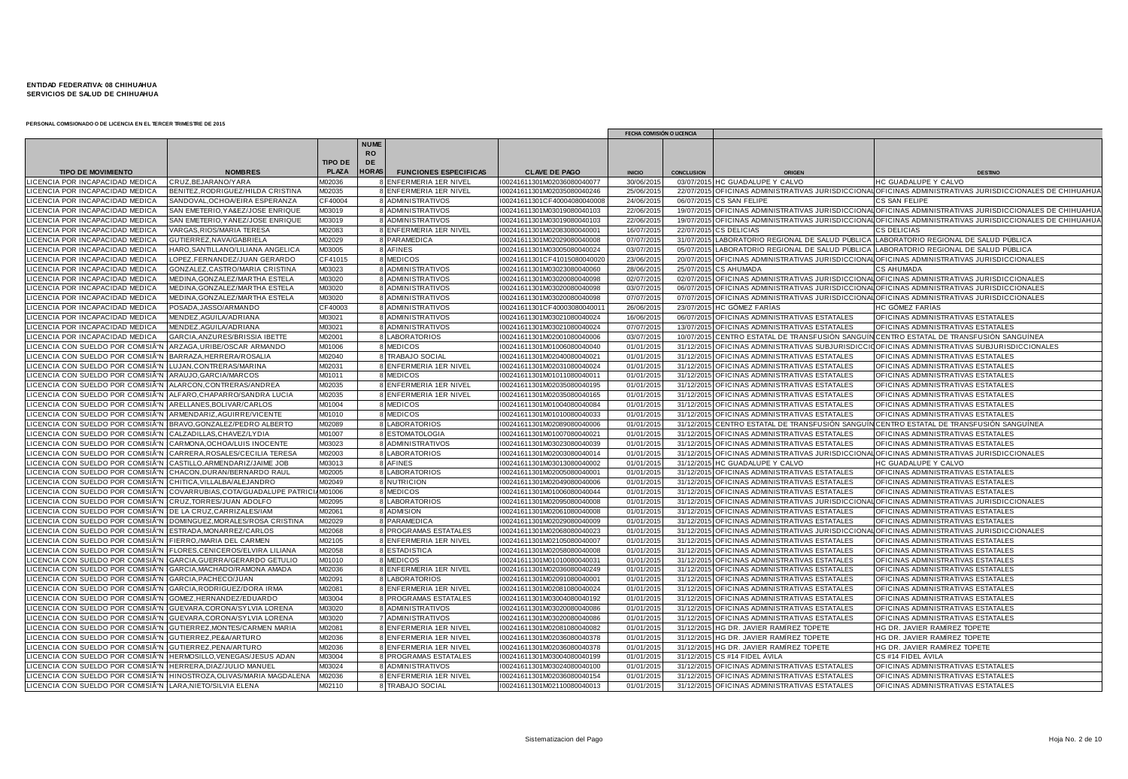|                                                            |                                    |                |                                |                              |                              | FECHA COMISIÓN O LICENCIA |                   |                                                                             |                                                                                                           |
|------------------------------------------------------------|------------------------------------|----------------|--------------------------------|------------------------------|------------------------------|---------------------------|-------------------|-----------------------------------------------------------------------------|-----------------------------------------------------------------------------------------------------------|
|                                                            |                                    | <b>TIPO DE</b> | <b>NUME</b><br><b>RO</b><br>DE |                              |                              |                           |                   |                                                                             |                                                                                                           |
| <b>TIPO DE MOVIMIENTO</b>                                  | <b>NOMBRES</b>                     | <b>PLAZA</b>   | <b>HORAS</b>                   | <b>FUNCIONES ESPECIFICAS</b> | <b>CLAVE DE PAGO</b>         | <b>INICIO</b>             | <b>CONCLUSION</b> | <b>ORIGEN</b>                                                               | <b>DESTING</b>                                                                                            |
| LICENCIA POR INCAPACIDAD MEDICA                            | CRUZ.BEJARANO/YARA                 | A02036         |                                | 8 ENFERMERIA 1ER NIVEL       | I00241611301M02036080040077  | 30/06/201                 |                   | 03/07/2015 HC GUADALUPE Y CALVO                                             | HC GUADALUPE Y CALVO                                                                                      |
| LICENCIA POR INCAPACIDAD MEDICA                            | BENITEZ, RODRIGUEZ/HILDA CRISTINA  | M02035         |                                | 8 ENFERMERIA 1ER NIVEL       | I00241611301M02035080040246  | 25/06/201                 |                   |                                                                             | 22/07/2015 OFICINAS ADMINISTRATIVAS JURISDICCIONAL OFICINAS ADMINISTRATIVAS JURISDICCIONALES DE CHIHUAHUA |
| ICENCIA POR INCAPACIDAD MEDICA                             | SANDOVAL.OCHOA/EIRA ESPERANZA      | CF40004        |                                | 8 ADMINISTRATIVOS            | I00241611301CF40004080040008 | 24/06/201                 | 06/07/2015        | CS SAN FELIPE                                                               | CS SAN FELIPE                                                                                             |
| <b>ICENCIA POR INCAPACIDAD MEDICA</b>                      | SAN EMETERIO, YA&EZ/JOSE ENRIQUE   | M03019         |                                | 8 ADMINISTRATIVOS            | I00241611301M03019080040103  | 22/06/201                 | 19/07/2015        |                                                                             | OFICINAS ADMINISTRATIVAS JURISDICCIONAL OFICINAS ADMINISTRATIVAS JURISDICCIONALES DE CHIHUAHUA            |
| <b>ICENCIA POR INCAPACIDAD MEDICA</b>                      | SAN EMETERIO, YANEZ/JOSE ENRIQUE   | M03019         |                                | 8 ADMINISTRATIVOS            | I00241611301M03019080040103  | 22/06/201                 |                   |                                                                             | 19/07/2015 OFICINAS ADMINISTRATIVAS JURISDICCIONAL OFICINAS ADMINISTRATIVAS JURISDICCIONALES DE CHIHUAHU  |
| <b>CENCIA POR INCAPACIDAD MEDICA</b>                       | VARGAS, RIOS/MARIA TERESA          | M02083         |                                | 8 ENFERMERIA 1ER NIVEL       | I00241611301M02083080040001  | 16/07/201                 | 22/07/2015        | <b>CS DELICIAS</b>                                                          | <b>CS DELICIAS</b>                                                                                        |
| ICENCIA POR INCAPACIDAD MEDICA                             | GUTIERREZ,NAVA/GABRIELA            | M02029         |                                | 8 PARAMEDICA                 | I00241611301M02029080040008  | 07/07/201                 | 31/07/201         | LABORATORIO REGIONAL DE SALUD PUBLICA LABORATORIO REGIONAL DE SALUD PUBLICA |                                                                                                           |
| CENCIA POR INCAPACIDAD MEDICA                              | HARO, SANTILLANO/LILIANA ANGELICA  | M03005         |                                | 8 AFINES                     | I00241611301M03005080040024  | 03/07/201                 | 05/07/201         | LABORATORIO REGIONAL DE SALUD PÚBLICA                                       | LABORATORIO REGIONAL DE SALUD PÚBLICA                                                                     |
| LICENCIA POR INCAPACIDAD MEDICA                            | LOPEZ,FERNANDEZ/JUAN GERARDO       | CF41015        |                                | 8 MEDICOS                    | I00241611301CF4101508004002  | 23/06/201                 | 20/07/201         |                                                                             | OFICINAS ADMINISTRATIVAS JURISDICCIONAL OFICINAS ADMINISTRATIVAS JURISDICCIONALES                         |
| LICENCIA POR INCAPACIDAD MEDICA                            | GONZALEZ, CASTRO/MARIA CRISTINA    | M03023         |                                | 8 ADMINISTRATIVOS            | I00241611301M03023080040060  | 28/06/201                 | 25/07/2015        | <b>CS AHUMADA</b>                                                           | <b>CS AHUMADA</b>                                                                                         |
| <b>CENCIA POR INCAPACIDAD MEDICA</b>                       | MEDINA, GONZALEZ/MARTHA ESTELA     | M03020         |                                | 8 ADMINISTRATIVOS            | I00241611301M03020080040098  | 02/07/201                 | 02/07/2015        |                                                                             | OFICINAS ADMINISTRATIVAS JURISDICCIONAL OFICINAS ADMINISTRATIVAS JURISDICCIONALES                         |
| <b>ICENCIA POR INCAPACIDAD MEDICA</b>                      | MEDINA, GONZALEZ/MARTHA ESTELA     | M03020         |                                | 8 ADMINISTRATIVOS            | I00241611301M03020080040098  | 03/07/201                 | 06/07/2015        |                                                                             | OFICINAS ADMINISTRATIVAS JURISDICCIONAL OFICINAS ADMINISTRATIVAS JURISDICCIONALES                         |
| <b>CENCIA POR INCAPACIDAD MEDICA</b>                       | MEDINA, GONZALEZ/MARTHA ESTELA     | M03020         |                                | 8 ADMINISTRATIVOS            | I00241611301M03020080040098  | 07/07/201                 | 07/07/201         |                                                                             | OFICINAS ADMINISTRATIVAS JURISDICCIONAL OFICINAS ADMINISTRATIVAS JURISDICCIONALES                         |
| ICENCIA POR INCAPACIDAD MEDICA                             | POSADA, JASSO/ARMANDO              | CF40003        |                                | 8 ADMINISTRATIVOS            | I00241611301CF4000308004001  | 26/06/201                 |                   | 23/07/2015 HC GÓMEZ FARÍAS                                                  | <b>HC GÓMEZ FARÍAS</b>                                                                                    |
| CENCIA POR INCAPACIDAD MEDICA                              | MENDEZ, AGUILA/ADRIANA             | M03021         |                                | 8 ADMINISTRATIVOS            | I00241611301M03021080040024  | 16/06/201                 |                   | 06/07/2015 OFICINAS ADMINISTRATIVAS ESTATALES                               | OFICINAS ADMINISTRATIVAS ESTATALES                                                                        |
| LICENCIA POR INCAPACIDAD MEDICA                            | MENDEZ, AGUILA/ADRIANA             | M03021         |                                | 8 ADMINISTRATIVOS            | I00241611301M03021080040024  | 07/07/201                 | 13/07/2015        | OFICINAS ADMINISTRATIVAS ESTATALES                                          | OFICINAS ADMINISTRATIVAS ESTATALES                                                                        |
| LICENCIA POR INCAPACIDAD MEDICA                            | GARCIA.ANZURES/BRISSIA IBETTE      | M02001         |                                | 8 LABORATORIOS               | I00241611301M02001080040006  | 03/07/201                 | 10/07/2015        |                                                                             | LCENTRO ESTATAL DE TRANSFUSIÓN SANGUÍN CENTRO ESTATAL DE TRANSFUSIÓN SANGUÍNEA                            |
| ICENCIA CON SUELDO POR COMISIÓI                            | ARZAGA.URIBE/OSCAR ARMANDO         | M01006         |                                | 8 MEDICOS                    | I00241611301M01006080040040  | 01/01/201                 | 31/12/2015        |                                                                             | OFICINAS ADMINISTRATIVAS SUBJURISDICCIO OFICINAS ADMINISTRATIVAS SUBJURISDICCIONALES                      |
| LICENCIA CON SUELDO POR COMISIÃ"                           | BARRAZA.HERRERA/ROSALIA            | M02040         |                                | 8 TRABAJO SOCIAL             | I00241611301M02040080040021  | 01/01/201                 | 31/12/201         | OFICINAS ADMINISTRATIVAS ESTATALES                                          | OFICINAS ADMINISTRATIVAS ESTATALES                                                                        |
| ICENCIA CON SUELDO POR COMISIÃ"N                           | LUJAN, CONTRERAS/MARINA            | M02031         |                                | 8 ENFERMERIA 1ER NIVEL       | I00241611301M02031080040024  | 01/01/201                 | 31/12/2015        | OFICINAS ADMINISTRATIVAS ESTATALES                                          | OFICINAS ADMINISTRATIVAS ESTATALES                                                                        |
| ICENCIA CON SUELDO POR COMISIÓN                            | ARAUJO, GARCIA/MARCOS              | M01011         |                                | 8 MEDICOS                    | I00241611301M01011080040011  | 01/01/201                 | 31/12/2015        | OFICINAS ADMINISTRATIVAS ESTATALES                                          | OFICINAS ADMINISTRATIVAS ESTATALES                                                                        |
| LICENCIA CON SUELDO POR COMISIÓN                           | ALARCON.CONTRERAS/ANDREA           | M02035         |                                | 8 ENFERMERIA 1ER NIVEL       | I00241611301M02035080040195  | 01/01/201                 |                   | 31/12/2015 OFICINAS ADMINISTRATIVAS ESTATALES                               | OFICINAS ADMINISTRATIVAS ESTATALES                                                                        |
| LICENCIA CON SUELDO POR COMISIÓN                           | ALFARO, CHAPARRO/SANDRA LUCIA      | M02035         |                                | 8 ENFERMERIA 1ER NIVEL       | I00241611301M02035080040165  | 01/01/201                 | 31/12/2015        | OFICINAS ADMINISTRATIVAS ESTATALES                                          | OFICINAS ADMINISTRATIVAS ESTATALES                                                                        |
| LICENCIA CON SUELDO POR COMISIÃ"N                          | ARELLANES, BOLIVAR/CARLOS          | M01004         |                                | 8 MEDICOS                    | I00241611301M01004080040084  | 01/01/201                 | 31/12/201         | OFICINAS ADMINISTRATIVAS ESTATALES                                          | OFICINAS ADMINISTRATIVAS ESTATALES                                                                        |
| LICENCIA CON SUELDO POR COMISIÓN                           | ARMENDARIZ, AGUIRRE/VICENTE        | M01010         |                                | 8 MEDICOS                    | 00241611301M01010080040033   | 01/01/201                 | 31/12/2015        | OFICINAS ADMINISTRATIVAS ESTATALES                                          | OFICINAS ADMINISTRATIVAS ESTATALES                                                                        |
| ICENCIA CON SUELDO POR COMISIÓN                            | BRAVO.GONZALEZ/PEDRO ALBERTO       | M02089         |                                | <b>8 LABORATORIOS</b>        | I00241611301M02089080040006  | 01/01/201                 | 31/12/201         | CENTRO ESTATAL DE TRANSFUSIÓN SANGU                                         | <b>I</b> CENTRO ESTATAL DE TRANSFUSIÓN SANGUÍNEA                                                          |
| LICENCIA CON SUELDO POR COMISIÓN :                         | CALZADILLAS, CHAVEZ/LY DIA         | M01007         |                                | 8 ESTOMATOLOGIA              | I00241611301M01007080040021  | 01/01/201                 | 31/12/2015        | <b>OFICINAS ADMINISTRATIVAS ESTATALES</b>                                   | OFICINAS ADMINISTRATIVAS ESTATALES                                                                        |
| ICENCIA CON SUELDO POR COMISIÁ"N -                         | CARMONA, OCHOA/LUIS INOCENTE       | M03023         |                                | 8 ADMINISTRATIVOS            | I00241611301M03023080040039  | 01/01/201                 | 31/12/2015        | I OFICINAS ADMINISTRATIVAS ESTATALES                                        | OFICINAS ADMINISTRATIVAS ESTATALES                                                                        |
| ICENCIA CON SUELDO POR COMISIÓI                            | CARRERA, ROSALES/CECILIA TERESA    | M02003         |                                | 8 LABORATORIOS               | I00241611301M02003080040014  | 01/01/201                 | 31/12/2015        |                                                                             | OFICINAS ADMINISTRATIVAS JURISDICCIONAL OFICINAS ADMINISTRATIVAS JURISDICCIONALES                         |
| ICENCIA CON SUELDO POR COMISIÓN :                          | CASTILLO, ARMENDARIZ/JAIME JOB     | M03013         |                                | 8 AFINES                     | I00241611301M03013080040002  | 01/01/201                 | 31/12/2015        | HC GUADALUPE Y CALVO                                                        | HC GUADALUPE Y CALVO                                                                                      |
| LICENCIA CON SUELDO POR COMISIÓN                           | CHACON, DURAN/BERNARDO RAUL        | M02005         |                                | 8 LABORATORIOS               | I00241611301M02005080040001  | 01/01/201                 | 31/12/201         | OFICINAS ADMINISTRATIVAS ESTATALES                                          | OFICINAS ADMINISTRATIVAS ESTATALES                                                                        |
| ICENCIA CON SUELDO POR COMISIÓN                            | CHITICA, VILLALBA/ALEJANDRO        | M02049         |                                | 8 NUTRICION                  | I00241611301M02049080040006  | 01/01/201                 | 31/12/2015        | OFICINAS ADMINISTRATIVAS ESTATALES                                          | OFICINAS ADMINISTRATIVAS ESTATALES                                                                        |
| ICENCIA CON SUELDO POR COMISIÓN I                          | COVARRUBIAS.COTA/GUADALUPE PATRICI | M01006         |                                | 8 MEDICOS                    | I00241611301M01006080040044  | 01/01/201                 | 31/12/201         | OFICINAS ADMINISTRATIVAS ESTATALES                                          | OFICINAS ADMINISTRATIVAS ESTATALES                                                                        |
| ICENCIA CON SUELDO POR COMISIÓN                            | CRUZ, TORRES/JUAN ADOLFO           | M02095         |                                | 8 LABORATORIOS               | I00241611301M02095080040008  | 01/01/201                 | 31/12/201         |                                                                             | OFICINAS ADMINISTRATIVAS JURISDICCIONAL OFICINAS ADMINISTRATIVAS JURISDICCIONALES                         |
| ICENCIA CON SUELDO POR COMISIÓN :                          | DE LA CRUZ, CARRIZALES/IAM         | M02061         |                                | 8 ADMISION                   | I00241611301M02061080040008  | 01/01/201                 | 31/12/2015        | OFICINAS ADMINISTRATIVAS ESTATALES                                          | OFICINAS ADMINISTRATIVAS ESTATALES                                                                        |
| JCENCIA CON SUELDO POR COMISIÓN                            | DOMINGUEZ, MORALES/ROSA CRISTINA   | M02029         |                                | 8 PARAMEDICA                 | I00241611301M02029080040009  | 01/01/201                 | 31/12/201         | OFICINAS ADMINISTRATIVAS ESTATALES                                          | OFICINAS ADMINISTRATIVAS ESTATALES                                                                        |
| LICENCIA CON SUELDO POR COMISIÃ"N                          | ESTRADA, MONARREZ/CARLOS           | M02068         |                                | 8 PROGRAMAS ESTATALES        | I00241611301M02068080040023  | 01/01/201                 |                   |                                                                             | 31/12/2015 OFICINAS ADMINISTRATIVAS JURISDICCIONAL OFICINAS ADMINISTRATIVAS JURISDICCIONALES              |
| ICENCIA CON SUELDO POR COMISIÃ"N                           | FIERRO./MARIA DEL CARMEN           | M02105         |                                | 8 ENFERMERIA 1ER NIVEL       | I00241611301M02105080040007  | 01/01/201                 | 31/12/2015        | OFICINAS ADMINISTRATIVAS ESTATALES                                          | OFICINAS ADMINISTRATIVAS ESTATALES                                                                        |
| ICENCIA CON SUELDO POR COMISIÃ"N                           | FLORES, CENICEROS/ELVIRA LILIANA   | M02058         |                                | 8 ESTADISTICA                | I00241611301M02058080040008  | 01/01/201                 | 31/12/201         | OFICINAS ADMINISTRATIVAS ESTATALES                                          | OFICINAS ADMINISTRATIVAS ESTATALES                                                                        |
| ICENCIA CON SUELDO POR COMISIÓN                            | GARCIA, GUERRA/GERARDO GETULIO     | M01010         |                                | 8 MEDICOS                    | I00241611301M01010080040031  | 01/01/201                 | 31/12/2015        | OFICINAS ADMINISTRATIVAS ESTATALES                                          | OFICINAS ADMINISTRATIVAS ESTATALES                                                                        |
| ICENCIA CON SUELDO POR COMISIÃ"N                           | GARCIA, MACHADO/RAMONA AMADA       | M02036         |                                | 8 ENFERMERIA 1ER NIVEL       | I00241611301M02036080040249  | 01/01/201                 | 31/12/2015        | OFICINAS ADMINISTRATIVAS ESTATALES                                          | OFICINAS ADMINISTRATIVAS ESTATALES                                                                        |
| LICENCIA CON SUELDO POR COMISIÓN                           | GARCIA, PACHECO/JUAN               | M02091         |                                | 8 LABORATORIOS               | I00241611301M02091080040001  | 01/01/201                 |                   | 31/12/2015 OFICINAS ADMINISTRATIVAS ESTATALES                               | OFICINAS ADMINISTRATIVAS ESTATALES                                                                        |
| LICENCIA CON SUELDO POR COMISIÓN I                         | GARCIA, RODRIGUEZ/DORA IRMA        | M02081         |                                | 8 ENFERMERIA 1ER NIVEL       | I00241611301M02081080040024  | 01/01/201                 | 31/12/2015        | OFICINAS ADMINISTRATIVAS ESTATALES                                          | OFICINAS ADMINISTRATIVAS ESTATALES                                                                        |
| LICENCIA CON SUELDO POR COMISIÃ"N                          | GOMEZ.HERNANDEZ/EDUARDO            | M03004         |                                | 8 PROGRAMAS ESTATALES        | I00241611301M03004080040192  | 01/01/201                 | 31/12/2015        | OFICINAS ADMINISTRATIVAS ESTATALES                                          | OFICINAS ADMINISTRATIVAS ESTATALES                                                                        |
| ICENCIA CON SUELDO POR COMISIÓN                            | GUEVARA.CORONA/SYLVIA LORENA       | M03020         |                                | 8 ADMINISTRATIVOS            | I00241611301M03020080040086  | 01/01/201                 | 31/12/2015        | OFICINAS ADMINISTRATIVAS ESTATALES                                          | OFICINAS ADMINISTRATIVAS ESTATALES                                                                        |
| LICENCIA CON SUELDO POR COMISIÓN                           | GUEVARA, CORONA/SYLVIA LORENA      | M03020         |                                | 7 ADMINISTRATIVOS            | I00241611301M03020080040086  | 01/01/201                 | 31/12/201         | OFICINAS ADMINISTRATIVAS ESTATALES                                          | OFICINAS ADMINISTRATIVAS ESTATALES                                                                        |
| ICENCIA CON SUELDO POR COMISIÓN :                          | GUTIERREZ.MONTES/CARMEN MARIA      | M02081         |                                | 8 ENFERMERIA 1ER NIVEL       | I00241611301M02081080040082  | 01/01/201                 | 31/12/2015        | HG DR. JAVIER RAMÍREZ TOPETE                                                | HG DR. JAVIER RAMÍREZ TOPETE                                                                              |
| ICENCIA CON SUELDO POR COMISIÓN                            | GUTIERREZ.PE&A/ARTURO              | M02036         |                                | 8 ENFERMERIA 1ER NIVEL       | I00241611301M02036080040378  | 01/01/201                 | 31/12/2015        | HG DR. JAVIER RAMÍREZ TOPETE                                                | HG DR. JAVIER RAMÍREZ TOPETE                                                                              |
| LICENCIA CON SUELDO POR COMISIÁ"N                          | GUTIERREZ, PENA/ARTURO             | M02036         |                                | 8 ENFERMERIA 1ER NIVEL       | I00241611301M02036080040378  | 01/01/201                 | 31/12/2015        | HG DR. JAVIER RAMIREZ TOPETE                                                | HG DR. JAVIER RAMIREZ TOPETE                                                                              |
| CENCIA CON SUELDO POR COMISIÓN                             | HERMOSILLO.VENEGAS/JESUS ADAN      | M03004         |                                | 8 PROGRAMAS ESTATALES        | I00241611301M03004080040199  | 01/01/201                 | 31/12/2015        | CS #14 FIDEL ÁVILA                                                          | CS #14 FIDEL ÁVILA                                                                                        |
| LICENCIA CON SUELDO POR COMISIÓN                           | HERRERA, DIAZ/JULIO MANUEI         | M03024         |                                | 8 ADMINISTRATIVOS            | I00241611301M03024080040100  | 01/01/201                 | 31/12/201         | OFICINAS ADMINISTRATIVAS ESTATALES                                          | OFICINAS ADMINISTRATIVAS ESTATALES                                                                        |
| LICENCIA CON SUELDO POR COMISIÃ"N                          | HINOSTROZA, OLIVAS/MARIA MAGDALENA | M02036         |                                | 8 ENFERMERIA 1ER NIVEL       | I00241611301M02036080040154  | 01/01/201                 |                   | 31/12/2015 OFICINAS ADMINISTRATIVAS ESTATALES                               | OFICINAS ADMINISTRATIVAS ESTATALES                                                                        |
| LICENCIA CON SUELDO POR COMISIÃ"N LARA, NIETO/SILVIA ELENA |                                    | M02110         |                                | 8 TRABAJO SOCIAL             | I00241611301M02110080040013  | 01/01/2015                |                   | 31/12/2015 OFICINAS ADMINISTRATIVAS ESTATALES                               | OFICINAS ADMINISTRATIVAS ESTATALES                                                                        |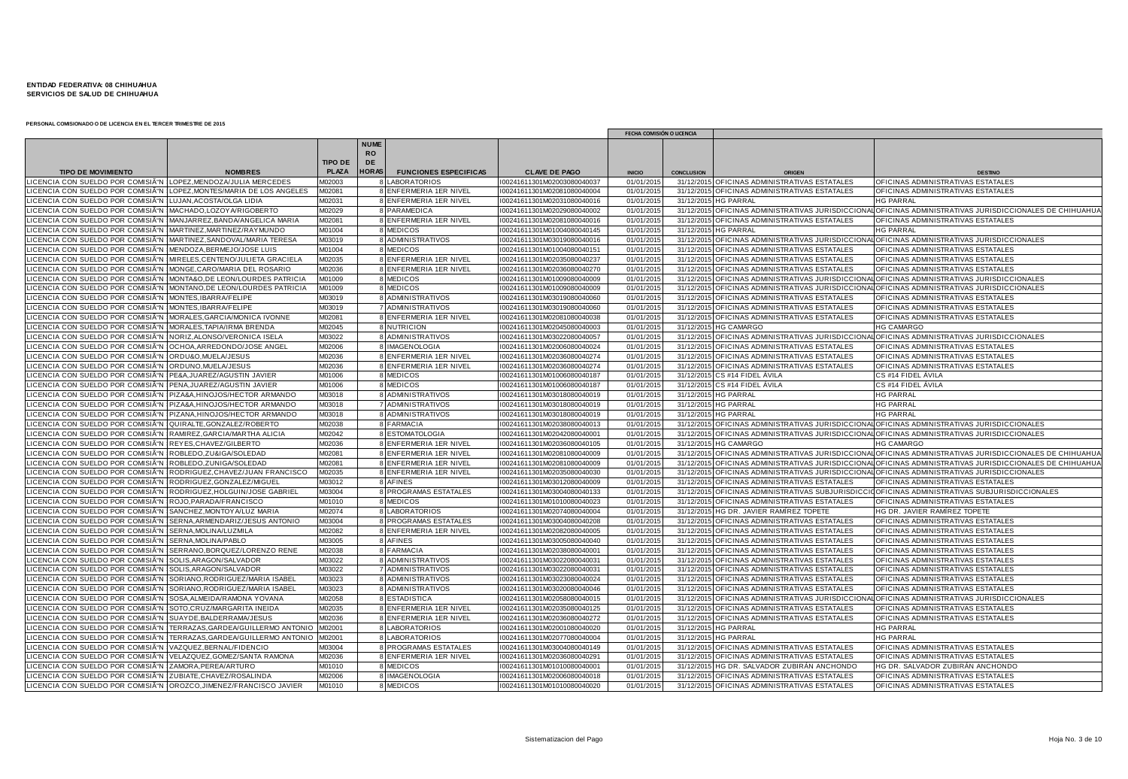|                                                                    |                                                                     |                |                                |                              |                            | FECHA COMISIÓN O LICENCIA |                   |                                               |                                                                                                           |
|--------------------------------------------------------------------|---------------------------------------------------------------------|----------------|--------------------------------|------------------------------|----------------------------|---------------------------|-------------------|-----------------------------------------------|-----------------------------------------------------------------------------------------------------------|
|                                                                    |                                                                     | <b>TIPO DE</b> | <b>NUME</b><br><b>RO</b><br>DE |                              |                            |                           |                   |                                               |                                                                                                           |
| <b>TIPO DE MOVIMIENTO</b>                                          | <b>NOMBRES</b>                                                      | <b>PLAZA</b>   | <b>HORAS</b>                   | <b>FUNCIONES ESPECIFICAS</b> | <b>CLAVE DE PAGO</b>       | <b>INICIO</b>             | <b>CONCLUSION</b> | <b>ORIGEN</b>                                 | <b>DESTING</b>                                                                                            |
| ICENCIA CON SUELDO POR COMISIÓN   LOPEZ,MENDOZA/JULIA MERCEDES     |                                                                     | A02003         |                                | <b>8 LABORATORIOS</b>        | 00241611301M02003080040037 | 01/01/201                 |                   | 31/12/2015 OFICINAS ADMINISTRATIVAS ESTATALES | OFICINAS ADMINISTRATIVAS ESTATALES                                                                        |
|                                                                    | ICENCIA CON SUELDO POR COMISIÓN LLOPEZ.MONTES/MARIA DE LOS ANGELES  | M02081         |                                | 8 ENFERMERIA 1ER NIVEL       | 00241611301M02081080040004 | 01/01/201                 |                   | 31/12/2015 OFICINAS ADMINISTRATIVAS ESTATALES | OFICINAS ADMINISTRATIVAS ESTATALES                                                                        |
| ICENCIA CON SUELDO POR COMISIÃ"N LUJAN,ACOSTA/OLGA LIDIA           |                                                                     | M02031         |                                | 8 ENFERMERIA 1ER NIVEL       | 00241611301M02031080040016 | 01/01/201                 | 31/12/2015        | <b>HG PARRAL</b>                              | <b>HG PARRAL</b>                                                                                          |
| ICENCIA CON SUELDO POR COMISIÃ"N   MACHADO,LOZOYA/RIGOBERTO        |                                                                     | M02029         |                                | 8 PARAMEDICA                 | 00241611301M02029080040002 | 01/01/201                 |                   |                                               | 31/12/2015 OFICINAS ADMINISTRATIVAS JURISDICCIONAL OFICINAS ADMINISTRATIVAS JURISDICCIONALES DE CHIHUAHU/ |
| ICENCIA CON SUELDO POR COMISIÓN                                    | MANJARREZ, BANDA/ANGELICA MARIA                                     | M02081         |                                | 8 ENFERMERIA 1ER NIVEL       | 00241611301M02081080040016 | 01/01/201                 |                   | 31/12/2015 OFICINAS ADMINISTRATIVAS ESTATALES | OFICINAS ADMINISTRATIVAS ESTATALES                                                                        |
| ICENCIA CON SUELDO POR COMISIÓN MARTINEZ,MARTINEZ/RAYMUNDO         |                                                                     | M01004         |                                | 8 MEDICOS                    | 00241611301M01004080040145 | 01/01/201                 | 31/12/2015        | <b>HG PARRAL</b>                              | <b>HG PARRAL</b>                                                                                          |
| ICENCIA CON SUELDO POR COMISIÓN MARTINEZ,SANDOVAL/MARIA TERESA     |                                                                     | M03019         |                                | 8 ADMINISTRATIVOS            | 00241611301M03019080040016 | 01/01/201                 |                   |                                               | 31/12/2015 OFICINAS ADMINISTRATIVAS JURISDICCIONAL OFICINAS ADMINISTRATIVAS JURISDICCIONALES              |
| ICENCIA CON SUELDO POR COMISIÓN MENDOZA,BERMEJO/JOSE LUIS          |                                                                     | M01004         |                                | 8 MEDICOS                    | 00241611301M01004080040151 | 01/01/201                 |                   | 31/12/2015 OFICINAS ADMINISTRATIVAS ESTATALES | OFICINAS ADMINISTRATIVAS ESTATALES                                                                        |
| ICENCIA CON SUELDO POR COMISIÓN                                    | MIRELES, CENTENO/JULIETA GRACIELA                                   | M02035         |                                | 8 ENFERMERIA 1ER NIVEL       | 00241611301M02035080040237 | 01/01/201                 |                   | 31/12/2015 OFICINAS ADMINISTRATIVAS ESTATALES | OFICINAS ADMINISTRATIVAS ESTATALES                                                                        |
| ICENCIA CON SUELDO POR COMISIÓN                                    | MONGE, CARO/MARIA DEL ROSARIO                                       | M02036         |                                | 8 ENFERMERIA 1ER NIVEL       | 00241611301M02036080040270 | 01/01/201                 |                   | 31/12/2015 OFICINAS ADMINISTRATIVAS ESTATALES | OFICINAS ADMINISTRATIVAS ESTATALES                                                                        |
| ICENCIA CON SUELDO POR COMISIÓN                                    | MONTA&O, DE LEON/LOURDES PATRICI.                                   | M01009         |                                | 8 MEDICOS                    | 00241611301M01009080040009 | 01/01/201                 | 31/12/2015        |                                               | OFICINAS ADMINISTRATIVAS JURISDICCIONAL OFICINAS ADMINISTRATIVAS JURISDICCIONALES                         |
| ICENCIA CON SUELDO POR COMISIÓN                                    | MONTANO, DE LEON/LOURDES PATRICIA                                   | VI01009        |                                | 8 MEDICOS                    | 00241611301M01009080040009 | 01/01/201                 |                   |                                               | 31/12/2015 OFICINAS ADMINISTRATIVAS JURISDICCIONAL OFICINAS ADMINISTRATIVAS JURISDICCIONALES              |
| ICENCIA CON SUELDO POR COMISIÓN MONTES,IBARRA/FELIPE               |                                                                     | VI03019        |                                | 8 ADMINISTRATIVOS            | 00241611301M03019080040060 | 01/01/201                 |                   | 31/12/2015 OFICINAS ADMINISTRATIVAS ESTATALES | OFICINAS ADMINISTRATIVAS ESTATALES                                                                        |
| ICENCIA CON SUELDO POR COMISIÃ"N MONTES, IBARRA/FELIPE             |                                                                     | M03019         |                                | 7 ADMINISTRATIVOS            | 00241611301M03019080040060 | 01/01/201                 |                   | 31/12/2015 OFICINAS ADMINISTRATIVAS ESTATALES | OFICINAS ADMINISTRATIVAS ESTATALES                                                                        |
| ICENCIA CON SUELDO POR COMISIÓN                                    | MORALES, GARCIA/MONICA IVONNE                                       | M02081         |                                | 8 ENFERMERIA 1ER NIVEL       | 00241611301M02081080040038 | 01/01/201                 |                   | 31/12/2015 OFICINAS ADMINISTRATIVAS ESTATALES | OFICINAS ADMINISTRATIVAS ESTATALES                                                                        |
| ICENCIA CON SUELDO POR COMISIÃ                                     | MORALES, TAPIA/IRMA BRENDA                                          | M02045         |                                | 8 NUTRICION                  | 00241611301M02045080040003 | 01/01/201                 | 31/12/2015        | <b>HG CAMARGO</b>                             | <b>HG CAMARGO</b>                                                                                         |
| ICENCIA CON SUELDO POR COMISIÃ"N NORIZ, ALONSO/VERONICA ISELA      |                                                                     | M03022         |                                | 8 ADMINISTRATIVOS            | 00241611301M03022080040057 | 01/01/201                 |                   |                                               | 31/12/2015 OFICINAS ADMINISTRATIVAS JURISDICCIONAL OFICINAS ADMINISTRATIVAS JURISDICCIONALES              |
| ICENCIA CON SUELDO POR COMISIÓN :                                  | OCHOA, ARREDONDO/JOSE ANGEL                                         | M02006         |                                | 8 IMAGENOLOGIA               | 00241611301M02006080040024 | 01/01/201                 |                   | 31/12/2015 OFICINAS ADMINISTRATIVAS ESTATALES | OFICINAS ADMINISTRATIVAS ESTATALES                                                                        |
| ICENCIA CON SUELDO POR COMISIÓN                                    | ORDU&O.MUELA/JESUS                                                  | M02036         |                                | 8 ENFERMERIA 1ER NIVEL       | 00241611301M02036080040274 | 01/01/201                 |                   | 31/12/2015 OFICINAS ADMINISTRATIVAS ESTATALES | OFICINAS ADMINISTRATIVAS ESTATALES                                                                        |
| CENCIA CON SUELDO POR COMISIÓN                                     | ORDUNO, MUELA/JESUS                                                 | M02036         |                                | 8 ENFERMERIA 1ER NIVEL       | 00241611301M02036080040274 | 01/01/201                 |                   | 31/12/2015 OFICINAS ADMINISTRATIVAS ESTATALES | OFICINAS ADMINISTRATIVAS ESTATALES                                                                        |
| ICENCIA CON SUELDO POR COMISIÓN                                    | PE&A, JUAREZ/AGUSTIN JAVIER                                         | M01006         |                                | 8 MEDICOS                    | 00241611301M01006080040187 | 01/01/201                 |                   | 31/12/2015 CS #14 FIDEL AVILA                 | CS #14 FIDEL AVILA                                                                                        |
| ICENCIA CON SUELDO POR COMISIÃ <sup>.</sup>                        | PENA, JUAREZ/AGUSTIN JAVIER                                         | M01006         |                                | 8 MEDICOS                    | 00241611301M01006080040187 | 01/01/201                 |                   | 31/12/2015 CS #14 FIDEL AVILA                 | CS #14 FIDEL ÁVILA                                                                                        |
| ICENCIA CON SUELDO POR COMISIÓN                                    | PIZA&A,HINOJOS/HECTOR ARMANDO                                       | M03018         |                                | 8 ADMINISTRATIVOS            | 00241611301M03018080040019 | 01/01/201                 | 31/12/2015        | <b>HG PARRAL</b>                              | <b>HG PARRAL</b>                                                                                          |
| ICENCIA CON SUELDO POR COMISIÓN                                    | PIZA&A.HINOJOS/HECTOR ARMANDO                                       | VI03018        |                                | 7 ADMINISTRATIVOS            | 00241611301M03018080040019 | 01/01/201                 |                   | 31/12/2015 HG PARRAL                          | <b>HG PARRAL</b>                                                                                          |
| ICENCIA CON SUELDO POR COMISIÓN                                    | PIZANA, HINOJOS/HECTOR ARMANDO                                      | M03018         |                                | 8 ADMINISTRATIVOS            | 00241611301M03018080040019 | 01/01/201                 |                   | 31/12/2015 HG PARRAL                          | <b>HG PARRAL</b>                                                                                          |
| ICENCIA CON SUELDO POR COMISIÓN                                    | QUIRALTE, GONZALEZ/ROBERTO                                          | M02038         |                                | 8 FARMACIA                   | 00241611301M02038080040013 | 01/01/201                 |                   |                                               | 31/12/2015 OFICINAS ADMINISTRATIVAS JURISDICCIONAL OFICINAS ADMINISTRATIVAS JURISDICCIONALES              |
| ICENCIA CON SUELDO POR COMISIÃ"N                                   | RAMIREZ, GARCIA/MARTHA ALICIA                                       | M02042         |                                | 8 ESTOMATOLOGIA              | 00241611301M02042080040001 | 01/01/201                 |                   |                                               | 31/12/2015 OFICINAS ADMINISTRATIVAS JURISDICCIONAL OFICINAS ADMINISTRATIVAS JURISDICCIONALES              |
| ICENCIA CON SUELDO POR COMISIÃ <sup>.</sup>                        | REYES, CHAVEZ/GILBERTO                                              | M02036         |                                | 8 ENFERMERIA 1ER NIVEL       | 00241611301M02036080040105 | 01/01/201                 |                   | 31/12/2015 HG CAMARGO                         | <b>HG CAMARGO</b>                                                                                         |
| ICENCIA CON SUELDO POR COMISIÓN                                    | ROBLEDO.ZU&IGA/SOLEDAD                                              | M02081         |                                | 8 ENFERMERIA 1ER NIVEL       | 00241611301M02081080040009 | 01/01/201                 |                   |                                               | 31/12/2015 OFICINAS ADMINISTRATIVAS JURISDICCIONAL OFICINAS ADMINISTRATIVAS JURISDICCIONALES DE CHIHUAHU/ |
| ICENCIA CON SUELDO POR COMISIÃ"N                                   | ROBLEDO, ZUNIGA/SOLEDAD                                             | M02081         |                                | 8 ENFERMERIA 1ER NIVEL       | 00241611301M02081080040009 | 01/01/201                 | 31/12/201         |                                               | OFICINAS ADMINISTRATIVAS JURISDICCIONAL OFICINAS ADMINISTRATIVAS JURISDICCIONALES DE CHIHUAHUA            |
| ICENCIA CON SUELDO POR COMISIÓN                                    | RODRIGUEZ, CHAVEZ/JUAN FRANCISCO                                    | M02035         |                                | 8 ENFERMERIA 1ER NIVEL       | 00241611301M02035080040030 | 01/01/201                 |                   |                                               | 31/12/2015 OFICINAS ADMINISTRATIVAS JURISDICCIONAL OFICINAS ADMINISTRATIVAS JURISDICCIONALES              |
| ICENCIA CON SUELDO POR COMISIÃ"N                                   | RODRIGUEZ.GONZALEZ/MIGUEL                                           | M03012         |                                | 8 AFINES                     | 00241611301M03012080040009 | 01/01/201                 |                   | 31/12/2015 OFICINAS ADMINISTRATIVAS ESTATALES | OFICINAS ADMINISTRATIVAS ESTATALES                                                                        |
| ICENCIA CON SUELDO POR COMISIÃ"N                                   | RODRIGUEZ, HOLGUIN/JOSE GABRIEL                                     | M03004         |                                | 8 PROGRAMAS ESTATALES        | 00241611301M03004080040133 | 01/01/201                 | 31/12/201         | OFICINAS ADMINISTRATIVAS SUBJURISDICC         | COFICINAS ADMINISTRATIVAS SUBJURISDICCIONALES                                                             |
| ICENCIA CON SUELDO POR COMISIÃ"N ROJO,PARADA/FRANCISCO             |                                                                     | M01010         |                                | 8 MEDICOS                    | 00241611301M01010080040023 | 01/01/201                 |                   | 31/12/2015 OFICINAS ADMINISTRATIVAS ESTATALES | OFICINAS ADMINISTRATIVAS ESTATALES                                                                        |
| ICENCIA CON SUELDO POR COMISIÓN SANCHEZ.MONTOYA/LUZ MARIA          |                                                                     | VI02074        |                                | 8 LABORATORIOS               | 00241611301M02074080040004 | 01/01/201                 |                   | 31/12/2015 HG DR. JAVIER RAMÍREZ TOPETE       | HG DR. JAVIER RAMÍREZ TOPETE                                                                              |
| ICENCIA CON SUELDO POR COMISIÓN SERNA,ARMENDARIZ/JESUS ANTONIO     |                                                                     | M03004         |                                | 8 PROGRAMAS ESTATALES        | 00241611301M03004080040208 | 01/01/201                 |                   | 31/12/2015 OFICINAS ADMINISTRATIVAS ESTATALES | OFICINAS ADMINISTRATIVAS ESTATALES                                                                        |
| ICENCIA CON SUELDO POR COMISIÓN SERNA,MOLINA/LUZMILA               |                                                                     | M02082         |                                | 8 ENFERMERIA 1ER NIVEL       | 00241611301M02082080040005 | 01/01/201                 |                   | 31/12/2015 OFICINAS ADMINISTRATIVAS ESTATALES | OFICINAS ADMINISTRATIVAS ESTATALES                                                                        |
| ICENCIA CON SUELDO POR COMISIÃ"N SERNA, MOLINA/PABLO               |                                                                     | M03005         |                                | 8 AFINES                     | 00241611301M03005080040040 | 01/01/201                 |                   | 31/12/2015 OFICINAS ADMINISTRATIVAS ESTATALES | OFICINAS ADMINISTRATIVAS ESTATALES                                                                        |
| ICENCIA CON SUELDO POR COMISIÓN                                    | SERRANO, BORQUEZ/LORENZO RENE                                       | M02038         |                                | 8 FARMACIA                   | 00241611301M02038080040001 | 01/01/201                 |                   | 31/12/2015 OFICINAS ADMINISTRATIVAS ESTATALES | OFICINAS ADMINISTRATIVAS ESTATALES                                                                        |
| ICENCIA CON SUELDO POR COMISIÓN SOLIS,ARAGON/SALVADOR              |                                                                     | VI03022        |                                | 8 ADMINISTRATIVOS            | 00241611301M03022080040031 | 01/01/201                 |                   | 31/12/2015 OFICINAS ADMINISTRATIVAS ESTATALES | OFICINAS ADMINISTRATIVAS ESTATALES                                                                        |
| ICENCIA CON SUELDO POR COMISIÃ"N SOLIS,ARAGON/SALVADOR             |                                                                     | M03022         |                                | 7 ADMINISTRATIVOS            | 00241611301M03022080040031 | 01/01/201                 |                   | 31/12/2015 OFICINAS ADMINISTRATIVAS ESTATALES | OFICINAS ADMINISTRATIVAS ESTATALES                                                                        |
| ICENCIA CON SUELDO POR COMISIÓN                                    | SORIANO, RODRIGUEZ/MARIA ISABEL                                     | VI03023        |                                | 8 ADMINISTRATIVOS            | 00241611301M03023080040024 | 01/01/201                 |                   | 31/12/2015 OFICINAS ADMINISTRATIVAS ESTATALES | OFICINAS ADMINISTRATIVAS ESTATALES                                                                        |
| ICENCIA CON SUELDO POR COMISIÓN                                    | SORIANO, RODRIGUEZ/MARIA ISABEL                                     | M03023         |                                | 8 ADMINISTRATIVOS            | 00241611301M03020080040046 | 01/01/201                 | 31/12/2015        | <b>OFICINAS ADMINISTRATIVAS ESTATALES</b>     | OFICINAS ADMINISTRATIVAS ESTATALES                                                                        |
| ICENCIA CON SUELDO POR COMISIÃ"N -                                 | SOSA, ALMEIDA/RAMONA YOVANA                                         | M02058         |                                | 8 ESTADISTICA                | 00241611301M02058080040015 | 01/01/201                 |                   |                                               | 31/12/2015 OFICINAS ADMINISTRATIVAS JURISDICCIONAL OFICINAS ADMINISTRATIVAS JURISDICCIONALES              |
| ICENCIA CON SUELDO POR COMISIÓN                                    | SOTO.CRUZ/MARGARITA INEIDA                                          | M02035         |                                | 8 ENFERMERIA 1ER NIVEL       | 00241611301M02035080040125 | 01/01/201                 |                   | 31/12/2015 OFICINAS ADMINISTRATIVAS ESTATALES | OFICINAS ADMINISTRATIVAS ESTATALES                                                                        |
| ICENCIA CON SUELDO POR COMISIÓN SUAYDE,BALDERRAMA/JESUS            |                                                                     | M02036         |                                | 8 ENFERMERIA 1ER NIVEL       | 00241611301M02036080040272 | 01/01/201                 |                   | 31/12/2015 OFICINAS ADMINISTRATIVAS ESTATALES | OFICINAS ADMINISTRATIVAS ESTATALES                                                                        |
|                                                                    | ICENCIA CON SUELDO POR COMISIÃ"N TERRAZAS,GARDEA/GUILLERMO ANTONIO  | M02001         |                                | 8 LABORATORIOS               | 00241611301M02001080040020 | 01/01/201                 |                   | 31/12/2015 HG PARRAL                          | <b>HG PARRAL</b>                                                                                          |
|                                                                    | ICENCIA CON SUELDO POR COMISIÃ"N TERRAZAS, GARDEA/GUILLERMO ANTONIC | M02001         |                                | 8 LABORATORIOS               | 00241611301M02077080040004 | 01/01/201                 |                   | 31/12/2015 HG PARRAL                          | <b>HG PARRAL</b>                                                                                          |
| ICENCIA CON SUELDO POR COMISIÓN                                    | VAZQUEZ, BERNAL/FIDENCIO                                            | A03004         |                                | 8 PROGRAMAS ESTATALES        | 00241611301M03004080040149 | 01/01/201                 |                   | 31/12/2015 OFICINAS ADMINISTRATIVAS ESTATALES | OFICINAS ADMINISTRATIVAS ESTATALES                                                                        |
| CENCIA CON SUELDO POR COMISIÃ                                      | /ELAZQUEZ, GOMEZ/SANTA RAMONA                                       | A02036         |                                | 8 ENFERMERIA 1ER NIVEL       | 00241611301M02036080040291 | 01/01/201                 | 31/12/201         | OFICINAS ADMINISTRATIVAS ESTATALES            | OFICINAS ADMINISTRATIVAS ESTATALES                                                                        |
| ICENCIA CON SUELDO POR COMISIÃ"N ZAMORA, PEREA/ARTURO              |                                                                     | VI01010        |                                | 8 MEDICOS                    | 00241611301M01010080040001 | 01/01/201                 |                   | 31/12/2015 HG DR. SALVADOR ZUBIRÁN ANCHONDO   | HG DR. SALVADOR ZUBIRÁN ANCHONDO                                                                          |
| ICENCIA CON SUELDO POR COMISIÁ"N   ZUBIATE,CHAVEZ/ROSALINDA        |                                                                     | <b>M02006</b>  |                                | 8 IMAGENOLOGIA               | 00241611301M02006080040018 | 01/01/201                 |                   | 31/12/2015 OFICINAS ADMINISTRATIVAS ESTATALES | OFICINAS ADMINISTRATIVAS ESTATALES                                                                        |
| LICENCIA CON SUELDO POR COMISIÃ"N OROZCO, JIMENEZ/FRANCISCO JAVIER |                                                                     | M01010         |                                | 8 MEDICOS                    | 00241611301M01010080040020 | 01/01/2015                |                   | 31/12/2015 OFICINAS ADMINISTRATIVAS ESTATALES | OFICINAS ADMINISTRATIVAS ESTATALES                                                                        |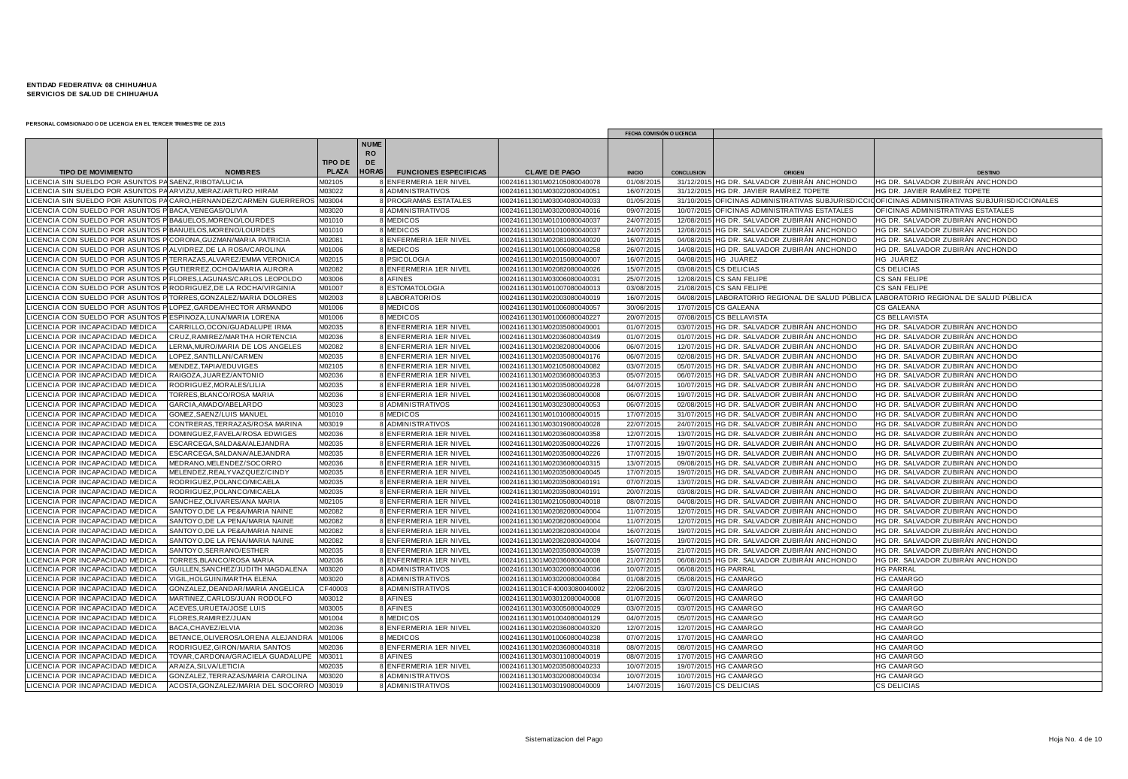|                                                                                                       |                                                                   |                  |                                |                              |                                                            | FECHA COMISIÓN O LICENCIA |                        |                                           |                                                          |
|-------------------------------------------------------------------------------------------------------|-------------------------------------------------------------------|------------------|--------------------------------|------------------------------|------------------------------------------------------------|---------------------------|------------------------|-------------------------------------------|----------------------------------------------------------|
|                                                                                                       |                                                                   | <b>TIPO DE</b>   | <b>NUME</b><br><b>RO</b><br>DE |                              |                                                            |                           |                        |                                           |                                                          |
| <b>TIPO DE MOVIMIENTO</b>                                                                             | <b>NOMBRES</b>                                                    | <b>PLAZA</b>     | <b>HORAS</b>                   | <b>FUNCIONES ESPECIFICAS</b> | <b>CLAVE DE PAGO</b>                                       | <b>INICIO</b>             | <b>CONCLUSION</b>      |                                           | <b>DESTING</b>                                           |
| ICENCIA SIN SUELDO POR ASUNTOS PA SAENZ, RIBOTA/LUCIA                                                 |                                                                   | M02105           |                                | 8 ENFERMERIA 1ER NIVEL       | I00241611301M02105080040078                                | 01/08/2015                | 31/12/2015             | HG DR. SALVADOR ZUBIRÁN ANCHONDO          | HG DR. SALVADOR ZUBIRÁN ANCHONDO                         |
| ICENCIA SIN SUELDO POR ASUNTOS PA ARVIZU, MERAZ/ARTURO HIRAM                                          |                                                                   | M03022           |                                | 8 ADMINISTRATIVOS            | I00241611301M03022080040051                                | 16/07/201                 | 31/12/2015             | HG DR. JAVIER RAMÍREZ TOPETE              | HG DR. JAVIER RAMÍREZ TOPETE                             |
|                                                                                                       | ICENCIA SIN SUELDO POR ASUNTOS PA CARO,HERNANDEZ/CARMEN GUERREROS | M03004           |                                | 8 PROGRAMAS ESTATALES        | I00241611301M03004080040033                                | 01/05/201                 | 31/10/201              | OFICINAS ADMINISTRATIVAS SUBJURISDICC     | OFICINAS ADMINISTRATIVAS SUBJURISDICCIONALES             |
| ICENCIA CON SUELDO POR ASUNTOS P BACA, VENEGAS/OLIVIA                                                 |                                                                   | M03020           |                                | 8 ADMINISTRATIVOS            | I00241611301M03020080040016                                | 09/07/201                 | 10/07/201              | OFICINAS ADMINISTRATIVAS ESTATALES        | OFICINAS ADMINISTRATIVAS ESTATALES                       |
| CENCIA CON SUELDO POR ASUNTOS P BA&UELOS, MORENO/LOURDES                                              |                                                                   | M01010           |                                | 8 MEDICOS                    | I00241611301M01010080040037                                | 24/07/201                 | 12/08/201              | HG DR. SALVADOR ZUBIRÁN ANCHONDO          | HG DR. SALVADOR ZUBIRÁN ANCHONDO                         |
| ICENCIA CON SUELDO POR ASUNTOS P BANUELOS, MORENO/LOURDES                                             |                                                                   | M01010           |                                | 8 MEDICOS                    | I00241611301M01010080040037                                | 24/07/2015                | 12/08/201              | HG DR. SALVADOR ZUBIRÁN ANCHONDO          | HG DR. SALVADOR ZUBIRÁN ANCHONDO                         |
| ICENCIA CON SUELDO POR ASUNTOS P CORONA, GUZMAN/MARIA PATRICIA                                        |                                                                   | M02081           |                                | 8 ENFERMERIA 1ER NIVEL       | I00241611301M02081080040020                                | 16/07/201                 | 04/08/2015             | HG DR. SALVADOR ZUBIRÁN ANCHONDO          | HG DR. SALVADOR ZUBIRÁN ANCHONDO                         |
| ICENCIA CON SUELDO POR ASUNTOS P ALVIDREZ, DE LA ROSA/CAROLINA                                        |                                                                   | M01006           |                                | 8 MEDICOS                    | I00241611301M01006080040258                                | 26/07/201                 | 14/08/2015             | HG DR. SALVADOR ZUBIRÁN ANCHONDO          | HG DR. SALVADOR ZUBIRÁN ANCHONDO                         |
| ICENCIA CON SUELDO POR ASUNTOS P TERRAZAS, ALVAREZ/EMMA VERONICA                                      |                                                                   | M02015           |                                | 8 PSICOLOGIA                 | I00241611301M02015080040007                                | 16/07/201                 | 04/08/201              | HG JUÁREZ                                 | HG JUÁREZ                                                |
| ICENCIA CON SUELDO POR ASUNTOS P GUTIERREZ, OCHOA/MARIA AURORA                                        |                                                                   | M02082           |                                | 8 ENFERMERIA 1ER NIVEL       | I00241611301M02082080040026                                | 15/07/201                 | 03/08/2015             | <b>CS DELICIAS</b>                        | <b>CS DELICIAS</b>                                       |
| ICENCIA CON SUELDO POR ASUNTOS P FLORES, LAGUNAS/CARLOS LEOPOLDO                                      |                                                                   | M03006           |                                | 8 AFINES                     | I00241611301M03006080040031                                | 25/07/2015                | 12/08/2015             | CS SAN FELIPE                             | CS SAN FELIPE                                            |
| ICENCIA CON SUELDO POR ASUNTOS P RODRIGUEZ, DE LA ROCHA/VIRGINIA                                      |                                                                   | M01007<br>M02003 |                                | 8 ESTOMATOLOGIA              | I00241611301M01007080040013                                | 03/08/2015                | 21/08/2015             | <b>CS SAN FELIPE</b>                      | CS SAN FELIPE                                            |
| ICENCIA CON SUELDO POR ASUNTOS P TORRES, GONZALEZ/MARIA DOLORES                                       |                                                                   |                  |                                | 8 LABORATORIOS               | I00241611301M02003080040019                                | 16/07/201                 | 04/08/201              | LABORATORIO REGIONAL DE SALUD PÚBLICA     | LABORATORIO REGIONAL DE SALUD PÚBLICA                    |
| ICENCIA CON SUELDO POR ASUNTOS P LOPEZ, GARDEA/HECTOR ARMANDO<br><b>CENCIA CON SUELDO POR ASUNTOS</b> | ESPINOZA.LUNA/MARIA LORENA                                        | M01006           |                                | 8 MEDICOS<br>8 MEDICOS       | I00241611301M01006080040057<br>I00241611301M01006080040227 | 30/06/201                 | 17/07/201<br>07/08/201 | <b>CS GALEANA</b><br><b>CS BELLAVISTA</b> | <b>CS GALEANA</b>                                        |
| ICENCIA POR INCAPACIDAD MEDICA                                                                        | CARRILLO, OCON/GUADALUPE IRMA                                     | M01006<br>M02035 |                                | 8 ENFERMERIA 1ER NIVEL       | I00241611301M02035080040001                                | 20/07/201<br>01/07/201    | 03/07/201              | HG DR. SALVADOR ZUBIRÁN ANCHONDO          | <b>CS BELLAVISTA</b><br>HG DR. SALVADOR ZUBIRÁN ANCHONDO |
| ICENCIA POR INCAPACIDAD MEDICA                                                                        | CRUZ, RAMIREZ/MARTHA HORTENCIA                                    | M02036           |                                | 8 ENFERMERIA 1ER NIVEL       | I00241611301M02036080040349                                | 01/07/2015                | 01/07/2015             | HG DR. SALVADOR ZUBIRÁN ANCHONDO          | HG DR. SALVADOR ZUBIRÁN ANCHONDO                         |
| <b>CENCIA POR INCAPACIDAD MEDICA</b>                                                                  | LERMA, MURO/MARIA DE LOS ANGELES                                  | M02082           |                                | 8 ENFERMERIA 1ER NIVEL       | I00241611301M02082080040006                                | 06/07/2015                | 12/07/201              | HG DR. SALVADOR ZUBIRÁN ANCHONDO          | HG DR. SALVADOR ZUBIRÁN ANCHONDO                         |
| ICENCIA POR INCAPACIDAD MEDICA                                                                        | LOPEZ, SANTILLAN/CARMEN                                           | M02035           |                                | 8 ENFERMERIA 1ER NIVEL       | I00241611301M02035080040176                                | 06/07/201                 | 02/08/201              | HG DR. SALVADOR ZUBIRÁN ANCHONDO          | HG DR. SALVADOR ZUBIRÁN ANCHONDO                         |
| <b>CENCIA POR INCAPACIDAD MEDICA</b>                                                                  | MENDEZ.TAPIA/EDUVIGES                                             | M02105           |                                | 8 ENFERMERIA 1ER NIVEL       | I00241611301M02105080040082                                | 03/07/201                 | 05/07/201              | HG DR. SALVADOR ZUBIRÁN ANCHONDO          | HG DR. SALVADOR ZUBIRÁN ANCHONDO                         |
| ICENCIA POR INCAPACIDAD MEDICA                                                                        | RAIGOZA, JUAREZ/ANTONIO                                           | M02036           |                                | 8 ENFERMERIA 1ER NIVEL       | I00241611301M02036080040353                                | 05/07/201                 | 06/07/201              | HG DR. SALVADOR ZUBIRÁN ANCHONDO          | HG DR. SALVADOR ZUBIRÁN ANCHONDO                         |
| <b>CENCIA POR INCAPACIDAD MEDICA</b>                                                                  | RODRIGUEZ, MORALES/LILIA                                          | M02035           |                                | 8 ENFERMERIA 1ER NIVEL       | I00241611301M02035080040228                                | 04/07/201                 | 10/07/201              | HG DR. SALVADOR ZUBIRÁN ANCHONDO          | HG DR. SALVADOR ZUBIRÁN ANCHONDO                         |
| <b>CENCIA POR INCAPACIDAD MEDICA</b>                                                                  | TORRES, BLANCO/ROSA MARIA                                         | M02036           |                                | 8 ENFERMERIA 1ER NIVEL       | I00241611301M02036080040008                                | 06/07/2015                | 19/07/201              | HG DR. SALVADOR ZUBIRÁN ANCHONDO          | HG DR. SALVADOR ZUBIRÁN ANCHONDO                         |
| ICENCIA POR INCAPACIDAD MEDICA                                                                        | GARCIA, AMADO/ABELARDO                                            | M03023           |                                | 8 ADMINISTRATIVOS            | I00241611301M03023080040053                                | 06/07/201                 | 02/08/201              | HG DR. SALVADOR ZUBIRÁN ANCHONDO          | HG DR. SALVADOR ZUBIRÁN ANCHONDO                         |
| ICENCIA POR INCAPACIDAD MEDICA                                                                        | GOMEZ, SAENZ/LUIS MANUEL                                          | M01010           |                                | 8 MEDICOS                    | I00241611301M01010080040015                                | 17/07/2015                | 31/07/2015             | HG DR. SALVADOR ZUBIRÁN ANCHONDO          | HG DR. SALVADOR ZUBIRAN ANCHONDO                         |
| <b>ICENCIA POR INCAPACIDAD MEDICA</b>                                                                 | CONTRERAS, TERRAZAS/ROSA MARINA                                   | M03019           |                                | 8 ADMINISTRATIVOS            | I00241611301M03019080040028                                | 22/07/201                 | 24/07/201              | HG DR. SALVADOR ZUBIRÁN ANCHONDO          | HG DR. SALVADOR ZUBIRÁN ANCHONDO                         |
| <b>CENCIA POR INCAPACIDAD MEDICA</b>                                                                  | DOMINGUEZ, FAVELA/ROSA EDWIGES                                    | M02036           |                                | 8 ENFERMERIA 1ER NIVEL       | I00241611301M02036080040358                                | 12/07/2015                | 13/07/201              | HG DR. SALVADOR ZUBIRÁN ANCHONDO          | HG DR. SALVADOR ZUBIRÁN ANCHONDO                         |
| <b>CENCIA POR INCAPACIDAD MEDICA</b>                                                                  | ESCARCEGA, SALDA&A/ALEJANDRA                                      | M02035           |                                | 8 ENFERMERIA 1ER NIVEL       | I00241611301M02035080040226                                | 17/07/201                 | 19/07/201              | IG DR. SALVADOR ZUBIRÁN ANCHONDO          | HG DR. SALVADOR ZUBIRÁN ANCHONDO                         |
| <b>CENCIA POR INCAPACIDAD MEDICA</b>                                                                  | ESCARCEGA, SALDANA/ALEJANDRA                                      | M02035           |                                | 8 ENFERMERIA 1ER NIVEL       | I00241611301M02035080040226                                | 17/07/201                 | 19/07/201              | HG DR. SALVADOR ZUBIRÁN ANCHONDO          | HG DR. SALVADOR ZUBIRÁN ANCHONDO                         |
| <b>CENCIA POR INCAPACIDAD MEDICA</b>                                                                  | MEDRANO, MELENDEZ/SOCORRO                                         | M02036           |                                | 8 ENFERMERIA 1ER NIVEL       | I00241611301M02036080040315                                | 13/07/201                 | 09/08/201              | HG DR. SALVADOR ZUBIRÁN ANCHONDO          | HG DR. SALVADOR ZUBIRÁN ANCHONDO                         |
| ICENCIA POR INCAPACIDAD MEDICA                                                                        | MELENDEZ, REALY VAZQUEZ/CINDY                                     | M02035           |                                | 8 ENFERMERIA 1ER NIVEL       | I00241611301M02035080040045                                | 17/07/201                 | 19/07/201              | HG DR. SALVADOR ZUBIRAN ANCHONDO          | HG DR. SALVADOR ZUBIRAN ANCHONDO                         |
| CENCIA POR INCAPACIDAD MEDICA                                                                         | RODRIGUEZ, POLANCO/MICAELA                                        | M02035           |                                | 8 ENFERMERIA 1ER NIVEL       | I00241611301M02035080040191                                | 07/07/201                 | 13/07/201              | HG DR. SALVADOR ZUBIRÁN ANCHONDO          | HG DR. SALVADOR ZUBIRÁN ANCHONDO                         |
| <b>CENCIA POR INCAPACIDAD MEDICA</b>                                                                  | RODRIGUEZ, POLANCO/MICAELA                                        | M02035           |                                | 8 ENFERMERIA 1ER NIVEL       | I00241611301M02035080040191                                | 20/07/201                 | 03/08/201              | HG DR. SALVADOR ZUBIRÁN ANCHONDO          | HG DR. SALVADOR ZUBIRÁN ANCHONDO                         |
| <b>CENCIA POR INCAPACIDAD MEDICA</b>                                                                  | SANCHEZ, OLIVARES/ANA MARIA                                       | M02105           |                                | 8 ENFERMERIA 1ER NIVEL       | I00241611301M02105080040018                                | 08/07/201                 | 04/08/201              | HG DR. SALVADOR ZUBIRÁN ANCHONDO          | HG DR. SALVADOR ZUBIRÁN ANCHONDO                         |
| <b>CENCIA POR INCAPACIDAD MEDICA</b>                                                                  | SANTOYO, DE LA PE&A/MARIA NAINE                                   | M02082           |                                | 8 ENFERMERIA 1ER NIVEL       | I00241611301M02082080040004                                | 11/07/2015                | 12/07/201              | HG DR. SALVADOR ZUBIRÁN ANCHONDO          | HG DR. SALVADOR ZUBIRÁN ANCHONDO                         |
| <b>CENCIA POR INCAPACIDAD MEDICA</b>                                                                  | SANTOYO, DE LA PENA/MARIA NAINE                                   | M02082           |                                | 8 ENFERMERIA 1ER NIVEL       | I00241611301M02082080040004                                | 11/07/201                 | 12/07/201              | HG DR. SALVADOR ZUBIRÁN ANCHONDO          | HG DR. SALVADOR ZUBIRÁN ANCHONDO                         |
| <b>CENCIA POR INCAPACIDAD MEDICA</b>                                                                  | SANTOYO, DE LA PE&A/MARIA NAINE                                   | M02082           |                                | 8 ENFERMERIA 1ER NIVEL       | I00241611301M02082080040004                                | 16/07/201                 | 19/07/201              | HG DR. SALVADOR ZUBIRÁN ANCHONDO          | HG DR. SALVADOR ZUBIRÁN ANCHONDO                         |
| ICENCIA POR INCAPACIDAD MEDICA                                                                        | SANTOYO, DE LA PENA/MARIA NAINE                                   | M02082           |                                | 8 ENFERMERIA 1ER NIVEL       | I00241611301M02082080040004                                | 16/07/201                 | 19/07/201              | HG DR. SALVADOR ZUBIRÁN ANCHONDO          | HG DR. SALVADOR ZUBIRÁN ANCHONDO                         |
| <b>CENCIA POR INCAPACIDAD MEDICA</b>                                                                  | SANTOY O, SERRANO/ESTHER                                          | M02035           |                                | 8 ENFERMERIA 1ER NIVEL       | I00241611301M02035080040039                                | 15/07/201                 | 21/07/2015             | HG DR. SALVADOR ZUBIRÁN ANCHONDO          | HG DR. SALVADOR ZUBIRÁN ANCHONDO                         |
| <b>CENCIA POR INCAPACIDAD MEDICA</b>                                                                  | TORRES, BLANCO/ROSA MARIA                                         | M02036           |                                | 8 ENFERMERIA 1ER NIVEL       | I00241611301M02036080040008                                | 21/07/201                 | 06/08/201              | HG DR. SALVADOR ZUBIRÁN ANCHONDO          | HG DR. SALVADOR ZUBIRÁN ANCHONDO                         |
| ICENCIA POR INCAPACIDAD MEDICA                                                                        | GUILLEN, SANCHEZ/JUDITH MAGDALENA                                 | M03020           |                                | 8 ADMINISTRATIVOS            | I00241611301M03020080040036                                | 10/07/201                 | 06/08/201              | <b>HG PARRAL</b>                          | <b>HG PARRAL</b>                                         |
| <b>CENCIA POR INCAPACIDAD MEDICA</b>                                                                  | VIGIL, HOLGUIN/MARTHA ELENA                                       | M03020           |                                | 8 ADMINISTRATIVOS            | I00241611301M03020080040084                                | 01/08/201                 | 05/08/201              | <b>HG CAMARGO</b>                         | <b>HG CAMARGO</b>                                        |
| ICENCIA POR INCAPACIDAD MEDICA                                                                        | GONZALEZ, DEANDAR/MARIA ANGELICA                                  | CF40003          |                                | 8 ADMINISTRATIVOS            | I00241611301CF4000308004000                                | 22/06/201                 | 03/07/201              | <b>HG CAMARGO</b>                         | <b>HG CAMARGO</b>                                        |
| CENCIA POR INCAPACIDAD MEDICA                                                                         | MARTINEZ, CARLOS/JUAN RODOLFO                                     | M03012           |                                | 8 AFINES                     | I00241611301M03012080040008                                | 01/07/201                 | 06/07/201              | <b>HG CAMARGO</b>                         | <b>HG CAMARGO</b>                                        |
| <b>CENCIA POR INCAPACIDAD MEDICA</b>                                                                  | ACEVES, URUETA/JOSE LUIS                                          | M03005           |                                | 8 AFINES                     | I00241611301M03005080040029                                | 03/07/2015                | 03/07/201              | <b>HG CAMARGO</b>                         | <b>HG CAMARGO</b>                                        |
| <b>CENCIA POR INCAPACIDAD MEDICA</b>                                                                  | FLORES, RAMIREZ/JUAN                                              | M01004           |                                | 8 MEDICOS                    | I00241611301M01004080040129                                | 04/07/201                 | 05/07/2015             | <b>HG CAMARGO</b>                         | <b>HG CAMARGO</b>                                        |
| <b>CENCIA POR INCAPACIDAD MEDICA</b>                                                                  | BACA, CHAVEZ/ELVIA                                                | M02036           |                                | 8 ENFERMERIA 1ER NIVEL       | I00241611301M02036080040320                                | 12/07/201                 | 12/07/201              | <b>HG CAMARGO</b>                         | <b>HG CAMARGO</b>                                        |
| ICENCIA POR INCAPACIDAD MEDICA                                                                        | BETANCE, OLIVEROS/LORENA ALEJANDRA                                | M01006           |                                | 8 MEDICOS                    | I00241611301M01006080040238                                | 07/07/201                 | 17/07/201              | <b>HG CAMARGO</b>                         | <b>HG CAMARGO</b>                                        |
| <b>CENCIA POR INCAPACIDAD MEDICA</b>                                                                  | RODRIGUEZ, GIRON/MARIA SANTOS                                     | M02036           |                                | 8 ENFERMERIA 1ER NIVEL       | I00241611301M02036080040318                                | 08/07/201                 | 08/07/201              | <b>HG CAMARGO</b>                         | <b>HG CAMARGO</b>                                        |
| ICENCIA POR INCAPACIDAD MEDICA                                                                        | TOVAR, CARDONA/GRACIELA GUADALUPE                                 | M03011           |                                | 8 AFINES                     | I00241611301M03011080040019                                | 08/07/201                 | 17/07/201              | <b>HG CAMARGO</b>                         | <b>HG CAMARGO</b>                                        |
| CENCIA POR INCAPACIDAD MEDICA                                                                         | ARAIZA, SILVA/LETICIA                                             | M02035           |                                | <b>BENFERMERIA 1ER NIVEL</b> | I00241611301M02035080040233                                | 10/07/201                 | 19/07/201              | <b>HG CAMARGO</b>                         | <b>HG CAMARGO</b>                                        |
| <b>CENCIA POR INCAPACIDAD MEDICA</b>                                                                  | GONZALEZ, TERRAZAS/MARIA CAROLINA                                 | M03020           |                                | 8 ADMINISTRATIVOS            | I00241611301M03020080040034                                | 10/07/201                 | 10/07/201              | <b>HG CAMARGO</b>                         | <b>HG CAMARGO</b>                                        |
| LICENCIA POR INCAPACIDAD MEDICA                                                                       | ACOSTA.GONZALEZ/MARIA DEL SOCORRO M03019                          |                  |                                | 8 ADMINISTRATIVOS            | I00241611301M03019080040009                                | 14/07/2015                |                        | 16/07/2015 CS DELICIAS                    | <b>CS DELICIAS</b>                                       |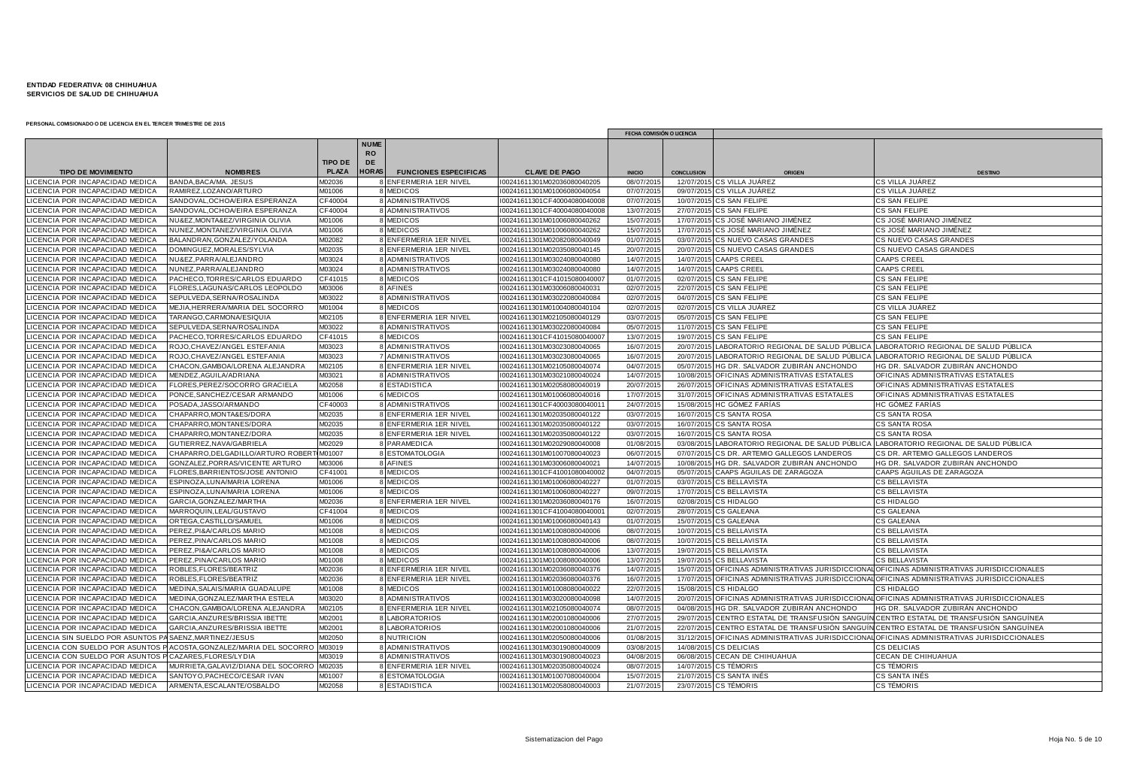|                                                         |                                           |                |              |                              |                             | FECHA COMISIÓN O LICENCIA |                   |                                                 |                                                                                              |
|---------------------------------------------------------|-------------------------------------------|----------------|--------------|------------------------------|-----------------------------|---------------------------|-------------------|-------------------------------------------------|----------------------------------------------------------------------------------------------|
|                                                         |                                           |                | <b>NUME</b>  |                              |                             |                           |                   |                                                 |                                                                                              |
|                                                         |                                           |                | <b>RO</b>    |                              |                             |                           |                   |                                                 |                                                                                              |
|                                                         |                                           | <b>TIPO DE</b> | <b>DE</b>    |                              |                             |                           |                   |                                                 |                                                                                              |
| <b>TIPO DE MOVIMIENTO</b>                               | <b>NOMBRES</b>                            | PLAZA          | <b>HORAS</b> | <b>FUNCIONES ESPECIFICAS</b> | <b>CLAVE DE PAGO</b>        | <b>INICIO</b>             | <b>CONCLUSION</b> | ORIGEN                                          | <b>DESTINO</b>                                                                               |
| ICENCIA POR INCAPACIDAD MEDICA                          | BANDA, BACA/MA. JESUS                     | M02036         |              | 8 ENFERMERIA 1ER NIVEL       | 00241611301M02036080040205  | 08/07/2015                |                   | 12/07/2015 CS VILLA JUÁREZ                      | CS VILLA JUÁREZ                                                                              |
| <b>CENCIA POR INCAPACIDAD MEDICA</b>                    | RAMIREZ.LOZANO/ARTURO                     | M01006         |              | <b>MEDICOS</b>               | 00241611301M01006080040054  | 07/07/2015                |                   | 09/07/2015 CS VILLA JUÁREZ                      | CS VILLA JUAREZ                                                                              |
| <b>CENCIA POR INCAPACIDAD MEDICA</b>                    | SANDOVAL, OCHOA/EIRA ESPERANZA            | CF40004        |              | 8 ADMINISTRATIVOS            | 00241611301CF4000408004000  | 07/07/2015                |                   | 10/07/2015 CS SAN FELIPE                        | CS SAN FELIPE                                                                                |
| ICENCIA POR INCAPACIDAD MEDICA                          | SANDOVAL, OCHOA/EIRA ESPERANZA            | CF40004        |              | 8 ADMINISTRATIVOS            | 00241611301CF4000408004000  | 13/07/2015                |                   | 27/07/2015 CS SAN FELIPE                        | CS SAN FELIPE                                                                                |
| CENCIA POR INCAPACIDAD MEDICA                           | NU&EZ.MONTA&EZ/VIRGINIA OLIVIA            | M01006         |              | 8 MEDICOS                    | 00241611301M01006080040262  | 15/07/2015                |                   | 17/07/2015 CS JOSÉ MARIANO JIMÉNEZ              | CS JOSÉ MARIANO JIMÉNEZ                                                                      |
| ICENCIA POR INCAPACIDAD MEDICA                          | NUNEZ, MONTANEZ/VIRGINIA OLIVIA           | M01006         |              | 8 MEDICOS                    | 00241611301M01006080040262  | 15/07/201                 |                   | 17/07/2015 CS JOSÉ MARIANO JIMÉNEZ              | CS JOSÉ MARIANO JIMÉNEZ                                                                      |
| ICENCIA POR INCAPACIDAD MEDICA                          | BALANDRAN, GONZALEZ/YOLANDA               | M02082         |              | 8 ENFERMERIA 1ER NIVEL       | 00241611301M02082080040049  | 01/07/201                 |                   | 03/07/2015 CS NUEVO CASAS GRANDES               | CS NUEVO CASAS GRANDES                                                                       |
| <b>CENCIA POR INCAPACIDAD MEDICA</b>                    | OMINGUEZ, MORALES/SYLVIA                  | M02035         |              | 8 ENFERMERIA 1ER NIVEL       | 00241611301M02035080040145  | 20/07/201                 |                   | 20/07/2015 CS NUEVO CASAS GRANDES               | CS NUEVO CASAS GRANDES                                                                       |
| ICENCIA POR INCAPACIDAD MEDICA                          | NU&EZ, PARRA/ALEJANDRO                    | M03024         |              | 8 ADMINISTRATIVOS            | 00241611301M03024080040080  | 14/07/2015                |                   | 14/07/2015 CAAPS CREEL                          | <b>CAAPS CREEL</b>                                                                           |
| ICENCIA POR INCAPACIDAD MEDICA                          | NUNEZ, PARRA/ALEJANDRO                    | M03024         |              | 8 ADMINISTRATIVOS            | 00241611301M03024080040080  | 14/07/2015                |                   | 14/07/2015 CAAPS CREEL                          | <b>CAAPS CREEL</b>                                                                           |
| ICENCIA POR INCAPACIDAD MEDICA                          | PACHECO, TORRES/CARLOS EDUARDO            | CF41015        |              | 8 MEDICOS                    | 00241611301CF4101508004000  | 01/07/2015                |                   | 02/07/2015 CS SAN FELIPE                        | CS SAN FELIPE                                                                                |
| <b>CENCIA POR INCAPACIDAD MEDICA</b>                    | LORES, LAGUNAS/CARLOS LEOPOLDO            | M03006         |              | 8 AFINES                     | 00241611301M03006080040031  | 02/07/201                 |                   | 22/07/2015 CS SAN FELIPE                        | CS SAN FELIPE                                                                                |
| ICENCIA POR INCAPACIDAD MEDIC.                          | SEPULVEDA, SERNA/ROSALINDA                | M03022         |              | 8 ADMINISTRATIVOS            | 00241611301M03022080040084  | 02/07/201                 |                   | 04/07/2015 CS SAN FELIPE                        | CS SAN FELIPE                                                                                |
| <b>ICENCIA POR INCAPACIDAD MEDICA</b>                   | MEJIA, HERRERA/MARIA DEL SOCORRO          | M01004         |              | 8 MEDICOS                    | 00241611301M01004080040104  | 02/07/2015                |                   | 02/07/2015 CS VILLA JUÁREZ                      | CS VILLA JUÁREZ                                                                              |
| ICENCIA POR INCAPACIDAD MEDICA                          | TARANGO, CARMONA/ESIQUIA                  | M02105         |              | 8 ENFERMERIA 1ER NIVEL       | 00241611301M02105080040129  | 03/07/201                 |                   | 05/07/2015 CS SAN FELIPE                        | CS SAN FELIPE                                                                                |
| ICENCIA POR INCAPACIDAD MEDIC/                          | SEPULVEDA, SERNA/ROSALINDA                | M03022         |              | 8 ADMINISTRATIVOS            | 00241611301M03022080040084  | 05/07/201                 |                   | 11/07/2015 CS SAN FELIPE                        | CS SAN FELIPE                                                                                |
| ICENCIA POR INCAPACIDAD MEDICA                          | PACHECO, TORRES/CARLOS EDUARDO            | CF41015        |              | 8 MEDICOS                    | 00241611301CF41015080040007 | 13/07/2015                |                   | 19/07/2015 CS SAN FELIPE                        | CS SAN FELIPE                                                                                |
| ICENCIA POR INCAPACIDAD MEDICA                          | ROJO, CHAVEZ/ANGEL ESTEFANIA              | M03023         |              | 8 ADMINISTRATIVOS            | 00241611301M03023080040065  | 16/07/2015                |                   | 20/07/2015 LABORATORIO REGIONAL DE SALUD PÚBLIC | LABORATORIO REGIONAL DE SALUD PÚBLICA                                                        |
| <b>CENCIA POR INCAPACIDAD MEDICA</b>                    | ROJO, CHAVEZ/ANGEL ESTEFANIA              | M03023         |              | 7 ADMINISTRATIVOS            | 00241611301M03023080040065  | 16/07/201                 |                   | 20/07/2015 LABORATORIO REGIONAL DE SALUD PÚBLI  | LABORATORIO REGIONAL DE SALUD PÚBLICA                                                        |
| <b>CENCIA POR INCAPACIDAD MEDICA</b>                    | CHACON, GAMBOA/LORENA ALEJANDRA           | M02105         |              | 8 ENFERMERIA 1ER NIVEL       | 00241611301M02105080040074  | 04/07/201                 |                   | 05/07/2015 HG DR. SALVADOR ZUBIRÁN ANCHONDO     | HG DR. SALVADOR ZUBIRÁN ANCHONDO                                                             |
| ICENCIA POR INCAPACIDAD MEDICA                          | MENDEZ, AGUILA/ADRIANA                    | M03021         |              | 8 ADMINISTRATIVOS            | 00241611301M03021080040024  | 14/07/2015                |                   | 10/08/2015 OFICINAS ADMINISTRATIVAS ESTATALES   | OFICINAS ADMINISTRATIVAS ESTATALES                                                           |
| ICENCIA POR INCAPACIDAD MEDICA                          | FLORES, PEREZ/SOCORRO GRACIELA            | M02058         |              | 8 ESTADISTICA                | 00241611301M02058080040019  | 20/07/2015                |                   | 26/07/2015 OFICINAS ADMINISTRATIVAS ESTATALES   | OFICINAS ADMINISTRATIVAS ESTATALES                                                           |
| <b>ICENCIA POR INCAPACIDAD MEDICA</b>                   | PONCE, SANCHEZ/CESAR ARMANDO              | M01006         |              | 6 MEDICOS                    | 00241611301M0100608004001   | 17/07/201                 |                   | 31/07/2015 OFICINAS ADMINISTRATIVAS ESTATALES   | OFICINAS ADMINISTRATIVAS ESTATALES                                                           |
| <b>CENCIA POR INCAPACIDAD MEDICA</b>                    | POSADA, JASSO/ARMANDO                     | CF40003        |              | 8 ADMINISTRATIVOS            | 00241611301CF4000308004001  | 24/07/201                 |                   | 15/08/2015 HC GÓMEZ FARÍAS                      | HC GÓMEZ FARÍAS                                                                              |
| ICENCIA POR INCAPACIDAD MEDICA                          | CHAPARRO, MONTA&ES/DORA                   | M02035         |              | 8 ENFERMERIA 1ER NIVEL       | 00241611301M02035080040122  | 03/07/201                 |                   | 16/07/2015 CS SANTA ROSA                        | <b>CS SANTA ROSA</b>                                                                         |
| <b>CENCIA POR INCAPACIDAD MEDICA</b>                    | CHAPARRO, MONTANES/DORA                   | M02035         |              | 8 ENFERMERIA 1ER NIVEL       | 00241611301M02035080040122  | 03/07/2015                |                   | 16/07/2015 CS SANTA ROSA                        | <b>CS SANTA ROSA</b>                                                                         |
| ICENCIA POR INCAPACIDAD MEDICA                          | CHAPARRO, MONTANEZ/DORA                   | M02035         |              | 8 ENFERMERIA 1ER NIVEL       | 00241611301M02035080040122  | 03/07/2015                |                   | 16/07/2015 CS SANTA ROSA                        | <b>CS SANTA ROSA</b>                                                                         |
| ICENCIA POR INCAPACIDAD MEDICA                          | GUTIERREZ, NAVA/GABRIELA                  | M02029         |              | 8 PARAMEDICA                 | 00241611301M02029080040008  | 01/08/201                 |                   | 03/08/2015 LABORATORIO REGIONAL DE SALUD PÚBLIC | LABORATORIO REGIONAL DE SALUD PÚBLICA                                                        |
| <b>CENCIA POR INCAPACIDAD MEDICA</b>                    | CHAPARRO, DELGADILLO/ARTURO ROBER         | M01007         |              | 8 ESTOMATOLOGIA              | 00241611301M01007080040023  | 06/07/201                 |                   | 07/07/2015 CS DR. ARTEMIO GALLEGOS LANDEROS     | CS DR. ARTEMIO GALLEGOS LANDEROS                                                             |
| ICENCIA POR INCAPACIDAD MEDICA                          | GONZALEZ, PORRAS/VICENTE ARTURO           | M03006         |              | 8 AFINES                     | 00241611301M03006080040021  | 14/07/2015                |                   | 10/08/2015 HG DR. SALVADOR ZUBIRÁN ANCHONDO     | HG DR. SALVADOR ZUBIRÁN ANCHONDO                                                             |
| ICENCIA POR INCAPACIDAD MEDICA                          | LORES, BARRIENTOS/JOSE ANTONIO            | CF41001        |              | 8 MEDICOS                    | 00241611301CF4100108004000  | 04/07/201                 |                   | 05/07/2015 CAAPS AGUILAS DE ZARAGOZA            | CAAPS ÁGUILAS DE ZARAGOZA                                                                    |
| <b>CENCIA POR INCAPACIDAD MEDICA</b>                    | ESPINOZA, LUNA/MARIA LORENA               | M01006         |              | 8 MEDICOS                    | 00241611301M01006080040227  | 01/07/2015                |                   | 03/07/2015 CS BELLAVISTA                        | CS BELLAVISTA                                                                                |
| ICENCIA POR INCAPACIDAD MEDICA                          | ESPINOZA, LUNA/MARIA LORENA               | M01006         |              | 8 MEDICOS                    | 00241611301M01006080040227  | 09/07/2015                |                   | 17/07/2015 CS BELLAVISTA                        | <b>CS BELLAVISTA</b>                                                                         |
| ICENCIA POR INCAPACIDAD MEDICA                          | GARCIA, GONZALEZ/MARTHA                   | M02036         |              | 8 ENFERMERIA 1ER NIVEL       | 00241611301M02036080040176  | 16/07/2015                |                   | 02/08/2015 CS HIDALGO                           | CS HIDALGO                                                                                   |
| ICENCIA POR INCAPACIDAD MEDICA                          | MARROQUIN, LEAL/GUSTAVO                   | CF41004        |              | 8 MEDICOS                    | 00241611301CF4100408004000  | 02/07/2015                |                   | 28/07/2015 CS GALEANA                           | CS GALEANA                                                                                   |
| <b>CENCIA POR INCAPACIDAD MEDICA</b>                    | ORTEGA, CASTILLO/SAMUEL                   | M01006         |              | 8 MEDICOS                    | 00241611301M01006080040143  | 01/07/2015                |                   | 15/07/2015 CS GALEANA                           | <b>CS GALEANA</b>                                                                            |
| ICENCIA POR INCAPACIDAD MEDIC/                          | PEREZ, PI&A/CARLOS MARIO                  | M01008         |              | 8 MEDICOS                    | 00241611301M01008080040006  | 08/07/201                 |                   | 10/07/2015 CS BELLAVISTA                        | <b>CS BELLAVISTA</b>                                                                         |
| ICENCIA POR INCAPACIDAD MEDICA                          | PEREZ, PINA/CARLOS MARIO                  | M01008         |              | <b>MEDICOS</b>               | 00241611301M01008080040006  | 08/07/201                 |                   | 10/07/2015 CS BELLAVISTA                        | <b>CS BELLAVISTA</b>                                                                         |
| ICENCIA POR INCAPACIDAD MEDICA                          | PEREZ, PI&A/CARLOS MARIO                  | M01008         |              | 8 MEDICOS                    | 00241611301M01008080040006  | 13/07/2015                |                   | 19/07/2015 CS BELLAVISTA                        | CS BELLAVISTA                                                                                |
| ICENCIA POR INCAPACIDAD MEDIC/                          | PEREZ.PINA/CARLOS MARIO                   | M01008         |              | 8 MEDICOS                    | 00241611301M01008080040006  | 13/07/201                 |                   | 19/07/2015 CS BELLAVISTA                        | <b>CS BELLAVISTA</b>                                                                         |
| CENCIA POR INCAPACIDAD MEDICA                           | ROBLES, FLORES/BEATRIZ                    | M02036         |              | 8 ENFERMERIA 1ER NIVEL       | 00241611301M02036080040376  | 14/07/2015                |                   |                                                 | 15/07/2015 OFICINAS ADMINISTRATIVAS JURISDICCIONAL OFICINAS ADMINISTRATIVAS JURISDICCIONALES |
| ICENCIA POR INCAPACIDAD MEDICA                          | ROBLES, FLORES/BEATRIZ                    | M02036         |              | 8 ENFERMERIA 1ER NIVEL       | 00241611301M02036080040376  | 16/07/2015                |                   |                                                 | 17/07/2015 OFICINAS ADMINISTRATIVAS JURISDICCIONAL OFICINAS ADMINISTRATIVAS JURISDICCIONALES |
| ICENCIA POR INCAPACIDAD MEDIC/                          | MEDINA, SALAIS/MARIA GUADALUPE            | M01008         |              | 8 MEDICOS                    | 00241611301M01008080040022  | 22/07/201                 |                   | 15/08/2015 CS HIDALGO                           | CS HIDALGO                                                                                   |
| <b>CENCIA POR INCAPACIDAD MEDICA</b>                    | MEDINA, GONZALEZ/MARTHA ESTELA            | M03020         |              | 8 ADMINISTRATIVOS            | 00241611301M03020080040098  | 14/07/2015                |                   |                                                 | 20/07/2015 OFICINAS ADMINISTRATIVAS JURISDICCIONAL OFICINAS ADMINISTRATIVAS JURISDICCIONALES |
| ICENCIA POR INCAPACIDAD MEDICA                          | CHACON, GAMBOA/LORENA ALEJANDRA           | M02105         |              | 8 ENFERMERIA 1ER NIVEL       | 00241611301M02105080040074  | 08/07/2015                |                   | 04/08/2015 HG DR. SALVADOR ZUBIRÁN ANCHONDO     | HG DR. SALVADOR ZUBIRÁN ANCHONDO                                                             |
| ICENCIA POR INCAPACIDAD MEDICA                          | GARCIA, ANZURES/BRISSIA IBETTE            | M02001         |              | 8 LABORATORIOS               | 00241611301M02001080040006  | 27/07/2015                |                   |                                                 | 29/07/2015 CENTRO ESTATAL DE TRANSFUSIÓN SANGUÍN CENTRO ESTATAL DE TRANSFUSIÓN SANGUÍNEA     |
| ICENCIA POR INCAPACIDAD MEDIC.                          | GARCIA, ANZURES/BRISSIA IBETTE            | M02001         |              | 8 LABORATORIOS               | 00241611301M02001080040006  | 21/07/201                 | 22/07/2015        | 5 CENTRO ESTATAL DE TRANSFUSIÓN SANGU           | IN CENTRO ESTATAL DE TRANSFUSIÓN SANGUÍNEA                                                   |
| ICENCIA SIN SUELDO POR ASUNTOS PA SAENZ, MARTINEZ/JESUS |                                           | M02050         |              | 8 NUTRICION                  | 00241611301M02050080040006  | 01/08/2015                |                   |                                                 | 31/12/2015 OFICINAS ADMINISTRATIVAS JURISDICCIONAL OFICINAS ADMINISTRATIVAS JURISDICCIONALES |
| <b>CENCIA CON SUELDO POR ASUNTOS</b>                    | ACOSTA, GONZALEZ/MARIA DEL SOCORRO M03019 |                |              | 8 ADMINISTRATIVOS            | 00241611301M03019080040009  | 03/08/201                 |                   | 14/08/2015 CS DELICIAS                          | <b>CS DELICIAS</b>                                                                           |
| <b>CENCIA CON SUELDO POR ASUNTO:</b>                    | CAZARES, FLORES/LYDIA                     | M03019         |              | 8 ADMINISTRATIVOS            | 00241611301M03019080040023  | 04/08/201                 |                   | 06/08/2015 CECAN DE CHIHUAHUA                   | CECAN DE CHIHUAHUA                                                                           |
| ICENCIA POR INCAPACIDAD MEDICA                          | MURRIETA,GALAVIZ/DIANA DEL SOCORRO        | M02035         |              | 8 ENFERMERIA 1ER NIVEL       | 00241611301M02035080040024  | 08/07/2015                |                   | 14/07/2015 CS TÉMORIS                           | <b>CS TÉMORIS</b>                                                                            |
| LICENCIA POR INCAPACIDAD MEDICA                         | SANTOY O. PACHECO/CESAR IVAN              | M01007         |              | 8 ESTOMATOLOGIA              | 00241611301M01007080040004  | 15/07/201                 |                   | 21/07/2015 CS SANTA INÉS                        | <b>CS SANTA INÉS</b>                                                                         |
| LICENCIA POR INCAPACIDAD MEDICA                         | ARMENTA, ESCALANTE/OSBALDO                | M02058         |              | <b>8 ESTADISTICA</b>         | 00241611301M02058080040003  | 21/07/2015                |                   | 23/07/2015 CS TÉMORIS                           | <b>CS TÉMORIS</b>                                                                            |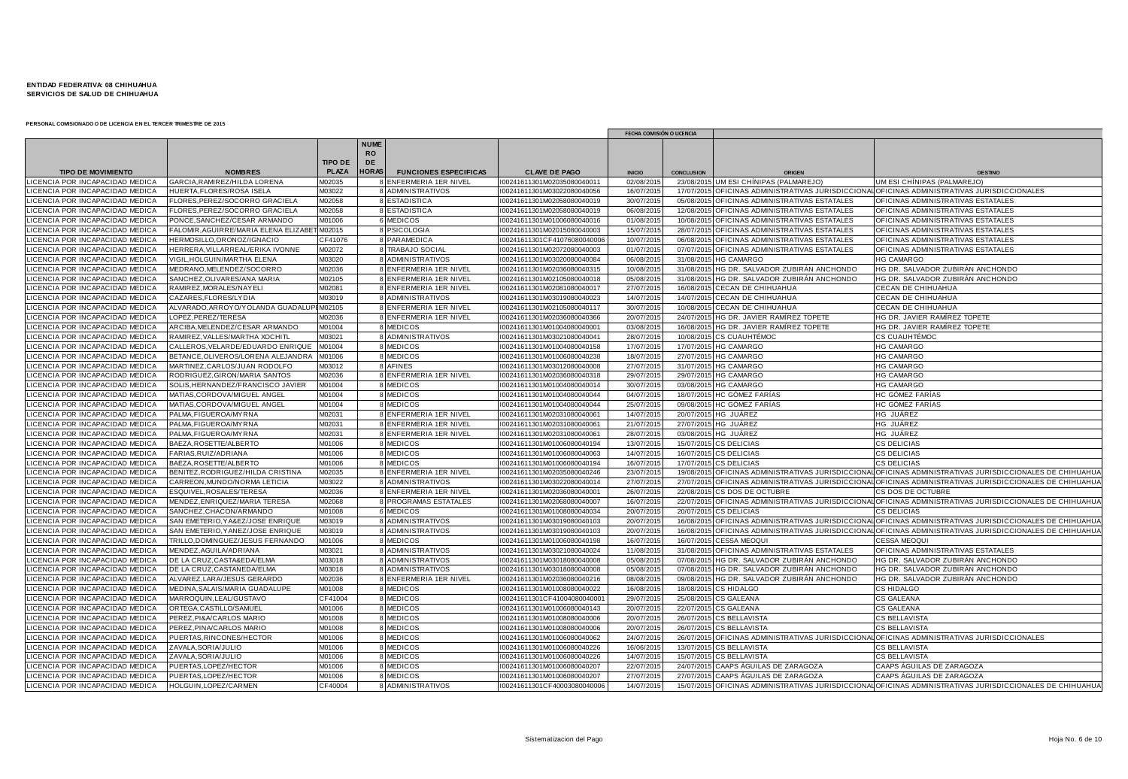|                                                                         |                                                           |                |                                |                              |                                                           | FECHA COMISIÓN O LICENCIA |                   |                                                   |                                                                                                           |
|-------------------------------------------------------------------------|-----------------------------------------------------------|----------------|--------------------------------|------------------------------|-----------------------------------------------------------|---------------------------|-------------------|---------------------------------------------------|-----------------------------------------------------------------------------------------------------------|
|                                                                         |                                                           | <b>TIPO DE</b> | <b>NUME</b><br><b>RO</b><br>DE |                              |                                                           |                           |                   |                                                   |                                                                                                           |
| <b>TIPO DE MOVIMIENTO</b>                                               | <b>NOMBRES</b>                                            | <b>PLAZA</b>   | <b>HORAS</b>                   | <b>FUNCIONES ESPECIFICAS</b> | <b>CLAVE DE PAGO</b>                                      | <b>INICIO</b>             | <b>CONCLUSION</b> | ORIGE                                             | <b>DESTING</b>                                                                                            |
| LICENCIA POR INCAPACIDAD MEDICA                                         | GARCIA, RAMIREZ/HILDA LORENA                              | A02035         |                                | ENFERMERIA 1ER NIVEL         | I00241611301M02035080040011                               | 02/08/201                 |                   | 23/08/2015 UM ESI CHÍNIPAS (PALMAREJO)            | UM ESI CHÍNIPAS (PALMAREJO                                                                                |
| LICENCIA POR INCAPACIDAD MEDICA                                         | HUERTA.FLORES/ROSA ISELA                                  | M03022         |                                | 8 ADMINISTRATIVOS            | I00241611301M03022080040056                               | 16/07/201                 | 17/07/2015        |                                                   | OFICINAS ADMINISTRATIVAS JURISDICCIONAL OFICINAS ADMINISTRATIVAS JURISDICCIONALES                         |
| <b>CENCIA POR INCAPACIDAD MEDICA</b>                                    | FLORES, PEREZ/SOCORRO GRACIELA                            | M02058         |                                | 8 ESTADISTICA                | 00241611301M02058080040019                                | 30/07/201                 |                   | 05/08/2015 OFICINAS ADMINISTRATIVAS ESTATALES     | OFICINAS ADMINISTRATIVAS ESTATALES                                                                        |
| LICENCIA POR INCAPACIDAD MEDICA                                         | FLORES, PEREZ/SOCORRO GRACIELA                            | M02058         |                                | 8 ESTADISTICA                | I00241611301M02058080040019                               | 06/08/201                 | 12/08/201         | OFICINAS ADMINISTRATIVAS ESTATALES                | OFICINAS ADMINISTRATIVAS ESTATALES                                                                        |
| ICENCIA POR INCAPACIDAD MEDICA                                          | PONCE, SANCHEZ/CESAR ARMANDO                              | M01006         |                                | 6 MEDICOS                    | 00241611301M01006080040016                                | 01/08/201                 |                   | 10/08/2015 OFICINAS ADMINISTRATIVAS ESTATALES     | OFICINAS ADMINISTRATIVAS ESTATALES                                                                        |
| ICENCIA POR INCAPACIDAD MEDICA                                          | FALOMIR, AGUIRRE/MARIA ELENA ELIZABE                      | M02015         |                                | 8 PSICOLOGIA                 | 00241611301M02015080040003                                | 15/07/201                 | 28/07/2015        | OFICINAS ADMINISTRATIVAS ESTATALES                | OFICINAS ADMINISTRATIVAS ESTATALES                                                                        |
| LICENCIA POR INCAPACIDAD MEDICA                                         | HERMOSILLO, ORONOZ/IGNACIO                                | CF41076        |                                | 8 PARAMEDICA                 | I00241611301CF41076080040006                              | 10/07/201                 |                   | 06/08/2015 OFICINAS ADMINISTRATIVAS ESTATALES     | OFICINAS ADMINISTRATIVAS ESTATALES                                                                        |
| CENCIA POR INCAPACIDAD MEDICA                                           | HERRERA. VILLARREAL/ERIKA IVONNE                          | M02072         |                                | 8 TRABAJO SOCIAL             | 00241611301M02072080040003                                | 01/07/201                 |                   | 07/07/2015 OFICINAS ADMINISTRATIVAS ESTATALES     | OFICINAS ADMINISTRATIVAS ESTATALES                                                                        |
| ICENCIA POR INCAPACIDAD MEDICA                                          | VIGIL, HOLGUIN/MARTHA ELENA                               | M03020         |                                | 8 ADMINISTRATIVOS            | 00241611301M03020080040084                                | 06/08/201                 | 31/08/2015        | <b>HG CAMARGO</b>                                 | <b>HG CAMARGO</b>                                                                                         |
| <b>CENCIA POR INCAPACIDAD MEDICA</b>                                    | MEDRANO, MELENDEZ/SOCORRO                                 | M02036         |                                | 8 ENFERMERIA 1ER NIVEL       | 00241611301M02036080040315                                | 10/08/201                 |                   | 31/08/2015 HG DR. SALVADOR ZUBIRÁN ANCHONDO       | HG DR. SALVADOR ZUBIRÁN ANCHONDO                                                                          |
| <b>CENCIA POR INCAPACIDAD MEDICA</b>                                    | SANCHEZ, OLIVARES/ANA MARIA                               | M02105         |                                | 8 ENFERMERIA 1ER NIVEL       | I00241611301M02105080040018                               | 05/08/201                 |                   | 31/08/2015 HG DR. SALVADOR ZUBIRÁN ANCHONDO       | HG DR. SALVADOR ZUBIRÁN ANCHONDO                                                                          |
| <b>CENCIA POR INCAPACIDAD MEDICA</b>                                    | RAMIREZ, MORALES/NAYELI                                   | M02081         |                                | 8 ENFERMERIA 1ER NIVEL       | I00241611301M02081080040017                               | 27/07/201                 |                   | 16/08/2015 CECAN DE CHIHUAHUA                     | CECAN DE CHIHUAHUA                                                                                        |
| ICENCIA POR INCAPACIDAD MEDICA                                          | CAZARES, FLORES/LYDIA                                     | M03019         |                                | 8 ADMINISTRATIVOS            | I00241611301M03019080040023                               | 14/07/201                 |                   | 14/07/2015 CECAN DE CHIHUAHUA                     | CECAN DE CHIHUAHUA                                                                                        |
| LICENCIA POR INCAPACIDAD MEDICA                                         | ALVARADO, ARROYO/YOLANDA GUADALUF                         | M02105         |                                | 8 ENFERMERIA 1ER NIVEL       | I00241611301M02105080040117                               | 30/07/201                 |                   | 10/08/2015 CECAN DE CHIHUAHUA                     | CECAN DE CHIHUAHUA                                                                                        |
| CENCIA POR INCAPACIDAD MEDICA                                           | OPEZ, PEREZ/TERESA                                        | M02036         |                                | 8 ENFERMERIA 1ER NIVEL       | 00241611301M02036080040366                                | 20/07/201                 |                   | 24/07/2015 HG DR. JAVIER RAMÍREZ TOPETE           | HG DR. JAVIER RAMÍREZ TOPETE                                                                              |
| LICENCIA POR INCAPACIDAD MEDICA                                         | ARCIBA, MELENDEZ/CESAR ARMANDO                            | M01004         |                                | 8 MEDICOS                    | I00241611301M01004080040001                               | 03/08/201                 | 16/08/201         | HG DR. JAVIER RAMÍREZ TOPETE                      | HG DR. JAVIER RAMÍREZ TOPETE                                                                              |
| ICENCIA POR INCAPACIDAD MEDICA                                          | RAMIREZ, VALLES/MARTHA XOCHITL                            | M03021         |                                | 8 ADMINISTRATIVOS            | I00241611301M03021080040041                               | 28/07/201                 |                   | 10/08/2015 CS CUAUHTÉMOC                          | CS CUAUHTÉMOC                                                                                             |
| ICENCIA POR INCAPACIDAD MEDICA                                          | CALLEROS, VELARDE/EDUARDO ENRIQUE                         | 01004          |                                | <b>MEDICOS</b>               | I00241611301M01004080040158                               | 17/07/201                 | 17/07/201         | <b>HG CAMARGO</b>                                 | <b>HG CAMARGO</b>                                                                                         |
| LICENCIA POR INCAPACIDAD MEDICA                                         | BETANCE, OLIVEROS/LORENA ALEJANDRA                        | M01006         |                                | 8 MEDICOS                    | I00241611301M01006080040238                               | 18/07/201                 |                   | 27/07/2015 HG CAMARGO                             | <b>HG CAMARGO</b>                                                                                         |
| <b>ICENCIA POR INCAPACIDAD MEDICA</b>                                   | MARTINEZ, CARLOS/JUAN RODOLFO                             | M03012         |                                | 8 AFINES                     | I00241611301M03012080040008                               | 27/07/201                 |                   | 31/07/2015 HG CAMARGO                             | <b>HG CAMARGO</b>                                                                                         |
| LICENCIA POR INCAPACIDAD MEDICA                                         | RODRIGUEZ, GIRON/MARIA SANTOS                             | M02036         |                                | 8 ENFERMERIA 1ER NIVEL       | I00241611301M02036080040318                               | 29/07/201                 |                   | 29/07/2015 HG CAMARGO                             | <b>HG CAMARGO</b>                                                                                         |
| <b>ICENCIA POR INCAPACIDAD MEDICA</b>                                   | SOLIS, HERNANDEZ/FRANCISCO JAVIER                         | M01004         |                                | 8 MEDICOS                    | 00241611301M01004080040014                                | 30/07/201                 |                   | 03/08/2015 HG CAMARGO                             | <b>HG CAMARGO</b>                                                                                         |
| <b>CENCIA POR INCAPACIDAD MEDICA</b>                                    | MATIAS, CORDOVA/MIGUEL ANGEI                              | M01004         |                                | 8 MEDICOS                    | I00241611301M01004080040044                               | 04/07/201                 |                   | 18/07/2015 HC GÓMEZ FARÍAS                        | HC GÓMEZ FARÍAS                                                                                           |
| LICENCIA POR INCAPACIDAD MEDICA                                         | MATIAS, CORDOVA/MIGUEL ANGEL                              | M01004         |                                | 8 MEDICOS                    | I00241611301M01004080040044                               | 25/07/201                 |                   | 09/08/2015 HC GÓMEZ FARÍAS                        | HC GÓMEZ FARÍAS                                                                                           |
| ICENCIA POR INCAPACIDAD MEDICA                                          | PALMA, FIGUEROA/MY RNA                                    | M02031         |                                | 8 ENFERMERIA 1ER NIVEL       | I00241611301M02031080040061                               | 14/07/201                 |                   | 20/07/2015 HG JUÁREZ                              | HG JUÁREZ                                                                                                 |
| <b>ICENCIA POR INCAPACIDAD MEDICA</b>                                   | PALMA, FIGUEROA/MY RNA                                    | M02031         |                                | 8 ENFERMERIA 1ER NIVEL       | I00241611301M02031080040061                               | 21/07/201                 |                   | 27/07/2015 HG JUÁREZ                              | HG JUÁREZ                                                                                                 |
| ICENCIA POR INCAPACIDAD MEDICA                                          | PALMA, FIGUEROA/MY RNA                                    | M02031         |                                | 8 ENFERMERIA 1ER NIVEL       | 00241611301M02031080040061                                | 28/07/201                 |                   | 03/08/2015 HG JUÁREZ                              | HG JUÁREZ                                                                                                 |
| LICENCIA POR INCAPACIDAD MEDICA                                         | BAEZA, ROSETTE/ALBERTO                                    | M01006         |                                | 8 MEDICOS                    | I00241611301M01006080040194                               | 13/07/201                 |                   | 15/07/2015 CS DELICIAS                            | <b>CS DELICIAS</b>                                                                                        |
| ICENCIA POR INCAPACIDAD MEDICA                                          | FARIAS, RUIZ/ADRIANA                                      | M01006         |                                | 8 MEDICOS                    | I00241611301M01006080040063                               | 14/07/201                 |                   | 16/07/2015 CS DELICIAS                            | <b>CS DELICIAS</b>                                                                                        |
| <b>ICENCIA POR INCAPACIDAD MEDICA</b>                                   | BAEZA, ROSETTE/ALBERTO                                    | M01006         |                                | <b>MEDICOS</b>               | I00241611301M01006080040194                               | 16/07/201                 | 17/07/201         | <b>CS DELICIAS</b>                                | <b>CS DELICIAS</b>                                                                                        |
| LICENCIA POR INCAPACIDAD MEDICA                                         | BENITEZ, RODRIGUEZ/HILDA CRISTINA                         | M02035         |                                | 8 ENFERMERIA 1ER NIVEL       | I00241611301M02035080040246                               | 23/07/201                 |                   |                                                   | 19/08/2015 OFICINAS ADMINISTRATIVAS JURISDICCIONAL OFICINAS ADMINISTRATIVAS JURISDICCIONALES DE CHIHUAHUA |
| ICENCIA POR INCAPACIDAD MEDICA                                          | CARREON, MUNDO/NORMA LETICIA                              | M03022         |                                | 8 ADMINISTRATIVOS            | 00241611301M03022080040014                                | 27/07/201                 |                   |                                                   | 27/07/2015 OFICINAS ADMINISTRATIVAS JURISDICCIONAL OFICINAS ADMINISTRATIVAS JURISDICCIONALES DE CHIHUAHUA |
| LICENCIA POR INCAPACIDAD MEDICA                                         | ESQUIVEL, ROSALES/TERESA                                  | M02036         |                                | 8 ENFERMERIA 1ER NIVEL       | I00241611301M02036080040001                               | 26/07/201                 |                   | 22/08/2015 CS DOS DE OCTUBRE                      | CS DOS DE OCTUBRE                                                                                         |
| <b>CENCIA POR INCAPACIDAD MEDICA</b>                                    | MENDEZ, ENRIQUEZ/MARIA TERESA                             | M02068         |                                | 8 PROGRAMAS ESTATALES        | 00241611301M02068080040007                                | 16/07/201                 |                   |                                                   | 22/07/2015 OFICINAS ADMINISTRATIVAS JURISDICCIONAL OFICINAS ADMINISTRATIVAS JURISDICCIONALES DE CHIHUAHUA |
| CENCIA POR INCAPACIDAD MEDICA                                           | SANCHEZ, CHACON/ARMANDO                                   | M01008         |                                | 6 MEDICOS                    | 00241611301M01008080040034                                | 20/07/201                 |                   | 20/07/2015 CS DELICIAS                            | <b>S DELICIAS</b>                                                                                         |
| ICENCIA POR INCAPACIDAD MEDICA                                          | SAN EMETERIO, YA&EZ/JOSE ENRIQUE                          | M03019         |                                | 8 ADMINISTRATIVOS            | I00241611301M03019080040103                               | 20/07/201                 |                   | 16/08/2015 OFICINAS ADMINISTRATIVAS JURISDICCIONA | OFICINAS ADMINISTRATIVAS JURISDICCIONALES DE CHIHUAHUA                                                    |
| LICENCIA POR INCAPACIDAD MEDICA                                         | SAN EMETERIO, YANEZ/JOSE ENRIQUE                          | M03019         |                                | 8 ADMINISTRATIVOS            | I00241611301M03019080040103                               | 20/07/201                 |                   |                                                   | 16/08/2015 OFICINAS ADMINISTRATIVAS JURISDICCIONAL OFICINAS ADMINISTRATIVAS JURISDICCIONALES DE CHIHUAHUA |
| ICENCIA POR INCAPACIDAD MEDICA                                          | TRILLO, DOMINGUEZ/JESUS FERNANDO                          | M01006         |                                | 8 MEDICOS                    | I00241611301M01006080040198                               | 16/07/201                 |                   | 16/07/2015 CESSA MEOQUI                           | <b>CESSA MEOQUI</b>                                                                                       |
| <b>CENCIA POR INCAPACIDAD MEDICA</b>                                    | MENDEZ, AGUILA/ADRIANA                                    | A03021         |                                | 8 ADMINISTRATIVOS            | 00241611301M03021080040024                                | 11/08/201                 |                   | 31/08/2015 OFICINAS ADMINISTRATIVAS ESTATALES     | OFICINAS ADMINISTRATIVAS ESTATALES                                                                        |
| ICENCIA POR INCAPACIDAD MEDICA                                          | DE LA CRUZ, CASTA&EDA/ELMA                                | M03018         |                                | 8 ADMINISTRATIVOS            | I00241611301M03018080040008                               | 05/08/201                 |                   | 07/08/2015 HG DR. SALVADOR ZUBIRÁN ANCHONDO       | HG DR. SALVADOR ZUBIRÁN ANCHONDO                                                                          |
| <b>CENCIA POR INCAPACIDAD MEDICA</b>                                    |                                                           | M03018         |                                | 8 ADMINISTRATIVOS            |                                                           | 05/08/201                 |                   | HG DR. SALVADOR ZUBIRÁN ANCHONDO                  | HG DR. SALVADOR ZUBIRÁN ANCHONDO                                                                          |
| <b>CENCIA POR INCAPACIDAD MEDICA</b>                                    | DE LA CRUZ, CASTANEDA/ELMA<br>ALVAREZ, LARA/JESUS GERARDO | M02036         |                                | 8 ENFERMERIA 1ER NIVEL       | 00241611301M03018080040008<br>I00241611301M02036080040216 | 08/08/201                 | 07/08/20          | 09/08/2015 HG DR. SALVADOR ZUBIRÁN ANCHONDO       | HG DR. SALVADOR ZUBIRÁN ANCHONDO                                                                          |
| LICENCIA POR INCAPACIDAD MEDICA                                         | MEDINA, SALAIS/MARIA GUADALUPE                            | M01008         |                                | 8 MEDICOS                    | I00241611301M01008080040022                               | 16/08/201                 |                   | 18/08/2015 CS HIDALGO                             | CS HIDALGO                                                                                                |
|                                                                         |                                                           | CF41004        |                                |                              |                                                           | 29/07/201                 |                   |                                                   |                                                                                                           |
| <b>CENCIA POR INCAPACIDAD MEDICA</b>                                    | MARROQUIN, LEAL/GUSTAVO                                   | M01006         |                                | 8 MEDICOS                    | 00241611301CF41004080040001                               | 20/07/201                 |                   | 25/08/2015 CS GALEANA                             | CS GALEANA                                                                                                |
| LICENCIA POR INCAPACIDAD MEDICA<br><b>CENCIA POR INCAPACIDAD MEDICA</b> | ORTEGA, CASTILLO/SAMUEL<br>PEREZ, PI&A/CARLOS MARIO       | M01008         |                                | 8 MEDICOS<br><b>MEDICOS</b>  | I00241611301M01006080040143<br>00241611301M01008080040006 | 20/07/201                 |                   | 22/07/2015 CS GALEANA                             | <b>CS GALEANA</b><br>CS BELLAVISTA                                                                        |
|                                                                         |                                                           |                |                                |                              |                                                           |                           |                   | 26/07/2015 CS BELLAVISTA                          |                                                                                                           |
| CENCIA POR INCAPACIDAD MEDICA                                           | PEREZ, PINA/CARLOS MARIO                                  | M01008         |                                | 8 MEDICOS                    | 00241611301M01008080040006                                | 20/07/201                 | 26/07/2015        | <b>CS BELLAVISTA</b>                              | <b>CS BELLAVISTA</b>                                                                                      |
| ICENCIA POR INCAPACIDAD MEDICA                                          | PUERTAS, RINCONES/HECTOR                                  | M01006         |                                | 8 MEDICOS                    | I00241611301M01006080040062                               | 24/07/201                 |                   |                                                   | 26/07/2015 OFICINAS ADMINISTRATIVAS JURISDICCIONAL OFICINAS ADMINISTRATIVAS JURISDICCIONALES              |
| <b>CENCIA POR INCAPACIDAD MEDICA</b>                                    | ZAVALA, SORIA/JULIO                                       | M01006         |                                | 8 MEDICOS                    | I00241611301M01006080040226                               | 16/06/201                 |                   | 13/07/2015 CS BELLAVISTA                          | CS BELLAVISTA                                                                                             |
| <b>ICENCIA POR INCAPACIDAD MEDICA</b>                                   | ZAVALA, SORIA/JULIO                                       | M01006         |                                | 8 MEDICOS                    | I00241611301M01006080040226                               | 14/07/201                 |                   | 15/07/2015 CS BELLAVISTA                          | CS BELLAVISTA                                                                                             |
| <b>CENCIA POR INCAPACIDAD MEDICA</b>                                    | PUERTAS.LOPEZ/HECTOR                                      | M01006         |                                | 8 MEDICOS                    | 00241611301M01006080040207                                | 22/07/201                 |                   | 24/07/2015 CAAPS AGUILAS DE ZARAGOZA              | CAAPS AGUILAS DE ZARAGOZA                                                                                 |
| LICENCIA POR INCAPACIDAD MEDICA                                         | PUERTAS, LOPEZ/HECTOR                                     | M01006         |                                | 8 MEDICOS                    | 00241611301M01006080040207                                | 27/07/201                 |                   | 27/07/2015 CAAPS AGUILAS DE ZARAGOZA              | CAAPS ÁGUILAS DE ZARAGOZA                                                                                 |
| LICENCIA POR INCAPACIDAD MEDICA                                         | HOLGUIN, LOPEZ/CARMEN                                     | F40004         |                                | 8 ADMINISTRATIVOS            | I00241611301CF40003080040006                              | 14/07/201                 |                   |                                                   | 15/07/2015 OFICINAS ADMINISTRATIVAS JURISDICCIONAL OFICINAS ADMINISTRATIVAS JURISDICCIONALES DE CHIHUAHUA |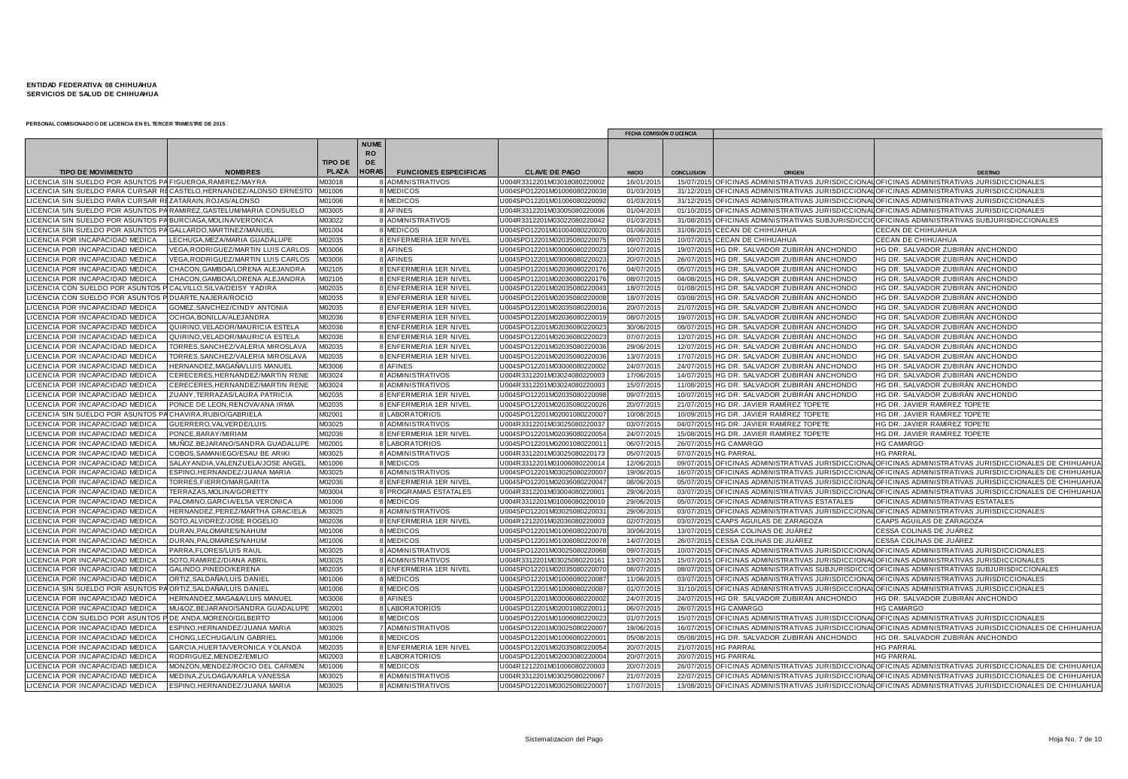|                                                                    |                                                                     |                |                          |                                             |                                                           | FECHA COMISIÓN O LICENCIA |                        |                                                                      |                                                                                                           |
|--------------------------------------------------------------------|---------------------------------------------------------------------|----------------|--------------------------|---------------------------------------------|-----------------------------------------------------------|---------------------------|------------------------|----------------------------------------------------------------------|-----------------------------------------------------------------------------------------------------------|
|                                                                    |                                                                     |                | <b>NUME</b><br><b>RO</b> |                                             |                                                           |                           |                        |                                                                      |                                                                                                           |
|                                                                    |                                                                     | <b>TIPO DE</b> | <b>DE</b>                |                                             |                                                           |                           |                        |                                                                      |                                                                                                           |
| <b>TIPO DE MOVIMIENTO</b>                                          | <b>NOMBRES</b>                                                      | <b>PLAZA</b>   | <b>HORAS</b>             | <b>FUNCIONES ESPECIFICAS</b>                | <b>CLAVE DE PAGO</b>                                      | <b>INICIO</b>             | <b>CONCLUSION</b>      | ORIGEN                                                               | DESTINO                                                                                                   |
| LICENCIA SIN SUELDO POR ASUNTOS PA FIGUEROA, RAMIREZ/MAYRA         |                                                                     | M03018         |                          | ADMINISTRATIVOS                             | J004R3312201M03018080220002                               | 16/01/201                 | 15/07/2015             |                                                                      | OFICINAS ADMINISTRATIVAS JURISDICCIONAL OFICINAS ADMINISTRATIVAS JURISDICCIONALES                         |
|                                                                    | LICENCIA SIN SUELDO PARA CURSAR RECASTELO,HERNANDEZ/ALONSO ERNESTO  | M01006         |                          | MEDICOS                                     | J004SPO12201M0100608022003                                | 01/03/201                 | 31/12/201              |                                                                      | OFICINAS ADMINISTRATIVAS JURISDICCIONAL OFICINAS ADMINISTRATIVAS JURISDICCIONALES                         |
| LICENCIA SIN SUELDO PARA CURSAR REZATARAIN, ROJAS/ALONSO           |                                                                     | M01006         |                          | <b>MEDICOS</b>                              | U004SPO12201M0100608022009                                | 01/03/201                 | 31/12/201              |                                                                      | OFICINAS ADMINISTRATIVAS JURISDICCIONAL OFICINAS ADMINISTRATIVAS JURISDICCIONALES                         |
|                                                                    | LICENCIA SIN SUELDO POR ASUNTOS PA RAMIREZ, GASTELUM/MARIA CONSUELO | M03005         |                          | 8 AFINES                                    | U004R3312201M0300508022000                                | 01/04/201                 | 01/10/201              |                                                                      | OFICINAS ADMINISTRATIVAS JURISDICCIONAL OFICINAS ADMINISTRATIVAS JURISDICCIONALES                         |
| LICENCIA SIN SUELDO POR ASUNTOS PA BURCIAGA, MOLINA/VERONICA       |                                                                     | M03022         |                          | <b>ADMINISTRATIVOS</b>                      | U004R3312201M03022080220042                               | 01/03/201                 | 31/08/2015             |                                                                      | 5 OFICINAS ADMINISTRATIVAS SUBJURISDICCIO OFICINAS ADMINISTRATIVAS SUBJURISDICCIONALES                    |
| LICENCIA SIN SUELDO POR ASUNTOS PA GALLARDO, MARTINEZ/MANUEL       |                                                                     | M01004         |                          | <b>MEDICOS</b>                              | U004SPO12201M0100408022002                                | 01/06/201                 | 31/08/201              | CECAN DE CHIHUAHUA                                                   | CECAN DE CHIHUAHUA                                                                                        |
| LICENCIA POR INCAPACIDAD MEDICA                                    | LECHUGA, MEZA/MARIA GUADALUPE                                       | M02035         |                          | ENFERMERIA 1ER NIVEL                        | U004SPO12201M0203508022007                                | 09/07/201                 | 10/07/201              | <b>CECAN DE CHIHUAHUA</b>                                            | CECAN DE CHIHUAHUA                                                                                        |
| LICENCIA POR INCAPACIDAD MEDICA                                    | VEGA.RODRIGUEZ/MARTIN LUIS CARLOS                                   | M03006         |                          | <b>AFINES</b>                               | U004SPO12201M0300608022002                                | 10/07/201                 | 19/07/201              | HG DR. SALVADOR ZUBIRÁN ANCHONDO                                     | HG DR. SALVADOR ZUBIRÁN ANCHONDO                                                                          |
| LICENCIA POR INCAPACIDAD MEDICA                                    | VEGA.RODRIGUEZ/MARTIN LUIS CARLOS                                   | M03006         |                          | 8 AFINES                                    | U004SPO12201M0300608022002                                | 20/07/201                 | 26/07/201              | HG DR. SALVADOR ZUBIRÁN ANCHONDO                                     | HG DR. SALVADOR ZUBIRÁN ANCHONDO                                                                          |
| LICENCIA POR INCAPACIDAD MEDICA                                    | CHACON, GAMBOA/LORENA ALEJANDRA                                     | M02105         |                          | 8 ENFERMERIA 1ER NIVEL                      | U004SPO12201M0203608022017                                | 04/07/201                 | 05/07/201              | HG DR. SALVADOR ZUBIRÁN ANCHONDO                                     | HG DR. SALVADOR ZUBIRÁN ANCHONDO                                                                          |
| LICENCIA POR INCAPACIDAD MEDICA                                    | CHACON, GAMBOA/LORENA ALEJANDRA                                     | M02105         |                          | 8 ENFERMERIA 1ER NIVEL                      | U004SPO12201M020360802201                                 | 08/07/201                 | 04/08/201              | HG DR. SALVADOR ZUBIRÁN ANCHONDO                                     | HG DR. SALVADOR ZUBIRÁN ANCHONDO                                                                          |
| LICENCIA CON SUELDO POR ASUNTOS P CALVILLO, SILVA/DEISY YADIRA     |                                                                     | M02035         |                          | ENFERMERIA 1ER NIVEL                        | U004SPO12201M0203508022004                                | 18/07/201                 | 01/08/201              | HG DR. SALVADOR ZUBIRÁN ANCHONDO                                     | HG DR. SALVADOR ZUBIRÁN ANCHONDO                                                                          |
| LICENCIA CON SUELDO POR ASUNTOS P DUARTE, NAJERA/ROCIO             |                                                                     | M02035         |                          | ENFERMERIA 1ER NIVEL                        | U004SPO12201M0203508022000                                | 18/07/201                 | 03/08/201              | HG DR. SALVADOR ZUBIRÁN ANCHONDO                                     | HG DR. SALVADOR ZUBIRÁN ANCHONDO                                                                          |
| LICENCIA POR INCAPACIDAD MEDICA                                    | GOMEZ, SANCHEZ/CINDY ANTONIA                                        | M02035         |                          | 8 ENFERMERIA 1ER NIVEL                      | U004SPO12201M0203508022001                                | 20/07/201                 |                        | 21/07/2015 HG DR. SALVADOR ZUBIRÁN ANCHONDO                          | HG DR. SALVADOR ZUBIRÁN ANCHONDO                                                                          |
| LICENCIA POR INCAPACIDAD MEDICA                                    | OCHOA, BONILLA/ALEJANDRA                                            | M02036         |                          | 8 ENFERMERIA 1ER NIVEL                      | U004SPO12201M0203608022001                                | 08/07/201                 | 19/07/201              | HG DR. SALVADOR ZUBIRÁN ANCHONDO                                     | HG DR. SALVADOR ZUBIRÁN ANCHONDO                                                                          |
| LICENCIA POR INCAPACIDAD MEDICA                                    | QUIRINO, VELADOR/MAURICIA ESTELA                                    | M02036         |                          | 8 ENFERMERIA 1ER NIVEL                      | U004SPO12201M0203608022002                                | 30/06/201                 | 06/07/201              | HG DR. SALVADOR ZUBIRÁN ANCHONDO                                     | HG DR. SALVADOR ZUBIRÁN ANCHONDO                                                                          |
| <b>ICENCIA POR INCAPACIDAD MEDICA</b>                              | QUIRINO, VELADOR/MAURICIA ESTELA                                    | M02036         |                          | 8 ENFERMERIA 1ER NIVEL                      | J004SPO12201M0203608022002                                | 07/07/201                 | 12/07/201              | HG DR. SALVADOR ZUBIRÁN ANCHONDO                                     | HG DR. SALVADOR ZUBIRÁN ANCHONDO                                                                          |
| LICENCIA POR INCAPACIDAD MEDICA                                    | TORRES, SANCHEZ/VALERIA MIROSLAVA                                   | M02035         |                          | 8 ENFERMERIA 1ER NIVEL                      | U004SPO12201M0203508022003                                | 29/06/201                 | 12/07/201              | HG DR. SALVADOR ZUBIRÁN ANCHONDO                                     | HG DR. SALVADOR ZUBIRÁN ANCHONDO                                                                          |
| LICENCIA POR INCAPACIDAD MEDICA                                    | TORRES, SANCHEZ/VALERIA MIROSLAVA                                   | M02035         |                          | 8 ENFERMERIA 1ER NIVEL                      | U004SPO12201M0203508022003                                | 13/07/201                 | 17/07/201              | HG DR. SALVADOR ZUBIRÁN ANCHONDO                                     | HG DR. SALVADOR ZUBIRÁN ANCHONDO                                                                          |
|                                                                    |                                                                     | M03006         |                          |                                             |                                                           |                           |                        |                                                                      |                                                                                                           |
| LICENCIA POR INCAPACIDAD MEDICA<br>LICENCIA POR INCAPACIDAD MEDICA | HERNANDEZ,MAGAÑA/LUIS MANUEL<br>CERECERES, HERNANDEZ/MARTIN RENE    | M03024         |                          | 8 AFINES                                    | J004SPO12201M03006080220002<br>U004R3312201M0302408022000 | 24/07/201<br>17/06/201    | 24/07/201<br>14/07/201 | HG DR. SALVADOR ZUBIRÁN ANCHONDO<br>HG DR. SALVADOR ZUBIRÁN ANCHONDO | HG DR. SALVADOR ZUBIRÁN ANCHONDO<br>HG DR. SALVADOR ZUBIRÁN ANCHONDO                                      |
| LICENCIA POR INCAPACIDAD MEDICA                                    | CERECERES, HERNANDEZ/MARTIN RENE                                    | M03024         |                          | 8 ADMINISTRATIVOS<br><b>ADMINISTRATIVOS</b> | J004R3312201M0302408022000                                | 15/07/201                 | 11/08/201              | HG DR. SALVADOR ZUBIRÁN ANCHONDO                                     | HG DR. SALVADOR ZUBIRÁN ANCHONDO                                                                          |
|                                                                    |                                                                     | M02035         |                          |                                             |                                                           |                           |                        |                                                                      |                                                                                                           |
| LICENCIA POR INCAPACIDAD MEDICA                                    | ZUANY, TERRAZAS/LAURA PATRICIA                                      |                |                          | 8 ENFERMERIA 1ER NIVEL                      | J004SPO12201M0203508022009                                | 09/07/201                 | 10/07/201              | HG DR. SALVADOR ZUBIRÁN ANCHONDO                                     | HG DR. SALVADOR ZUBIRÁN ANCHONDO                                                                          |
| LICENCIA POR INCAPACIDAD MEDICA                                    | PONCE DE LEON, RENOVA/ANA IRMA                                      | M02035         |                          | 8 ENFERMERIA 1ER NIVEL                      | U004SPO12201M0203508022002                                | 20/07/201                 | 21/07/201              | HG DR. JAVIER RAMÍREZ TOPETE                                         | HG DR. JAVIER RAMÍREZ TOPETE                                                                              |
| LICENCIA SIN SUELDO POR ASUNTOS PA CHAVIRA, RUBIO/GABRIELA         |                                                                     | M02001         |                          | 8 LABORATORIOS                              | U004SPO12201M0200108022000                                | 10/08/201                 |                        | 10/09/2015 HG DR. JAVIER RAMIREZ TOPETE                              | HG DR. JAVIER RAMIREZ TOPETE                                                                              |
| <b>ICENCIA POR INCAPACIDAD MEDICA</b>                              | GUERRERO, VALVERDE/LUIS                                             | M03025         |                          | 8 ADMINISTRATIVOS                           | U004R3312201M0302508022003                                | 03/07/201                 | 04/07/201              | HG DR. JAVIER RAMÍREZ TOPETE                                         | HG DR. JAVIER RAMÍREZ TOPETE                                                                              |
| ICENCIA POR INCAPACIDAD MEDICA                                     | PONCE, BARAY/MIRIAM                                                 | M02036         |                          | 8 ENFERMERIA 1ER NIVEL                      | U004SPO12201M0203608022005                                | 24/07/201                 | 15/08/201              | HG DR. JAVIER RAMÍREZ TOPETE                                         | HG DR. JAVIER RAMÍREZ TOPETE                                                                              |
| LICENCIA POR INCAPACIDAD MEDICA                                    | MUÑOZ,BEJARANO/SANDRA GUADALUPE                                     | M02001         |                          | 8 LABORATORIOS                              | J004SPO12201M0200108022001                                | 06/07/201                 | 26/07/201              | <b>HG CAMARGO</b>                                                    | <b>HG CAMARGO</b>                                                                                         |
| LICENCIA POR INCAPACIDAD MEDICA                                    | COBOS, SAMANIEGO/ESAU BE ARIKI                                      | M03025         |                          | <b>ADMINISTRATIVOS</b>                      | U004R3312201M0302508022017                                | 05/07/201                 |                        | 07/07/2015 HG PARRAL                                                 | <b>HG PARRAL</b>                                                                                          |
| LICENCIA POR INCAPACIDAD MEDICA                                    | SALAY ANDIA, VALENZUELA/JOSE ANGEL                                  | M01006         |                          | <b>MEDICOS</b>                              | U004R3312201M0100608022001                                | 12/06/201                 | 09/07/201              |                                                                      | OFICINAS ADMINISTRATIVAS JURISDICCIONAL OFICINAS ADMINISTRATIVAS JURISDICCIONALES DE CHIHUAHU             |
| LICENCIA POR INCAPACIDAD MEDICA                                    | ESPINO, HERNANDEZ/JUANA MARIA                                       | M03025         |                          | 8 ADMINISTRATIVOS                           | U004SPO12201M0302508022000                                | 19/06/201                 | 16/07/201              |                                                                      | OFICINAS ADMINISTRATIVAS JURISDICCIONAL OFICINAS ADMINISTRATIVAS JURISDICCIONALES DE CHIHUAHU/            |
| ICENCIA POR INCAPACIDAD MEDICA                                     | TORRES, FIERRO/MARGARITA                                            | M02036         |                          | 8 ENFERMERIA 1ER NIVEL                      | U004SPO12201M0203608022004                                | 08/06/201                 | 05/07/201              |                                                                      | OFICINAS ADMINISTRATIVAS JURISDICCIONAL OFICINAS ADMINISTRATIVAS JURISDICCIONALES DE CHIHUAHU/            |
| LICENCIA POR INCAPACIDAD MEDICA                                    | TERRAZAS, MOLINA/GORETTY                                            | M03004         |                          | 8 PROGRAMAS ESTATALES                       | U004R3312201M0300408022000                                | 29/06/201                 | 03/07/201              |                                                                      | OFICINAS ADMINISTRATIVAS JURISDICCIONAL OFICINAS ADMINISTRATIVAS JURISDICCIONALES DE CHIHUAHU/            |
| LICENCIA POR INCAPACIDAD MEDICA                                    | PALOMINO, GARCIA/ELSA VERONICA                                      | M01006         |                          | <b>MEDICOS</b>                              | U004R3312201M0100608022001                                | 29/06/201                 | 05/07/201              | OFICINAS ADMINISTRATIVAS ESTATALES                                   | OFICINAS ADMINISTRATIVAS ESTATALES                                                                        |
| LICENCIA POR INCAPACIDAD MEDICA                                    | HERNANDEZ, PEREZ/MARTHA GRACIELA                                    | M03025         |                          | <b>ADMINISTRATIVOS</b>                      | U004SPO12201M0302508022003                                | 29/06/201                 | 03/07/201              | OFICINAS ADMINISTRATIVAS JURISDICCIONA                               | OFICINAS ADMINISTRATIVAS JURISDICCIONALES                                                                 |
| LICENCIA POR INCAPACIDAD MEDICA                                    | SOTO, ALVIDREZ/JOSE ROGELIO                                         | M02036         |                          | 8 ENFERMERIA 1ER NIVEL                      | U004R1212201M0203608022000                                | 02/07/201                 | 03/07/201              | CAAPS ÁGUILAS DE ZARAGOZA                                            | CAAPS ÁGUILAS DE ZARAGOZA                                                                                 |
| LICENCIA POR INCAPACIDAD MEDICA                                    | DURAN, PALOMARES/NAHUM                                              | M01006         |                          | <b>MEDICOS</b>                              | U004SPO12201M0100608022007                                | 30/06/201                 | 13/07/201              | CESSA COLINAS DE JUÁREZ                                              | CESSA COLINAS DE JUÁREZ                                                                                   |
| LICENCIA POR INCAPACIDAD MEDICA                                    | DURAN, PALOMARES/NAHUM                                              | M01006         |                          | 8 MEDICOS                                   | U004SPO12201M0100608022007                                | 14/07/201                 | 26/07/201              | <b>CESSA COLINAS DE JUÁREZ</b>                                       | CESSA COLINAS DE JUÁREZ                                                                                   |
| ICENCIA POR INCAPACIDAD MEDICA                                     | PARRA, FLORES/LUIS RAUL                                             | M03025         |                          | <b>ADMINISTRATIVOS</b>                      | J004SPO12201M0302508022006                                | 09/07/201                 |                        |                                                                      | 10/07/2015 OFICINAS ADMINISTRATIVAS JURISDICCIONAL OFICINAS ADMINISTRATIVAS JURISDICCIONALES              |
| LICENCIA POR INCAPACIDAD MEDICA                                    | SOTO, RAMIREZ/DIANA ABRIL                                           | M03025         |                          | <b>ADMINISTRATIVOS</b>                      | U004R3312201M0302508022016                                | 13/07/201                 | 15/07/2015             |                                                                      | 5 OFICINAS ADMINISTRATIVAS JURISDICCIONAL OFICINAS ADMINISTRATIVAS JURISDICCIONALES                       |
| LICENCIA POR INCAPACIDAD MEDICA                                    | GALINDO, PINEDO/KERENA                                              | M02035         |                          | 8 ENFERMERIA 1ER NIVEL                      | U004SPO12201M0203508022007                                | 08/07/201                 |                        |                                                                      | 08/07/2015 OFICINAS ADMINISTRATIVAS SUBJURISDICCIO OFICINAS ADMINISTRATIVAS SUBJURISDICCIONALES           |
| LICENCIA POR INCAPACIDAD MEDICA                                    | ORTIZ,SALDAÑA/LUIS DANIEL                                           | M01006         |                          | <b>MEDICOS</b>                              | J004SPO12201M0100608022008                                | 11/06/201                 | 03/07/201              |                                                                      | OFICINAS ADMINISTRATIVAS JURISDICCIONAL OFICINAS ADMINISTRATIVAS JURISDICCIONALES                         |
| LICENCIA SIN SUELDO POR ASUNTOS I                                  | PA ORTIZ,SALDAÑA/LUIS DANIEL                                        | M01006         |                          | <b>MEDICOS</b>                              | U004SPO12201M0100608022008                                | 01/07/201                 | 31/10/201              |                                                                      | OFICINAS ADMINISTRATIVAS JURISDICCIONAL OFICINAS ADMINISTRATIVAS JURISDICCIONALES                         |
| <b>ICENCIA POR INCAPACIDAD MEDICA</b>                              | HERNANDEZ, MAGA&A/LUIS MANUEL                                       | M03006         |                          | <b>AFINES</b>                               | J004SPO12201M0300608022000                                | 24/07/201                 |                        | 24/07/2015 HG DR. SALVADOR ZUBIRÁN ANCHONDO                          | HG DR. SALVADOR ZUBIRÁN ANCHONDO                                                                          |
| LICENCIA POR INCAPACIDAD MEDICA                                    | MU&OZ, BEJARANO/SANDRA GUADALUPE                                    | M02001         |                          | <b>LABORATORIOS</b>                         | U004SPO12201M0200108022001                                | 06/07/201                 | 26/07/201              | <b>HG CAMARGO</b>                                                    | <b>HG CAMARGO</b>                                                                                         |
| LICENCIA CON SUELDO POR ASUNTOS                                    | P DE ANDA, MORENO/GILBERTO                                          | M01006         |                          | <b>MEDICOS</b>                              | U004SPO12201M0100608022002                                | 01/07/201                 |                        |                                                                      | 15/07/2015 OFICINAS ADMINISTRATIVAS JURISDICCIONAL OFICINAS ADMINISTRATIVAS JURISDICCIONALES              |
| ICENCIA POR INCAPACIDAD MEDICA                                     | ESPINO, HERNANDEZ/JUANA MARIA                                       | M03025         |                          | <b>ADMINISTRATIVOS</b>                      | U004SPO12201M0302508022000                                | 19/06/201                 | 16/07/201              |                                                                      | OFICINAS ADMINISTRATIVAS JURISDICCIONAL OFICINAS ADMINISTRATIVAS JURISDICCIONALES DE CHIHUAHUA            |
| LICENCIA POR INCAPACIDAD MEDICA                                    | CHONG, LECHUGA/LIN GABRIEL                                          | M01006         |                          | <b>MEDICOS</b>                              | U004SPO12201M0100608022000                                | 05/08/201                 | 05/08/201              | HG DR. SALVADOR ZUBIRÁN ANCHONDO                                     | HG DR. SALVADOR ZUBIRÁN ANCHONDO                                                                          |
| LICENCIA POR INCAPACIDAD MEDICA                                    | GARCIA, HUERTA/VERONICA YOLANDA                                     | M02035         |                          | <b>ENFERMERIA 1ER NIVEL</b>                 | U004SPO12201M0203508022005                                | 20/07/201                 |                        | 21/07/2015 HG PARRAL                                                 | <b>HG PARRAL</b>                                                                                          |
| LICENCIA POR INCAPACIDAD MEDIC/                                    | RODRIGUEZ, MENDEZ/EMILIC                                            | M02003         |                          | <b>LABORATORIOS</b>                         | U004SPO12201M0200308022000                                | 20/07/201                 | 20/07/201              | <b>HG PARRAL</b>                                                     | <b>HG PARRAL</b>                                                                                          |
| LICENCIA POR INCAPACIDAD MEDICA                                    | MONZON, MENDEZ/ROCIO DEL CARMEN                                     | M01006         |                          | <b>MEDICOS</b>                              | U004R1212201M01006080220003                               | 20/07/201                 | 26/07/201              |                                                                      | GEICINAS ADMINISTRATIVAS JURISDICCIONAL OFICINAS ADMINISTRATIVAS JURISDICCIONALES DE CHIHUAHU             |
| LICENCIA POR INCAPACIDAD MEDICA                                    | MEDINA, ZULOAGA/KARLA VANESSA                                       | M03025         |                          | 8 ADMINISTRATIVOS                           | U004R3312201M03025080220067                               | 21/07/201                 |                        |                                                                      | 22/07/2015 OFICINAS ADMINISTRATIVAS JURISDICCIONAL OFICINAS ADMINISTRATIVAS JURISDICCIONALES DE CHIHUAHU/ |
| LICENCIA POR INCAPACIDAD MEDICA                                    | ESPINO, HERNANDEZ/JUANA MARIA                                       | M03025         |                          | 8 ADMINISTRATIVOS                           | U004SPO12201M03025080220001                               | 17/07/201                 |                        |                                                                      | 13/08/2015 OFICINAS ADMINISTRATIVAS JURISDICCIONAL OFICINAS ADMINISTRATIVAS JURISDICCIONALES DE CHIHUAHUA |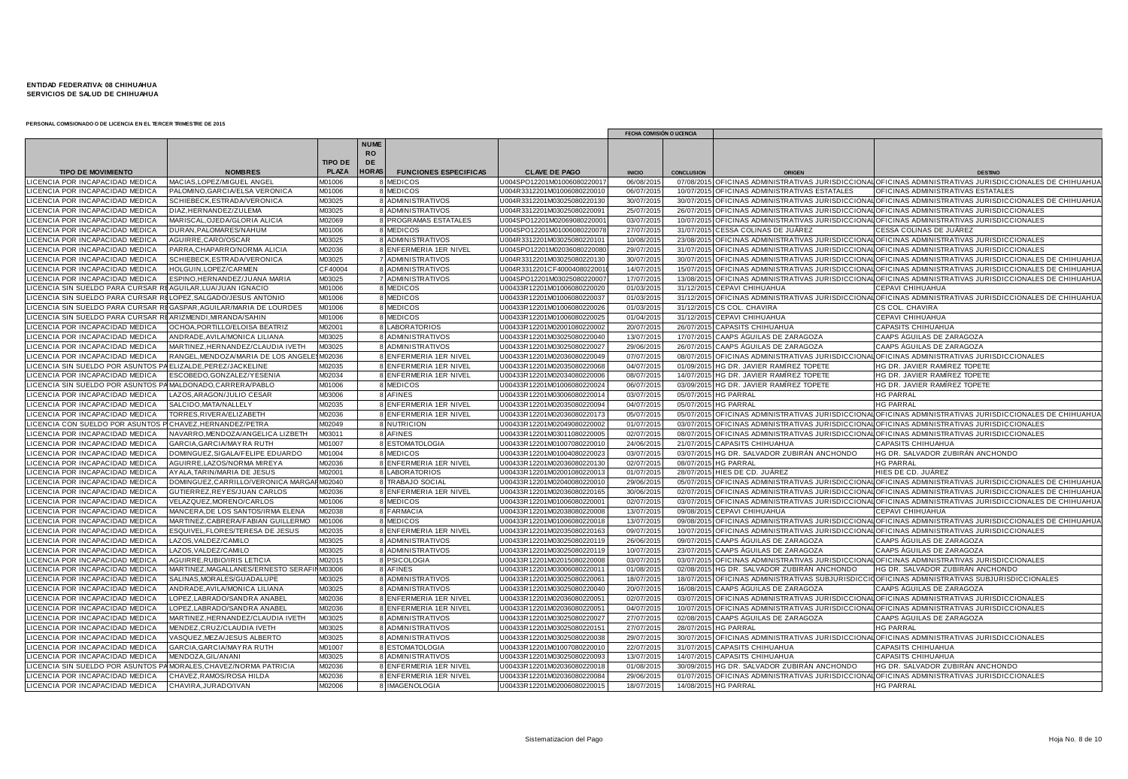|                                       |                                             |                |                                     |                              |                             | FECHA COMISIÓN O LICENCIA |                   |                                         |                                                                                                           |
|---------------------------------------|---------------------------------------------|----------------|-------------------------------------|------------------------------|-----------------------------|---------------------------|-------------------|-----------------------------------------|-----------------------------------------------------------------------------------------------------------|
|                                       |                                             | <b>TIPO DE</b> | <b>NUME</b><br>R <sub>O</sub><br>DE |                              |                             |                           |                   |                                         |                                                                                                           |
| <b>TIPO DE MOVIMIENTO</b>             | <b>NOMBRES</b>                              | <b>PLAZA</b>   | <b>HORAS</b>                        | <b>FUNCIONES ESPECIFICAS</b> | <b>CLAVE DE PAGO</b>        | <b>INICIO</b>             | <b>CONCLUSION</b> | ORIGEN                                  | <b>DESTING</b>                                                                                            |
| LICENCIA POR INCAPACIDAD MEDICA       | MACIAS, LOPEZ/MIGUEL ANGEL                  | VI01006        |                                     | 8 MEDICOS                    | U004SPO12201M0100608022001  | 06/08/2015                |                   |                                         | 07/08/2015 OFICINAS ADMINISTRATIVAS JURISDICCIONAL OFICINAS ADMINISTRATIVAS JURISDICCIONALES DE CHIHUAHU/ |
| LICENCIA POR INCAPACIDAD MEDICA       | PALOMINO.GARCIA/ELSA VERONICA               | M01006         |                                     | 8 MEDICOS                    | U004R3312201M0100608022001  | 06/07/201                 | 10/07/2015        | OFICINAS ADMINISTRATIVAS ESTATALES      | OFICINAS ADMINISTRATIVAS ESTATALES                                                                        |
| <b>CENCIA POR INCAPACIDAD MEDICA</b>  | SCHIEBECK, ESTRADA/VERONICA                 | M03025         |                                     | <b>8 ADMINISTRATIVOS</b>     | U004R3312201M0302508022013  | 30/07/2015                | 30/07/201         |                                         | OFICINAS ADMINISTRATIVAS JURISDICCIONAL OFICINAS ADMINISTRATIVAS JURISDICCIONALES DE CHIHUAHUA            |
| LICENCIA POR INCAPACIDAD MEDICA       | DIAZ, HERNANDEZ/ZULEMA                      | M03025         |                                     | 8 ADMINISTRATIVOS            | U004R3312201M0302508022009  | 25/07/201                 | 26/07/201         |                                         | OFICINAS ADMINISTRATIVAS JURISDICCIONAL OFICINAS ADMINISTRATIVAS JURISDICCIONALES                         |
| ICENCIA POR INCAPACIDAD MEDICA        | MARISCAL, OJEDA/GLORIA ALICIA               | M02069         |                                     | <b>8 PROGRAMAS ESTATALES</b> | U004SPO12201M0206908022000  | 03/07/201                 | 10/07/201         |                                         | OFICINAS ADMINISTRATIVAS JURISDICCIONAL OFICINAS ADMINISTRATIVAS JURISDICCIONALES                         |
| ICENCIA POR INCAPACIDAD MEDICA        | DURAN, PALOMARES/NAHUM                      | M01006         |                                     | 8 MEDICOS                    | U004SPO12201M0100608022007  | 27/07/201                 | 31/07/2015        | CESSA COLINAS DE JUÁREZ                 | CESSA COLINAS DE JUÁREZ                                                                                   |
| LICENCIA POR INCAPACIDAD MEDICA       | AGUIRRE, CARO/OSCAR                         | M03025         |                                     | 8 ADMINISTRATIVOS            | U004R3312201M0302508022010  | 10/08/201                 | 23/08/2015        |                                         | OFICINAS ADMINISTRATIVAS JURISDICCIONAL OFICINAS ADMINISTRATIVAS JURISDICCIONALES                         |
| <b>CENCIA POR INCAPACIDAD MEDICA</b>  | PARRA, CHAPARRO/NORMA ALICIA                | M02036         |                                     | 8 ENFERMERIA 1ER NIVEL       | U004SPO12201M0203608022008  | 29/07/201                 | 31/07/2015        |                                         | OFICINAS ADMINISTRATIVAS JURISDICCIONAL OFICINAS ADMINISTRATIVAS JURISDICCIONALES                         |
| LICENCIA POR INCAPACIDAD MEDICA       | SCHIEBECK, ESTRADA/VERONICA                 | M03025         |                                     | 7 ADMINISTRATIVOS            | U004R3312201M0302508022013  | 30/07/201                 | 30/07/201         |                                         | OFICINAS ADMINISTRATIVAS JURISDICCIONAL OFICINAS ADMINISTRATIVAS JURISDICCIONALES DE CHIHUAHU/            |
| LICENCIA POR INCAPACIDAD MEDICA       | <b>IOLGUIN, LOPEZ/CARMEN</b>                | CF40004        |                                     | 8 ADMINISTRATIVOS            | U004R3312201CF400040802200  | 14/07/201                 | 15/07/2015        |                                         | OFICINAS ADMINISTRATIVAS JURISDICCIONAL OFICINAS ADMINISTRATIVAS JURISDICCIONALES DE CHIHUAHU/            |
| <b>CENCIA POR INCAPACIDAD MEDICA</b>  | SPINO, HERNANDEZ/JUANA MARIA                | M03025         |                                     | 7 ADMINISTRATIVOS            | U004SPO12201M0302508022000  | 17/07/201                 | 13/08/201         |                                         | OFICINAS ADMINISTRATIVAS JURISDICCIONAL OFICINAS ADMINISTRATIVAS JURISDICCIONALES DE CHIHUAHU/            |
| <b>ICENCIA SIN SUELDO PARA CURSAR</b> | AGUILAR, LUA/JUAN IGNACIO                   | M01006         |                                     | 8 MEDICOS                    | U00433R12201M0100608022002  | 01/03/201                 |                   | 31/12/2015 CEPAVI CHIHUAHUA             | CEPAVI CHIHUAHUA                                                                                          |
| ICENCIA SIN SUELDO PARA CURSAR        | LOPEZ, SALGADO/JESUS ANTONIO                | M01006         |                                     | 8 MEDICOS                    | U00433R12201M0100608022003  | 01/03/201                 |                   |                                         | 31/12/2015 OFICINAS ADMINISTRATIVAS JURISDICCIONAL OFICINAS ADMINISTRATIVAS JURISDICCIONALES DE CHIHUAHU/ |
| ICENCIA SIN SUELDO PARA CURSAR        | GASPAR, AGUILAR/MARIA DE LOURDES            | M01006         |                                     | 8 MEDICOS                    | U00433R12201M0100608022002  | 01/03/201                 | 31/12/2015        | <b>CS COL. CHAVIRA</b>                  | CS COL. CHAVIRA                                                                                           |
| ICENCIA SIN SUELDO PARA CURSAR        | ARIZMENDI, MIRANDA/SAHIN                    | M01006         |                                     | 8 MEDICOS                    | U00433R12201M0100608022002  | 01/04/201                 |                   | 31/12/2015 CEPAVI CHIHUAHUA             | CEPAVI CHIHUAHUA                                                                                          |
| ICENCIA POR INCAPACIDAD MEDICA        | OCHOA, PORTILLO/ELOISA BEATRIZ              | M02001         |                                     | <b>LABORATORIOS</b>          | U00433R12201M0200108022000  | 20/07/201                 | 26/07/201         | <b>CAPASITS CHIHUAHUA</b>               | CAPASITS CHIHUAHUA                                                                                        |
| ICENCIA POR INCAPACIDAD MEDICA        | ANDRADE, AVILA/MONICA LILIANA               | M03025         |                                     | 8 ADMINISTRATIVOS            | U00433R12201M0302508022004  | 13/07/201                 | 17/07/2015        | CAAPS ÁGUILAS DE ZARAGOZA               | CAAPS ÁGUILAS DE ZARAGOZA                                                                                 |
| <b>CENCIA POR INCAPACIDAD MEDICA</b>  | MARTINEZ, HERNANDEZ/CLAUDIA IVETH           | M03025         |                                     | 8 ADMINISTRATIVOS            | U00433R12201M0302508022002  | 29/06/201                 | 26/07/201         | CAAPS AGUILAS DE ZARAGOZA               | CAAPS ÁGUILAS DE ZARAGOZA                                                                                 |
| <b>ICENCIA POR INCAPACIDAD MEDICA</b> | RANGEL.MENDOZA/MARIA DE LOS ANGELE          | M02036         |                                     | 8 ENFERMERIA 1ER NIVEL       | U00433R12201M0203608022004  | 07/07/201                 | 08/07/201         |                                         | OFICINAS ADMINISTRATIVAS JURISDICCIONALOFICINAS ADMINISTRATIVAS JURISDICCIONALES                          |
| CENCIA SIN SUELDO POR ASUNTOS         | ELIZALDE.PEREZ/JACKELINE                    | M02035         |                                     | 8 ENFERMERIA 1ER NIVEL       | U00433R12201M02035080220068 | 04/07/2015                |                   | 01/09/2015 HG DR. JAVIER RAMÍREZ TOPETE | HG DR. JAVIER RAMÍREZ TOPETE                                                                              |
| ICENCIA POR INCAPACIDAD MEDICA        | ESCOBEDO, GONZALEZ/Y ESENIA                 | M02034         |                                     | 8 ENFERMERIA 1ER NIVEL       | U00433R12201M0203408022000  | 08/07/201                 | 14/07/201         | HG DR. JAVIER RAMÍREZ TOPETE            | HG DR. JAVIER RAMÍREZ TOPETE                                                                              |
| LICENCIA SIN SUELDO POR ASUNTOS       | MALDONADO, CARRERA/PABLO                    | M01006         |                                     | 8 MEDICOS                    | U00433R12201M0100608022002  | 06/07/201                 |                   | 03/09/2015 HG DR. JAVIER RAMÍREZ TOPETE | HG DR. JAVIER RAMÍREZ TOPETE                                                                              |
| ICENCIA POR INCAPACIDAD MEDICA        | AZOS, ARAGON/JULIO CESAR                    | M03006         |                                     | 8 AFINES                     | U00433R12201M0300608022001  | 03/07/201                 | 05/07/201         | <b>HG PARRAL</b>                        | <b>HG PARRAL</b>                                                                                          |
| LICENCIA POR INCAPACIDAD MEDICA       | SALCIDO.MATA/NALLELY                        | M02035         |                                     | 8 ENFERMERIA 1ER NIVEL       | U00433R12201M0203508022009  | 04/07/201                 |                   | 05/07/2015 HG PARRAL                    | <b>HG PARRAL</b>                                                                                          |
| ICENCIA POR INCAPACIDAD MEDICA        | TORRES, RIVERA/ELIZABETH                    | M02036         |                                     | 8 ENFERMERIA 1ER NIVEL       | U00433R12201M0203608022017  | 05/07/201                 | 05/07/2015        |                                         | OFICINAS ADMINISTRATIVAS JURISDICCIONAL OFICINAS ADMINISTRATIVAS JURISDICCIONALES DE CHIHUAHU/            |
| ICENCIA CON SUELDO POR ASUNTOS        | CHAVEZ, HERNANDEZ/PETRA                     | M02049         |                                     | 8 NUTRICION                  | U00433R12201M0204908022000  | 01/07/201                 | 03/07/201         |                                         | OFICINAS ADMINISTRATIVAS JURISDICCIONAL OFICINAS ADMINISTRATIVAS JURISDICCIONALES                         |
| LICENCIA POR INCAPACIDAD MEDICA       | NAVARRO, MENDOZA/ANGELICA LIZBETH           | M03011         |                                     | 8 AFINES                     | U00433R12201M0301108022000  | 02/07/201                 |                   |                                         | 08/07/2015 OFICINAS ADMINISTRATIVAS JURISDICCIONAL OFICINAS ADMINISTRATIVAS JURISDICCIONALES              |
| ICENCIA POR INCAPACIDAD MEDICA        | GARCIA, GARCIA/MAYRA RUTH                   | M01007         |                                     | 8 ESTOMATOLOGIA              | U00433R12201M0100708022001  | 24/06/201                 | 21/07/2015        | <b>CAPASITS CHIHUAHUA</b>               | CAPASITS CHIHUAHUA                                                                                        |
| <b>ICENCIA POR INCAPACIDAD MEDICA</b> | DOMINGUEZ.SIGALA/FELIPE EDUARDO             | M01004         |                                     | 8 MEDICOS                    | U00433R12201M0100408022002  | 03/07/201                 | 03/07/2015        | HG DR. SALVADOR ZUBIRÁN ANCHONDO        | HG DR. SALVADOR ZUBIRÁN ANCHONDO                                                                          |
| CENCIA POR INCAPACIDAD MEDICA         | AGUIRRE, LAZOS/NORMA MIREYA                 | M02036         |                                     | 8 ENFERMERIA 1ER NIVEL       | U00433R12201M0203608022013  | 02/07/201                 | 08/07/2015        | <b>HG PARRAL</b>                        | <b>HG PARRAL</b>                                                                                          |
| ICENCIA POR INCAPACIDAD MEDICA        | AYALA, TARIN/MARIA DE JESUS                 | M02001         |                                     | 8 LABORATORIOS               | U00433R12201M0200108022001  | 01/07/201                 | 28/07/201         | HIES DE CD. JUÁREZ                      | HIES DE CD. JUÁREZ                                                                                        |
| <b>CENCIA POR INCAPACIDAD MEDICA</b>  | DOMINGUEZ.CARRILLO/VERONICA MARGAI M02040   |                |                                     | 8 TRABAJO SOCIAL             | U00433R12201M0204008022001  | 29/06/2015                |                   |                                         | 05/07/2015 OFICINAS ADMINISTRATIVAS JURISDICCIONAL OFICINAS ADMINISTRATIVAS JURISDICCIONALES DE CHIHUAHU/ |
| CENCIA POR INCAPACIDAD MEDICA         | GUTIERREZ, REYES/JUAN CARLOS                | M02036         |                                     | <b>BENFERMERIA 1ER NIVEL</b> | U00433R12201M0203608022016  | 30/06/201                 | 02/07/201         |                                         | OFICINAS ADMINISTRATIVAS JURISDICCIONAL OFICINAS ADMINISTRATIVAS JURISDICCIONALES DE CHIHUAHU             |
| LICENCIA POR INCAPACIDAD MEDICA       | VELAZQUEZ, MORENO/CARLOS                    | M01006         |                                     | 8 MEDICOS                    | U00433R12201M0100608022000  | 02/07/201                 |                   |                                         | 03/07/2015 OFICINAS ADMINISTRATIVAS JURISDICCIONAL OFICINAS ADMINISTRATIVAS JURISDICCIONALES DE CHIHUAHU/ |
| <b>ICENCIA POR INCAPACIDAD MEDICA</b> | MANCERA.DE LOS SANTOS/IRMA ELENA            | M02038         |                                     | 8 FARMACIA                   | U00433R12201M0203808022000  | 13/07/201                 | 09/08/2015        | <b>CEPAVI CHIHUAHUA</b>                 | CEPAVI CHIHUAHUA                                                                                          |
| LICENCIA POR INCAPACIDAD MEDICA       | MARTINEZ.CABRERA/FABIAN GUILLERMO           | M01006         |                                     | 8 MEDICOS                    | U00433R12201M0100608022001  | 13/07/201                 | 09/08/201         |                                         | OFICINAS ADMINISTRATIVAS JURISDICCIONAL OFICINAS ADMINISTRATIVAS JURISDICCIONALES DE CHIHUAHU/            |
| <b>CENCIA POR INCAPACIDAD MEDICA</b>  | ESQUIVEL, FLORES/TERESA DE JESUS            | M02035         |                                     | 8 ENFERMERIA 1ER NIVEL       | U00433R12201M0203508022016  | 09/07/201                 | 10/07/201         |                                         | OFICINAS ADMINISTRATIVAS JURISDICCIONAL OFICINAS ADMINISTRATIVAS JURISDICCIONALES                         |
| CENCIA POR INCAPACIDAD MEDICA         | LAZOS, VALDEZ/CAMILO                        | M03025         |                                     | 8 ADMINISTRATIVOS            | U00433R12201M0302508022011  | 26/06/201                 | 09/07/2015        | CAAPS ÁGUILAS DE ZARAGOZA               | CAAPS ÁGUILAS DE ZARAGOZA                                                                                 |
| LICENCIA POR INCAPACIDAD MEDICA       | LAZOS, VALDEZ/CAMILO                        | M03025         |                                     | 8 ADMINISTRATIVOS            | U00433R12201M0302508022011  | 10/07/201                 |                   | 23/07/2015 CAAPS ÁGUILAS DE ZARAGOZA    | CAAPS AGUILAS DE ZARAGOZA                                                                                 |
| LICENCIA POR INCAPACIDAD MEDICA       | AGUIRRE, RUBIO/IRIS LETICIA                 | M02015         |                                     | 8 PSICOLOGIA                 | U00433R12201M0201508022000  | 03/07/201                 | 03/07/201         |                                         | OFICINAS ADMINISTRATIVAS JURISDICCIONAL OFICINAS ADMINISTRATIVAS JURISDICCIONALES                         |
| ICENCIA POR INCAPACIDAD MEDICA        | MARTINEZ, MAGALLANES/ERNESTO SERAFII M03006 |                |                                     | 8 AFINES                     | U00433R12201M0300608022001  | 01/08/201                 | 02/08/201         | HG DR. SALVADOR ZUBIRÁN ANCHONDO        | HG DR. SALVADOR ZUBIRÁN ANCHONDO                                                                          |
| <b>CENCIA POR INCAPACIDAD MEDICA</b>  | SALINAS, MORALES/GUADALUPE                  | M03025         |                                     | 8 ADMINISTRATIVOS            | U00433R12201M0302508022006  | 18/07/201                 | 18/07/2015        | OFICINAS ADMINISTRATIVAS SUBJURISDICC   | OFICINAS ADMINISTRATIVAS SUBJURISDICCIONALES                                                              |
| LICENCIA POR INCAPACIDAD MEDICA       | ANDRADE, AVILA/MONICA LILIANA               | M03025         |                                     | 8 ADMINISTRATIVOS            | U00433R12201M0302508022004  | 20/07/201                 | 16/08/201         | CAAPS AGUILAS DE ZARAGOZA               | CAAPS AGUILAS DE ZARAGOZA                                                                                 |
| ICENCIA POR INCAPACIDAD MEDICA        | OPEZ, LABRADO/SANDRA ANABEL                 | M02036         |                                     | 8 ENFERMERIA 1ER NIVEL       | U00433R12201M0203608022005  | 02/07/2015                |                   |                                         | 03/07/2015 OFICINAS ADMINISTRATIVAS JURISDICCIONAL OFICINAS ADMINISTRATIVAS JURISDICCIONALES              |
| CENCIA POR INCAPACIDAD MEDICA         | LOPEZ, LABRADO/SANDRA ANABEI                | M02036         |                                     | 8 ENFERMERIA 1ER NIVEL       | U00433R12201M0203608022005  | 04/07/201                 | 10/07/2015        |                                         | OFICINAS ADMINISTRATIVAS JURISDICCIONAL OFICINAS ADMINISTRATIVAS JURISDICCIONALES                         |
| LICENCIA POR INCAPACIDAD MEDICA       | MARTINEZ, HERNANDEZ/CLAUDIA IVETH           | M03025         |                                     | 8 ADMINISTRATIVOS            | U00433R12201M0302508022002  | 27/07/201                 | 02/08/2015        | CAAPS ÁGUILAS DE ZARAGOZA               | CAAPS AGUILAS DE ZARAGOZA                                                                                 |
| ICENCIA POR INCAPACIDAD MEDICA        | MENDEZ, CRUZ/CLAUDIA IVETH                  | M03025         |                                     | 8 ADMINISTRATIVOS            | U00433R12201M0302508022015  | 27/07/201                 | 28/07/2015        | <b>HG PARRAL</b>                        | <b>HG PARRAL</b>                                                                                          |
| LICENCIA POR INCAPACIDAD MEDICA       | VASQUEZ, MEZA/JESUS ALBERTO                 | M03025         |                                     | 8 ADMINISTRATIVOS            | U00433R12201M0302508022003  | 29/07/201                 | 30/07/201         |                                         | OFICINAS ADMINISTRATIVAS JURISDICCIONAL OFICINAS ADMINISTRATIVAS JURISDICCIONALES                         |
| ICENCIA POR INCAPACIDAD MEDICA        | GARCIA, GARCIA/MAYRA RUTH                   | M01007         |                                     | 8 ESTOMATOLOGIA              | U00433R12201M0100708022001  | 22/07/201                 | 31/07/2015        | CAPASITS CHIHUAHUA                      | CAPASITS CHIHUAHUA                                                                                        |
| CENCIA POR INCAPACIDAD MEDIC/         | <b>JENDOZA, GIL/ANANI</b>                   | M03025         |                                     | 8 ADMINISTRATIVOS            | U00433R12201M0302508022009  | 13/07/201                 | 14/07/201         | <b>CAPASITS CHIHUAHUA</b>               | CAPASITS CHIHUAHUA                                                                                        |
| ICENCIA SIN SUELDO POR ASUNTOS I      | MORALES, CHAVEZ/NORMA PATRICIA              | M02036         |                                     | 8 ENFERMERIA 1ER NIVEL       | U00433R12201M0203608022001  | 01/08/201                 | 30/09/2015        | HG DR. SALVADOR ZUBIRÁN ANCHONDO        | HG DR. SALVADOR ZUBIRÁN ANCHONDO                                                                          |
| LICENCIA POR INCAPACIDAD MEDICA       | CHAVEZ,RAMOS/ROSA HILDA                     | M02036         |                                     | 8 ENFERMERIA 1ER NIVEL       | U00433R12201M02036080220084 | 29/06/201                 |                   |                                         | 01/07/2015 OFICINAS ADMINISTRATIVAS JURISDICCIONAL OFICINAS ADMINISTRATIVAS JURISDICCIONALES              |
| LICENCIA POR INCAPACIDAD MEDICA       | CHAVIRA.JURADO/IVAN                         | M02006         |                                     | 8 IMAGENOLOGIA               | U00433R12201M02006080220015 | 18/07/2015                |                   | 14/08/2015 HG PARRAL                    | <b>HG PARRAL</b>                                                                                          |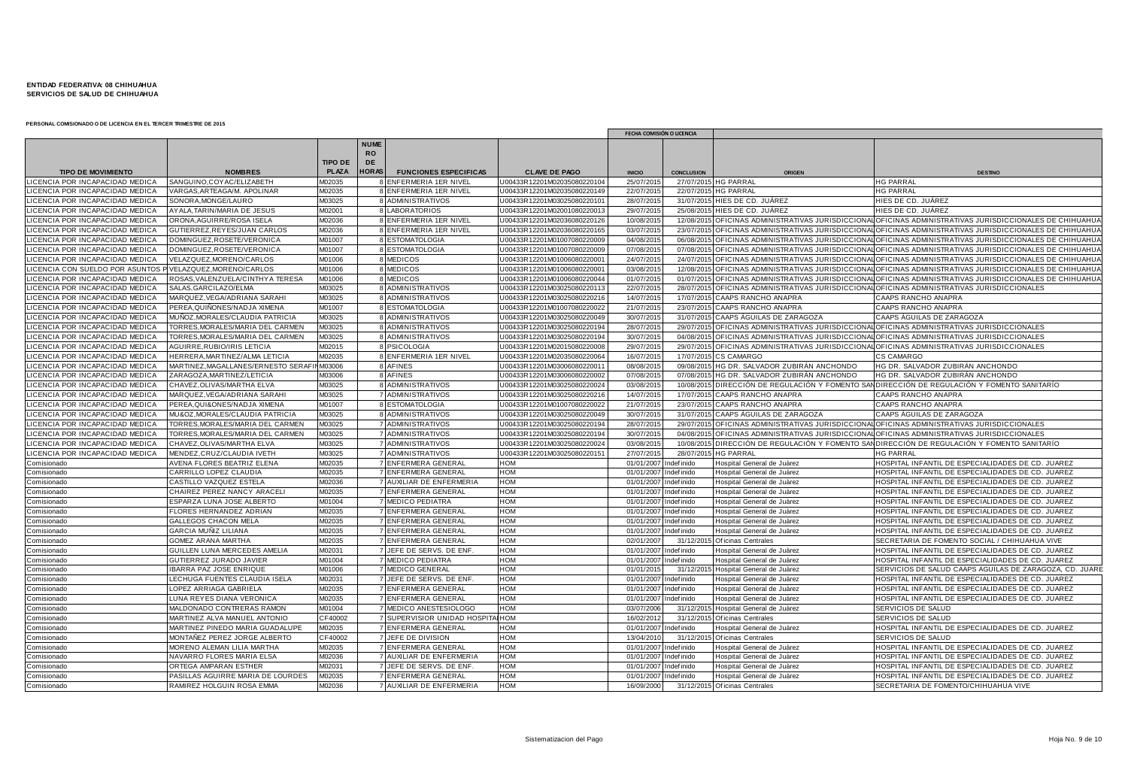|                                       |                                         |                |                                       |                              |                             |               | FECHA COMISIÓN O LICENCIA |                                         |                                                                                                           |
|---------------------------------------|-----------------------------------------|----------------|---------------------------------------|------------------------------|-----------------------------|---------------|---------------------------|-----------------------------------------|-----------------------------------------------------------------------------------------------------------|
|                                       |                                         | <b>TIPO DE</b> | <b>NUME</b><br><b>RO</b><br><b>DE</b> |                              |                             |               |                           |                                         |                                                                                                           |
| <b>TIPO DE MOVIMIENTO</b>             | <b>NOMBRES</b>                          | <b>PLAZA</b>   | <b>HORAS</b>                          | <b>FUNCIONES ESPECIFICAS</b> | <b>CLAVE DE PAGO</b>        | <b>INICIO</b> | <b>CONCLUSION</b>         | ORIGEN                                  | <b>DESTING</b>                                                                                            |
| LICENCIA POR INCAPACIDAD MEDICA       | SANGUINO, COY AC/ELIZABETH              | M02035         |                                       | 8 ENFERMERIA 1ER NIVEL       | J00433R12201M02035080220104 | 25/07/201     |                           | 27/07/2015 HG PARRAI                    | <b>HG PARRAL</b>                                                                                          |
| LICENCIA POR INCAPACIDAD MEDICA       | <b>/ARGAS.ARTEAGA/M. APOLINAR</b>       | M02035         |                                       | 8 ENFERMERIA 1ER NIVEL       | 00433R12201M02035080220149  | 22/07/201     | 22/07/201                 | <b>HG PARRAL</b>                        | <b>IG PARRAL</b>                                                                                          |
| ICENCIA POR INCAPACIDAD MEDICA        | SONORA, MONGE/LAURO                     | M03025         |                                       | 8 ADMINISTRATIVOS            | J00433R12201M03025080220101 | 28/07/201     | 31/07/201                 | HIES DE CD. JUÁREZ                      | HIES DE CD. JUÁREZ                                                                                        |
| LICENCIA POR INCAPACIDAD MEDICA       | AYALA,TARIN/MARIA DE JESUS              | M02001         |                                       | 8 LABORATORIOS               | U00433R12201M0200108022001  | 29/07/201     | 25/08/2015                | HIES DE CD. JUÁREZ                      | HIES DE CD. JUAREZ                                                                                        |
| <b>ICENCIA POR INCAPACIDAD MEDICA</b> | ORONA.AGUIRRE/ROSA ISELA                | M02036         |                                       | 8 ENFERMERIA 1ER NIVEL       | J00433R12201M02036080220126 | 10/08/201     |                           |                                         | 12/08/2015 OFICINAS ADMINISTRATIVAS JURISDICCIONAL OFICINAS ADMINISTRATIVAS JURISDICCIONALES DE CHIHUAHUA |
| LICENCIA POR INCAPACIDAD MEDICA       | GUTIERREZ,REYES/JUAN CARLOS             | M02036         |                                       | 8 ENFERMERIA 1ER NIVEL       | J00433R12201M0203608022016  | 03/07/201     | 23/07/20                  |                                         | OFICINAS ADMINISTRATIVAS JURISDICCIONALOFICINAS ADMINISTRATIVAS JURISDICCIONALES DE CHIHUAHUA             |
| LICENCIA POR INCAPACIDAD MEDICA       | DOMINGUEZ, ROSETE/VERONICA              | M01007         |                                       | 8 ESTOMATOLOGIA              | J00433R12201M01007080220009 | 04/08/201     | 06/08/201                 |                                         | OFICINAS ADMINISTRATIVAS JURISDICCIONAL OFICINAS ADMINISTRATIVAS JURISDICCIONALES DE CHIHUAHUA            |
| <b>CENCIA POR INCAPACIDAD MEDICA</b>  | DOMINGUEZ, ROSETE/VERONICA              | M01007         |                                       | 8 ESTOMATOLOGIA              | J00433R12201M0100708022000  | 07/08/201     | 07/08/201                 |                                         | OFICINAS ADMINISTRATIVAS JURISDICCIONAL OFICINAS ADMINISTRATIVAS JURISDICCIONALES DE CHIHUAHU.            |
| ICENCIA POR INCAPACIDAD MEDICA        | VELAZQUEZ, MORENO/CARLOS                | M01006         |                                       | 8 MEDICOS                    | J00433R12201M0100608022000  | 24/07/201     |                           |                                         | 24/07/2015 OFICINAS ADMINISTRATIVAS JURISDICCIONAL OFICINAS ADMINISTRATIVAS JURISDICCIONALES DE CHIHUAHUA |
| ICENCIA CON SUELDO POR ASUNTOS        | VELAZQUEZ, MORENO/CARLOS                | M01006         |                                       | 8 MEDICOS                    | J00433R12201M01006080220001 | 03/08/201     |                           |                                         | 12/08/2015 OFICINAS ADMINISTRATIVAS JURISDICCIONAL OFICINAS ADMINISTRATIVAS JURISDICCIONALES DE CHIHUAHUA |
| LICENCIA POR INCAPACIDAD MEDICA       | ROSAS, VALENZUELA/CINTHY A TERESA       | M01006         |                                       | 8 MEDICOS                    | J00433R12201M01006080220044 | 01/07/201     | 01/07/201                 |                                         | OFICINAS ADMINISTRATIVAS JURISDICCIONAL OFICINAS ADMINISTRATIVAS JURISDICCIONALES DE CHIHUAHUA            |
| <b>CENCIA POR INCAPACIDAD MEDICA</b>  | SALAS.GARCILAZO/ELMA                    | M03025         |                                       | 8 ADMINISTRATIVOS            | J00433R12201M0302508022011  | 22/07/201     |                           |                                         | 28/07/2015 OFICINAS ADMINISTRATIVAS JURISDICCIONAL OFICINAS ADMINISTRATIVAS JURISDICCIONALES              |
| LICENCIA POR INCAPACIDAD MEDICA       | MARQUEZ, VEGA/ADRIANA SARAHI            | M03025         |                                       | 8 ADMINISTRATIVOS            | J00433R12201M0302508022021  | 14/07/201     | 17/07/201                 | CAAPS RANCHO ANAPRA                     | CAAPS RANCHO ANAPRA                                                                                       |
| ICENCIA POR INCAPACIDAD MEDICA        | PEREA,QUIÑONES/NADJA XIMENA             | M01007         |                                       | 8 ESTOMATOLOGIA              | 00433R12201M0100708022002   | 21/07/201     | 23/07/201                 | <b>CAAPS RANCHO ANAPRA</b>              | CAAPS RANCHO ANAPRA                                                                                       |
| <b>CENCIA POR INCAPACIDAD MEDICA</b>  | MUÑOZ,MORALES/CLAUDIA PATRICIA          | M03025         |                                       | 8 ADMINISTRATIVOS            | J00433R12201M0302508022004  | 30/07/201     |                           | 31/07/2015 CAAPS AGUILAS DE ZARAGOZA    | CAAPS ÁGUILAS DE ZARAGOZA                                                                                 |
| LICENCIA POR INCAPACIDAD MEDICA       | TORRES.MORALES/MARIA DEL CARMEN         | M03025         |                                       | 8 ADMINISTRATIVOS            | J00433R12201M0302508022019  | 28/07/201     |                           |                                         | 29/07/2015 OFICINAS ADMINISTRATIVAS JURISDICCIONAL OFICINAS ADMINISTRATIVAS JURISDICCIONALES              |
| ICENCIA POR INCAPACIDAD MEDICA        | TORRES, MORALES/MARIA DEL CARMEN        | M03025         |                                       | 8 ADMINISTRATIVOS            | J00433R12201M03025080220194 | 30/07/201     |                           |                                         | 04/08/2015 OFICINAS ADMINISTRATIVAS JURISDICCIONAL OFICINAS ADMINISTRATIVAS JURISDICCIONALES              |
| LICENCIA POR INCAPACIDAD MEDICA       | AGUIRRE, RUBIO/IRIS LETICIA             | M02015         |                                       | 8 PSICOLOGIA                 | J00433R12201M0201508022000  | 29/07/201     | 29/07/201                 |                                         | OFICINAS ADMINISTRATIVAS JURISDICCIONALOFICINAS ADMINISTRATIVAS JURISDICCIONALES                          |
| LICENCIA POR INCAPACIDAD MEDICA       | <b>IERRERA, MARTINEZ/ALMA LETICIA</b>   | M02035         |                                       | 8 ENFERMERIA 1ER NIVEL       | J00433R12201M0203508022006  | 16/07/201     |                           | 17/07/2015 CS CAMARGO                   | CS CAMARGO                                                                                                |
| CENCIA POR INCAPACIDAD MEDICA         | MARTINEZ, MAGALLANES/ERNESTO SERAF      | M03006         |                                       | 8 AFINES                     | J00433R12201M0300608022001  | 08/08/201     | 09/08/20                  | HG DR. SALVADOR ZUBIRÁN ANCHONDO        | HG DR. SALVADOR ZUBIRÁN ANCHONDO                                                                          |
| LICENCIA POR INCAPACIDAD MEDICA       | ZARAGOZA, MARTINEZ/LETICIA              | 003006         |                                       | 8 AFINES                     | J00433R12201M0300608022000  | 07/08/201     | 07/08/201                 | HG DR. SALVADOR ZUBIRÁN ANCHONDO        | HG DR. SALVADOR ZUBIRÁN ANCHONDO                                                                          |
| ICENCIA POR INCAPACIDAD MEDICA        | CHAVEZ,OLIVAS/MARTHA ELVA               | M03025         |                                       | 8 ADMINISTRATIVOS            | J00433R12201M0302508022002  | 03/08/201     | 10/08/2015                |                                         | DIRECCIÓN DE REGULACIÓN Y FOMENTO SANDIRECCIÓN DE REGULACIÓN Y FOMENTO SANITARÍO                          |
| LICENCIA POR INCAPACIDAD MEDICA       | MARQUEZ, VEGA/ADRIANA SARAH             | M03025         |                                       | 7 ADMINISTRATIVOS            | J00433R12201M0302508022021  | 14/07/201     | 17/07/201                 | CAAPS RANCHO ANAPRA                     | CAAPS RANCHO ANAPRA                                                                                       |
| <b>CENCIA POR INCAPACIDAD MEDICA</b>  | PEREA.QUI&ONES/NADJA XIMENA             | M01007         |                                       | 8 ESTOMATOLOGIA              | J00433R12201M0100708022002  | 21/07/201     | 23/07/201                 | <b>CAAPS RANCHO ANAPRA</b>              | CAAPS RANCHO ANAPRA                                                                                       |
| LICENCIA POR INCAPACIDAD MEDICA       | MU&OZ, MORALES/CLAUDIA PATRICIA         | M03025         |                                       | 8 ADMINISTRATIVOS            | J00433R12201M0302508022004  | 30/07/201     | 31/07/201                 | 5 CAAPS ÁGUILAS DE ZARAGOZA             | CAAPS ÁGUILAS DE ZARAGOZA                                                                                 |
| LICENCIA POR INCAPACIDAD MEDICA       | <b>FORRES, MORALES/MARIA DEL CARMEN</b> | M03025         |                                       | 7 ADMINISTRATIVOS            | J00433R12201M0302508022019  | 28/07/201     |                           |                                         | 29/07/2015 OFICINAS ADMINISTRATIVAS JURISDICCIONAL OFICINAS ADMINISTRATIVAS JURISDICCIONALES              |
| <b>ICENCIA POR INCAPACIDAD MEDICA</b> | <b>TORRES.MORALES/MARIA DEL CARMEN</b>  | M03025         |                                       | 7 ADMINISTRATIVOS            | J00433R12201M0302508022019  | 30/07/201     | 04/08/20                  | OFICINAS ADMINISTRATIVAS JURISDICCIONAL | <b>I</b> OFICINAS ADMINISTRATIVAS JURISDICCIONALES                                                        |
| LICENCIA POR INCAPACIDAD MEDICA       | CHAVEZ, OLIVAS/MARTHA ELVA              | M03025         |                                       | 7 ADMINISTRATIVOS            | U00433R12201M03025080220024 | 03/08/201     | 10/08/201                 |                                         | DIRECCIÓN DE REGULACIÓN Y FOMENTO SAN DIRECCIÓN DE REGULACIÓN Y FOMENTO SANITARÍO                         |
| ICENCIA POR INCAPACIDAD MEDICA        | MENDEZ, CRUZ/CLAUDIA IVETH              | M03025         |                                       | 7 ADMINISTRATIVOS            | J00433R12201M03025080220151 | 27/07/2015    |                           | 28/07/2015 HG PARRAL                    | <b>HG PARRAL</b>                                                                                          |
| Comisionado                           | AVENA FLORES BEATRIZ ELENA              | M02035         |                                       | 7 ENFERMERA GENERAL          | HOM                         | 01/01/2007    | ndef inido                | Hospital General de Juàrez              | HOSPITAL INFANTIL DE ESPECIALIDADES DE CD. JUAREZ                                                         |
| Comisionado                           | CARRILLO LOPEZ CLAUDIA                  | M02035         |                                       | 7 ENFERMERA GENERAL          | HOM                         | 01/01/2007    | Indef inido               | Hospital General de Juàrez              | IOSPITAL INFANTIL DE ESPECIALIDADES DE CD. JUAREZ                                                         |
| Comisionado                           | CASTILLO VAZQUEZ ESTELA                 | M02036         |                                       | 7 AUXILIAR DE ENFERMERIA     | <b>MON</b>                  | 01/01/2007    | Indef inido               | Hospital General de Juàrez              | HOSPITAL INFANTIL DE ESPECIALIDADES DE CD. JUAREZ                                                         |
| Comisionado                           | CHAIREZ PEREZ NANCY ARACELI             | M02035         |                                       | 7 ENFERMERA GENERAL          | HOM                         | 01/01/2007    | ndef inido                | Hospital General de Juàrez              | HOSPITAL INFANTIL DE ESPECIALIDADES DE CD. JUAREZ                                                         |
| Comisionado                           | ESPARZA LUNA JOSE ALBERTO               | M01004         |                                       | 7 MEDICO PEDIATRA            | HOM                         | 01/01/2007    | ndef inido                | Hospital General de Juàrez              | HOSPITAL INFANTIL DE ESPECIALIDADES DE CD. JUAREZ                                                         |
| Comisionado                           | FLORES HERNANDEZ ADRIAN                 | M02035         |                                       | 7 ENFERMERA GENERAL          | <b>HOM</b>                  | 01/01/2007    | Indef inido               | Hospital General de Juàrez              | HOSPITAL INFANTIL DE ESPECIALIDADES DE CD. JUAREZ                                                         |
| Comisionado                           | <b>GALLEGOS CHACON MELA</b>             | M02035         |                                       | 7 ENFERMERA GENERAL          | <b>IOM</b>                  | 01/01/2007    | Indef inido               | Hospital General de Juàrez              | HOSPITAL INFANTIL DE ESPECIALIDADES DE CD. JUAREZ                                                         |
| Comisionado                           | GARCIA MUÑIZ LILIANA                    | M02035         |                                       | 7 ENFERMERA GENERAL          | HOM                         | 01/01/2007    | ndef inido                | Hospital General de Juàrez              | HOSPITAL INFANTIL DE ESPECIALIDADES DE CD. JUAREZ                                                         |
| Comisionado                           | GOMEZ ARANA MARTHA                      | M02035         |                                       | 7 ENFERMERA GENERAL          | <b>HOM</b>                  | 02/01/2007    | 31/12/201                 | Of icinas Centrales                     | SECRETARIA DE FOMENTO SOCIAL / CHIHUAHUA VIVE                                                             |
| Comisionado                           | GUILLEN LUNA MERCEDES AMELIA            | M02031         |                                       | 7 JEFE DE SERVS. DE ENF      | <b>IOM</b>                  | 01/01/2007    | ndef inido                | Hospital General de Juàrez              | HOSPITAL INFANTIL DE ESPECIALIDADES DE CD. JUAREZ                                                         |
| Comisionado                           | GUTIERREZ JURADO JAVIER                 | M01004         |                                       | 7 MEDICO PEDIATRA            | HOM                         | 01/01/2007    | ndef inido                | Hospital General de Juàrez              | HOSPITAL INFANTIL DE ESPECIALIDADES DE CD. JUAREZ                                                         |
| Comisionado                           | IBARRA PAZ JOSE ENRIQUE                 | M01006         |                                       | 7 MEDICO GENERAL             | <b>MOH</b>                  | 01/01/2015    | 31/12/201                 | Hospital General de Juàrez              | SERVICIOS DE SALUD CAAPS AGUILAS DE ZARAGOZA. CD. JUARE                                                   |
| Comisionado                           | LECHUGA FUENTES CLAUDIA ISELA           | M02031         |                                       | 7 JEFE DE SERVS. DE ENF      | HOM                         | 01/01/2007    | ndef inido                | Hospital General de Juàrez              | HOSPITAL INFANTIL DE ESPECIALIDADES DE CD. JUAREZ                                                         |
| Comisionado                           | OPEZ ARRIAGA GABRIELA                   | M02035         |                                       | 7 ENFERMERA GENERAL          | <b>IOM</b>                  | 01/01/2007    | Indef inido               | Hospital General de Juàrez              | HOSPITAL INFANTIL DE ESPECIALIDADES DE CD. JUAREZ                                                         |
| Comisionado                           | <b>LUNA REYES DIANA VERONICA</b>        | M02035         |                                       | 7 ENFERMERA GENERAL          | HOM                         | 01/01/2007    | ndef inido                | Hospital General de Juàrez              | HOSPITAL INFANTIL DE ESPECIALIDADES DE CD. JUAREZ                                                         |
| Comisionado                           | MALDONADO CONTRERAS RAMON               | M01004         |                                       | 7 MEDICO ANESTESIOLOGO       | HOM                         | 03/07/2006    |                           | 31/12/2015 Hospital General de Juàrez   | SERVICIOS DE SALUD                                                                                        |
| Comisionado                           | MARTINEZ ALVA MANUEL ANTONIO            | CF40002        |                                       | 7 SUPERVISIOR UNIDAD HOSPIT  | <b>HOM</b>                  | 16/02/2012    |                           | 31/12/2015 Of icinas Centrales          | SERVICIOS DE SALUD                                                                                        |
| Comisionado                           | MARTINEZ PINEDO MARIA GUADALUPE         | M02035         |                                       | 7 ENFERMERA GENERAL          | HOM                         | 01/01/2007    | ndef inido                | Hospital General de Juàrez              | HOSPITAL INFANTIL DE ESPECIALIDADES DE CD. JUAREZ                                                         |
| Comisionado                           | MONTAÑEZ PEREZ JORGE ALBERTO            | CF40002        |                                       | 7 JEFE DE DIVISION           | <b>IOM</b>                  | 13/04/201     | 31/12/201                 | Of icinas Centrales                     | SERVICIOS DE SALUD                                                                                        |
| Comisionado                           | MORENO ALEMAN LILIA MARTHA              | M02035         |                                       | 7 ENFERMERA GENERAL          | HOM                         | 01/01/2007    | Indef inido               | Hospital General de Juàrez              | HOSPITAL INFANTIL DE ESPECIALIDADES DE CD. JUAREZ                                                         |
| Comisionado                           | NAVARRO FLORES MARIA ELSA               | M02036         |                                       | 7 AUXILIAR DE ENFERMERIA     | <b>MOH</b>                  | 01/01/2007    | Indef inido               | Hospital General de Juàrez              | HOSPITAL INFANTIL DE ESPECIALIDADES DE CD. JUAREZ                                                         |
| Comisionado                           | ORTEGA AMPARAN ESTHER                   | M02031         |                                       | JEFE DE SERVS. DE ENF        | HOM                         | 01/01/200     | ndef inido                | lospital General de Juàrez              | HOSPITAL INFANTIL DE ESPECIALIDADES DE CD. JUAREZ                                                         |
| Comisionado                           | PASILLAS AGUIRRE MARIA DE LOURDES       | M02035         |                                       | 7 ENFERMERA GENERAL          | HOM                         | 01/01/2007    | Indef inido               | Hospital General de Juàrez              | HOSPITAL INFANTIL DE ESPECIALIDADES DE CD. JUAREZ                                                         |
| Comisionado                           | RAMIREZ HOLGUIN ROSA EMMA               | M02036         |                                       | 7 AUXILIAR DE ENFERMERIA     | HOM                         | 16/09/2000    |                           | 31/12/2015 Of icinas Centrales          | SECRETARIA DE FOMENTO/CHIHUAHUA VIVE                                                                      |
|                                       |                                         |                |                                       |                              |                             |               |                           |                                         |                                                                                                           |